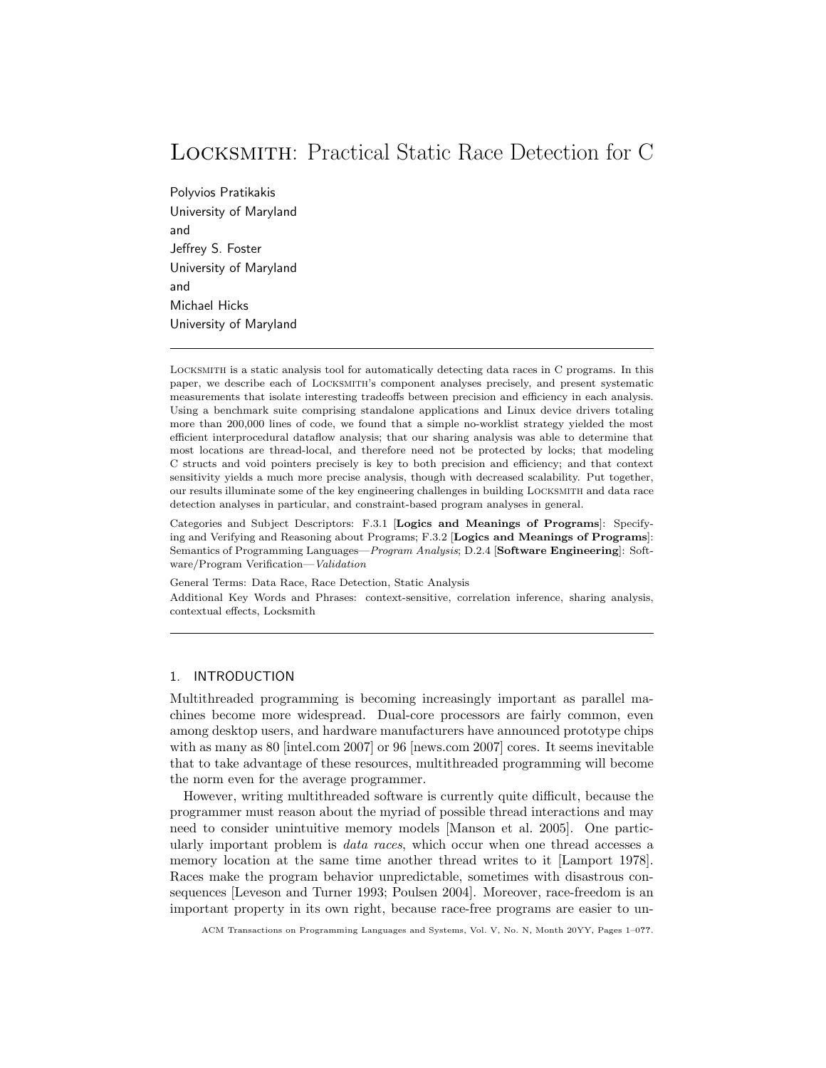# Locksmith: Practical Static Race Detection for C

Polyvios Pratikakis University of Maryland and Jeffrey S. Foster University of Maryland and Michael Hicks University of Maryland

Locksmith is a static analysis tool for automatically detecting data races in C programs. In this paper, we describe each of Locksmith's component analyses precisely, and present systematic measurements that isolate interesting tradeoffs between precision and efficiency in each analysis. Using a benchmark suite comprising standalone applications and Linux device drivers totaling more than 200,000 lines of code, we found that a simple no-worklist strategy yielded the most efficient interprocedural dataflow analysis; that our sharing analysis was able to determine that most locations are thread-local, and therefore need not be protected by locks; that modeling C structs and void pointers precisely is key to both precision and efficiency; and that context sensitivity yields a much more precise analysis, though with decreased scalability. Put together, our results illuminate some of the key engineering challenges in building Locksmith and data race detection analyses in particular, and constraint-based program analyses in general.

Categories and Subject Descriptors: F.3.1 [Logics and Meanings of Programs]: Specifying and Verifying and Reasoning about Programs; F.3.2 [Logics and Meanings of Programs]: Semantics of Programming Languages—Program Analysis; D.2.4 [Software Engineering]: Software/Program Verification—Validation

General Terms: Data Race, Race Detection, Static Analysis Additional Key Words and Phrases: context-sensitive, correlation inference, sharing analysis, contextual effects, Locksmith

# 1. INTRODUCTION

Multithreaded programming is becoming increasingly important as parallel machines become more widespread. Dual-core processors are fairly common, even among desktop users, and hardware manufacturers have announced prototype chips with as many as 80 [intel.com 2007] or 96 [news.com 2007] cores. It seems inevitable that to take advantage of these resources, multithreaded programming will become the norm even for the average programmer.

However, writing multithreaded software is currently quite difficult, because the programmer must reason about the myriad of possible thread interactions and may need to consider unintuitive memory models [Manson et al. 2005]. One particularly important problem is *data races*, which occur when one thread accesses a memory location at the same time another thread writes to it [Lamport 1978]. Races make the program behavior unpredictable, sometimes with disastrous consequences [Leveson and Turner 1993; Poulsen 2004]. Moreover, race-freedom is an important property in its own right, because race-free programs are easier to un-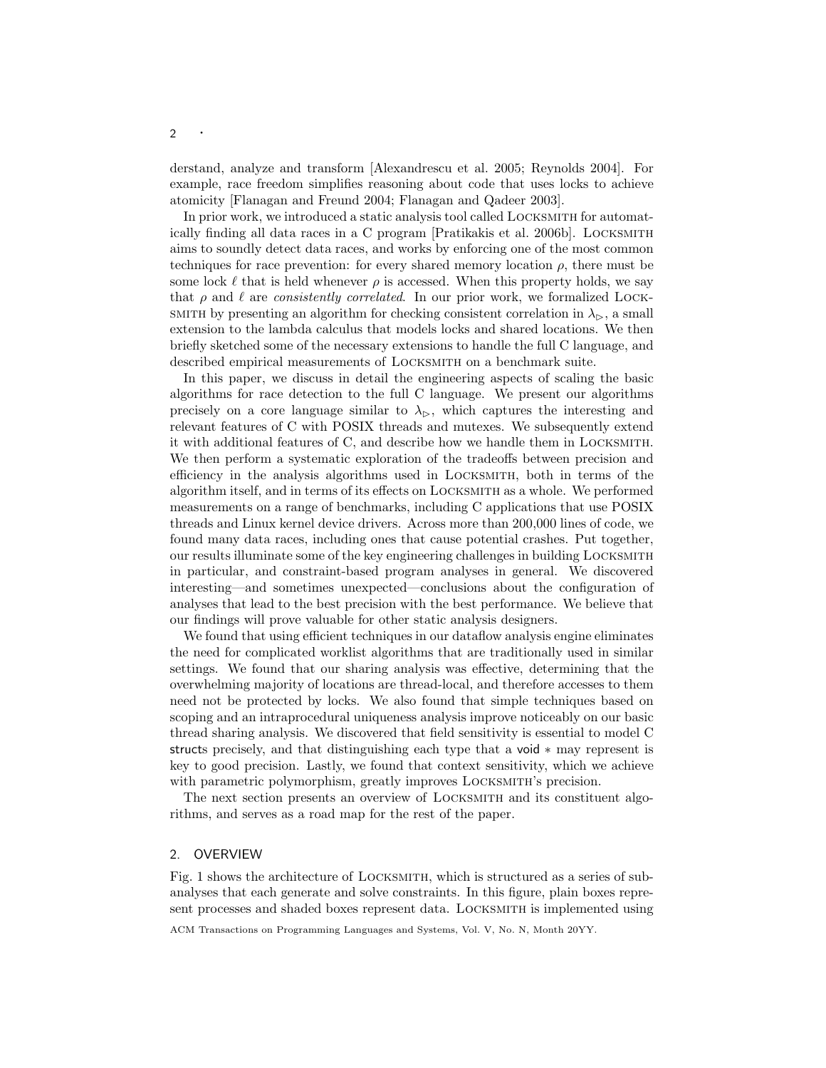derstand, analyze and transform [Alexandrescu et al. 2005; Reynolds 2004]. For example, race freedom simplifies reasoning about code that uses locks to achieve atomicity [Flanagan and Freund 2004; Flanagan and Qadeer 2003].

In prior work, we introduced a static analysis tool called Locksmith for automatically finding all data races in a C program [Pratikakis et al. 2006b]. Locksmith aims to soundly detect data races, and works by enforcing one of the most common techniques for race prevention: for every shared memory location  $\rho$ , there must be some lock  $\ell$  that is held whenever  $\rho$  is accessed. When this property holds, we say that  $\rho$  and  $\ell$  are consistently correlated. In our prior work, we formalized LOCK-SMITH by presenting an algorithm for checking consistent correlation in  $\lambda_{\triangleright}$ , a small extension to the lambda calculus that models locks and shared locations. We then briefly sketched some of the necessary extensions to handle the full C language, and described empirical measurements of LOCKSMITH on a benchmark suite.

In this paper, we discuss in detail the engineering aspects of scaling the basic algorithms for race detection to the full C language. We present our algorithms precisely on a core language similar to  $\lambda_{\triangleright}$ , which captures the interesting and relevant features of C with POSIX threads and mutexes. We subsequently extend it with additional features of C, and describe how we handle them in Locksmith. We then perform a systematic exploration of the tradeoffs between precision and efficiency in the analysis algorithms used in Locksmith, both in terms of the algorithm itself, and in terms of its effects on Locksmith as a whole. We performed measurements on a range of benchmarks, including C applications that use POSIX threads and Linux kernel device drivers. Across more than 200,000 lines of code, we found many data races, including ones that cause potential crashes. Put together, our results illuminate some of the key engineering challenges in building Locksmith in particular, and constraint-based program analyses in general. We discovered interesting—and sometimes unexpected—conclusions about the configuration of analyses that lead to the best precision with the best performance. We believe that our findings will prove valuable for other static analysis designers.

We found that using efficient techniques in our dataflow analysis engine eliminates the need for complicated worklist algorithms that are traditionally used in similar settings. We found that our sharing analysis was effective, determining that the overwhelming majority of locations are thread-local, and therefore accesses to them need not be protected by locks. We also found that simple techniques based on scoping and an intraprocedural uniqueness analysis improve noticeably on our basic thread sharing analysis. We discovered that field sensitivity is essential to model C structs precisely, and that distinguishing each type that a void ∗ may represent is key to good precision. Lastly, we found that context sensitivity, which we achieve with parametric polymorphism, greatly improves LOCKSMITH's precision.

The next section presents an overview of Locksmith and its constituent algorithms, and serves as a road map for the rest of the paper.

#### 2. OVERVIEW

Fig. 1 shows the architecture of Locksmith, which is structured as a series of subanalyses that each generate and solve constraints. In this figure, plain boxes represent processes and shaded boxes represent data. Locksmith is implemented using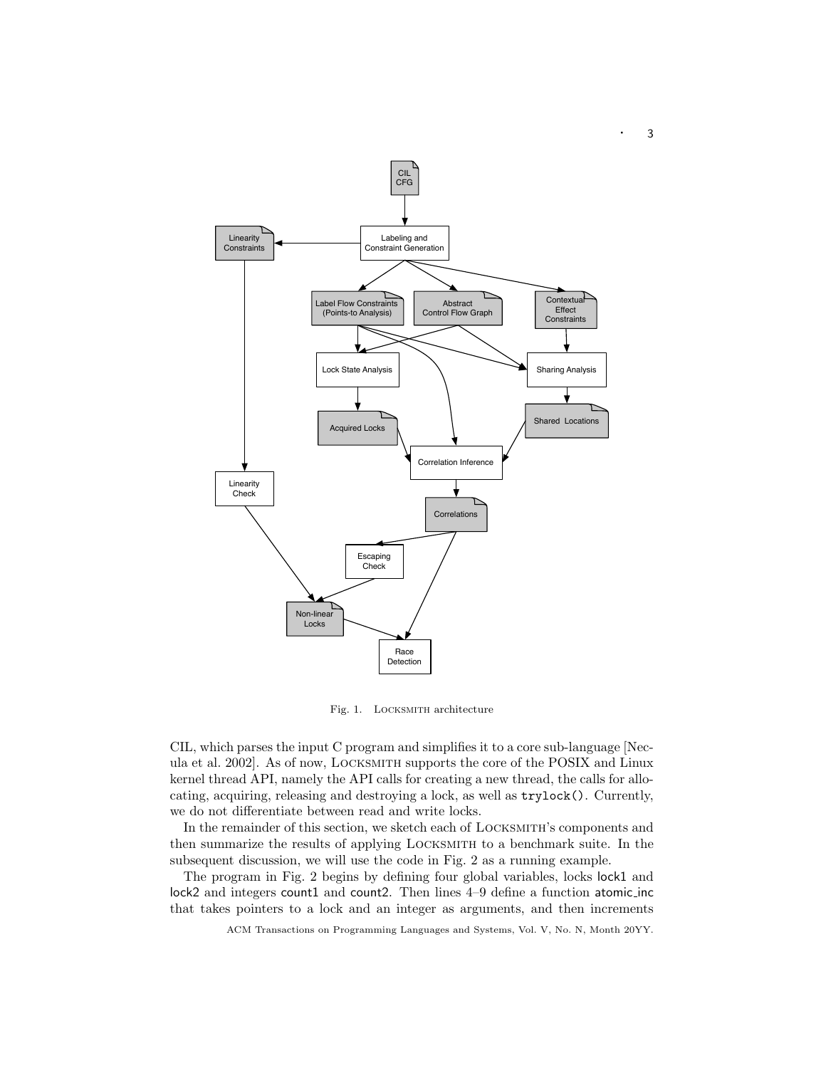

Fig. 1. LOCKSMITH architecture

CIL, which parses the input C program and simplifies it to a core sub-language [Necula et al. 2002]. As of now, Locksmith supports the core of the POSIX and Linux kernel thread API, namely the API calls for creating a new thread, the calls for allocating, acquiring, releasing and destroying a lock, as well as trylock(). Currently, we do not differentiate between read and write locks.

In the remainder of this section, we sketch each of Locksmith's components and then summarize the results of applying Locksmith to a benchmark suite. In the subsequent discussion, we will use the code in Fig. 2 as a running example.

The program in Fig. 2 begins by defining four global variables, locks lock1 and lock2 and integers count1 and count2. Then lines 4–9 define a function atomic\_inc that takes pointers to a lock and an integer as arguments, and then increments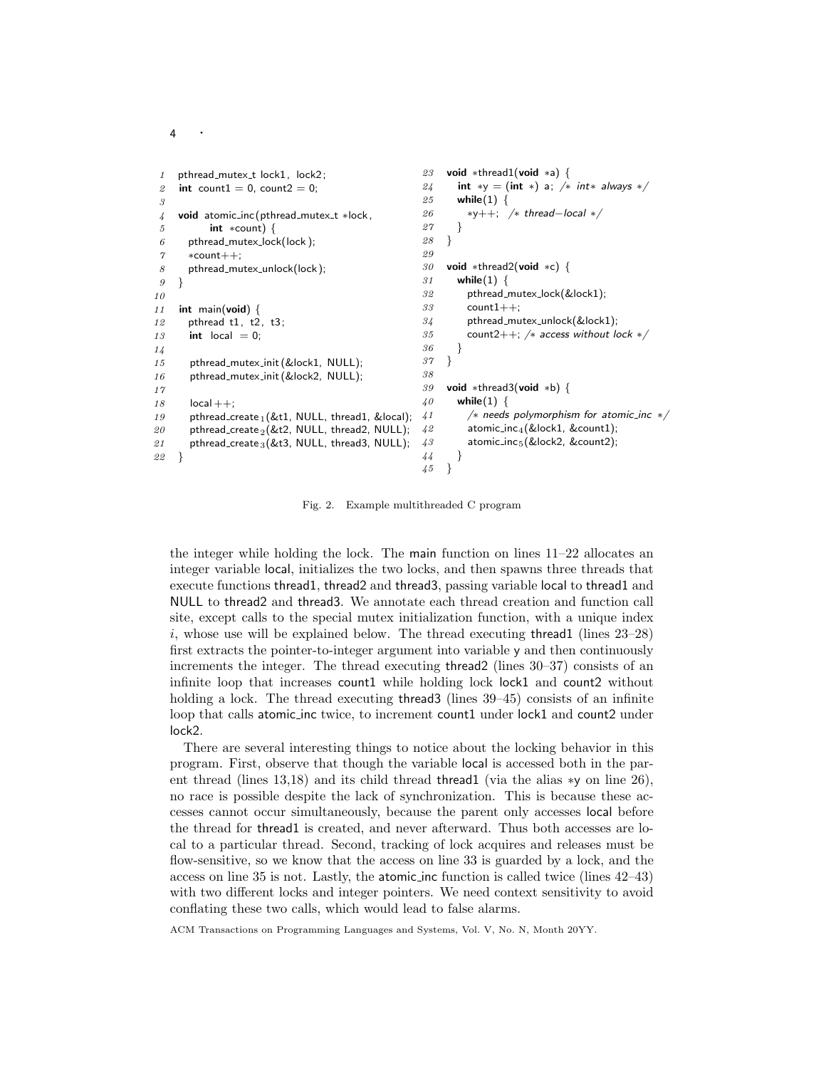```
1 pthread_mutex_t lock1, lock2;
 2 int count1 = 0, count2 = 0;
 3
 4 void atomic_inc (pthread_mutex_t ∗lock,
 5 int ∗count) {
 6 pthread_mutex_lock(lock);
 \gamma *count++:
 8 pthread_mutex_unlock(lock);
 9 }
10
11 int main(void) {
12 pthread t1, t2, t3;
13 int local = 0;
14
15 pthread_mutex_init (&lock1, NULL);
16 pthread_mutex_init (&lock2, NULL);
17
18 local ++:
19 pthread_create _1 (&t1, NULL, thread1, &local);
20 pthread_create _2(&t2, NULL, thread2, NULL);
21 pthread_create _3 (&t3, NULL, thread3, NULL);
22 }
                                                23 void ∗thread1(void ∗a) {
                                                24 int *y = (int *) a; /* int* always */
                                                25 while(1) {
                                                26 *y++; /* thread-local */27 }
                                                28 }
                                                29
                                                30 void ∗thread2(void ∗c) {
                                                31 while(1) {
                                                32 pthread mutex lock(&lock1);
                                                33 count1++;
                                                34 pthread_mutex_unlock(&lock1);
                                                35 count2++; /* access without lock */36 \,37 }
                                                38
                                                39 void ∗thread3(void ∗b) {
                                                40 while(1) {
                                               41 /∗ needs polymorphism for atomic inc ∗/
                                                42 atomic_inc<sub>4</sub>(&lock1, &count1);
                                                43 atomic_inc<sub>5</sub>(&lock2, &count2);
                                                44 }
                                                45 }
```
4

Fig. 2. Example multithreaded C program

the integer while holding the lock. The main function on lines 11–22 allocates an integer variable local, initializes the two locks, and then spawns three threads that execute functions thread1, thread2 and thread3, passing variable local to thread1 and NULL to thread2 and thread3. We annotate each thread creation and function call site, except calls to the special mutex initialization function, with a unique index  $i$ , whose use will be explained below. The thread executing thread1 (lines  $23-28$ ) first extracts the pointer-to-integer argument into variable y and then continuously increments the integer. The thread executing thread2 (lines 30–37) consists of an infinite loop that increases count1 while holding lock lock1 and count2 without holding a lock. The thread executing thread3 (lines 39–45) consists of an infinite loop that calls atomic inc twice, to increment count1 under lock1 and count2 under lock2.

There are several interesting things to notice about the locking behavior in this program. First, observe that though the variable local is accessed both in the parent thread (lines 13,18) and its child thread thread1 (via the alias  $*$ y on line 26), no race is possible despite the lack of synchronization. This is because these accesses cannot occur simultaneously, because the parent only accesses local before the thread for thread1 is created, and never afterward. Thus both accesses are local to a particular thread. Second, tracking of lock acquires and releases must be flow-sensitive, so we know that the access on line 33 is guarded by a lock, and the access on line 35 is not. Lastly, the atomic inc function is called twice (lines 42–43) with two different locks and integer pointers. We need context sensitivity to avoid conflating these two calls, which would lead to false alarms.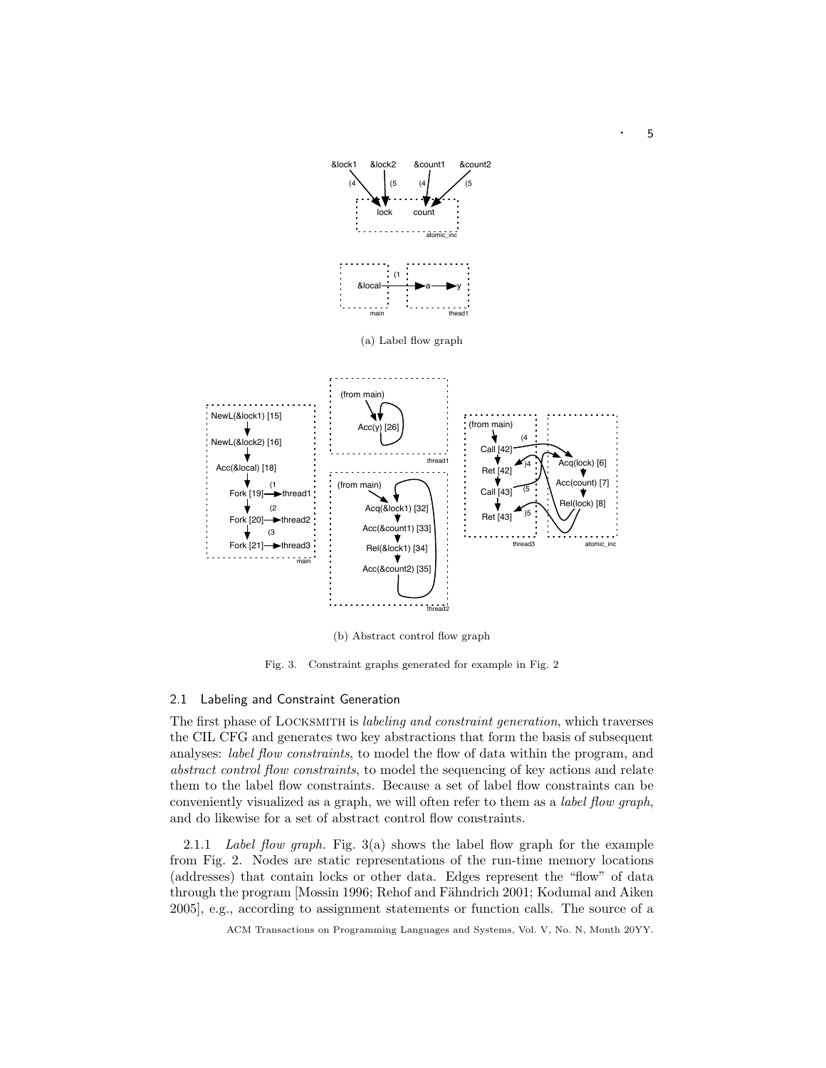

(b) Abstract control flow graph

Fig. 3. Constraint graphs generated for example in Fig. 2

# 2.1 Labeling and Constraint Generation

The first phase of LOCKSMITH is *labeling and constraint generation*, which traverses the CIL CFG and generates two key abstractions that form the basis of subsequent analyses: *label flow constraints*, to model the flow of data within the program, and abstract control flow constraints, to model the sequencing of key actions and relate them to the label flow constraints. Because a set of label flow constraints can be conveniently visualized as a graph, we will often refer to them as a label flow graph, and do likewise for a set of abstract control flow constraints.

2.1.1 Label flow graph. Fig.  $3(a)$  shows the label flow graph for the example from Fig. 2. Nodes are static representations of the run-time memory locations (addresses) that contain locks or other data. Edges represent the "flow" of data through the program [Mossin 1996; Rehof and Fähndrich 2001; Kodumal and Aiken 2005], e.g., according to assignment statements or function calls. The source of a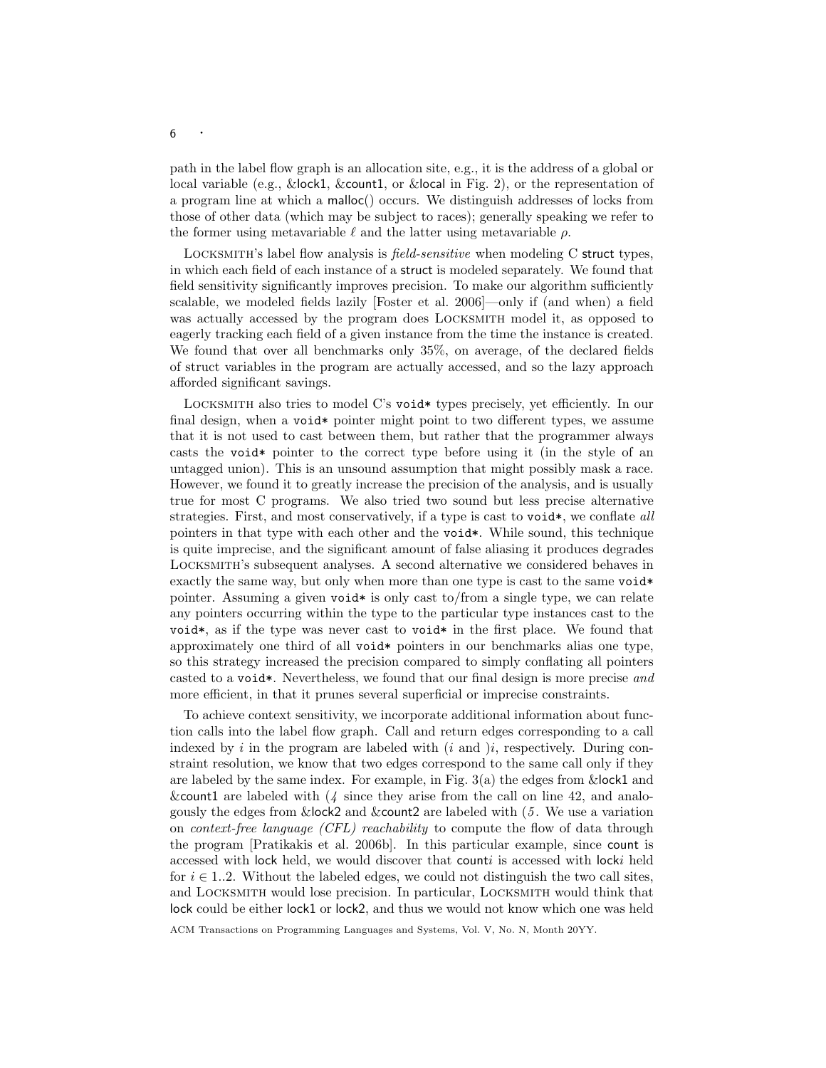path in the label flow graph is an allocation site, e.g., it is the address of a global or local variable (e.g., &lock1, &count1, or &local in Fig. 2), or the representation of a program line at which a malloc() occurs. We distinguish addresses of locks from those of other data (which may be subject to races); generally speaking we refer to the former using metavariable  $\ell$  and the latter using metavariable  $\rho$ .

Locksmith's label flow analysis is field-sensitive when modeling C struct types, in which each field of each instance of a struct is modeled separately. We found that field sensitivity significantly improves precision. To make our algorithm sufficiently scalable, we modeled fields lazily [Foster et al. 2006]—only if (and when) a field was actually accessed by the program does Locksmith model it, as opposed to eagerly tracking each field of a given instance from the time the instance is created. We found that over all benchmarks only 35%, on average, of the declared fields of struct variables in the program are actually accessed, and so the lazy approach afforded significant savings.

LOCKSMITH also tries to model C's void\* types precisely, yet efficiently. In our final design, when a void\* pointer might point to two different types, we assume that it is not used to cast between them, but rather that the programmer always casts the void\* pointer to the correct type before using it (in the style of an untagged union). This is an unsound assumption that might possibly mask a race. However, we found it to greatly increase the precision of the analysis, and is usually true for most C programs. We also tried two sound but less precise alternative strategies. First, and most conservatively, if a type is cast to void\*, we conflate all pointers in that type with each other and the void\*. While sound, this technique is quite imprecise, and the significant amount of false aliasing it produces degrades Locksmith's subsequent analyses. A second alternative we considered behaves in exactly the same way, but only when more than one type is cast to the same void\* pointer. Assuming a given void  $*$  is only cast to/from a single type, we can relate any pointers occurring within the type to the particular type instances cast to the void\*, as if the type was never cast to void\* in the first place. We found that approximately one third of all void\* pointers in our benchmarks alias one type, so this strategy increased the precision compared to simply conflating all pointers casted to a void\*. Nevertheless, we found that our final design is more precise and more efficient, in that it prunes several superficial or imprecise constraints.

To achieve context sensitivity, we incorporate additional information about function calls into the label flow graph. Call and return edges corresponding to a call indexed by i in the program are labeled with  $(i \text{ and } )i$ , respectively. During constraint resolution, we know that two edges correspond to the same call only if they are labeled by the same index. For example, in Fig.  $3(a)$  the edges from  $\&$  lock1 and & count 1 are labeled with  $(4 \text{ since they arise from the call on line } 42, \text{ and analog-}$ gously the edges from &lock2 and &count2 are labeled with (5 . We use a variation on context-free language (CFL) reachability to compute the flow of data through the program [Pratikakis et al. 2006b]. In this particular example, since count is accessed with lock held, we would discover that counti is accessed with locki held for  $i \in 1..2$ . Without the labeled edges, we could not distinguish the two call sites, and Locksmith would lose precision. In particular, Locksmith would think that lock could be either lock1 or lock2, and thus we would not know which one was held

ACM Transactions on Programming Languages and Systems, Vol. V, No. N, Month 20YY.

<sup>6</sup> ·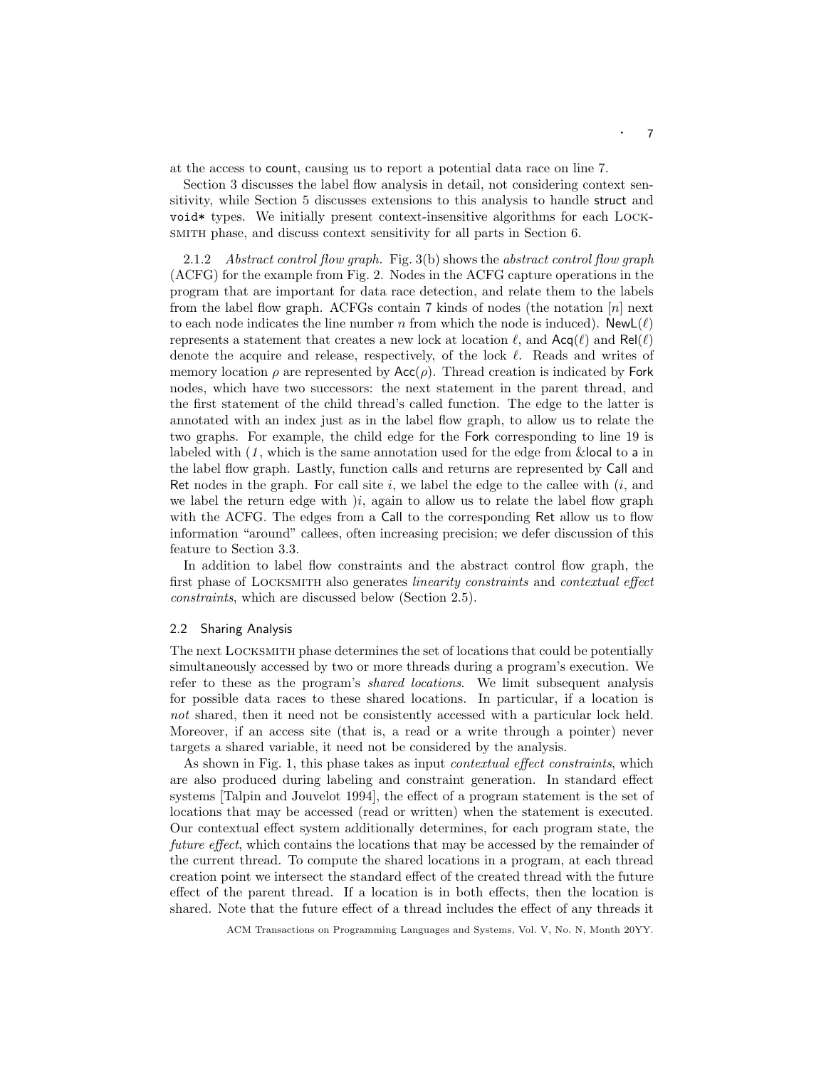at the access to count, causing us to report a potential data race on line 7.

Section 3 discusses the label flow analysis in detail, not considering context sensitivity, while Section 5 discusses extensions to this analysis to handle struct and void\* types. We initially present context-insensitive algorithms for each Locksmith phase, and discuss context sensitivity for all parts in Section 6.

2.1.2 Abstract control flow graph. Fig. 3(b) shows the abstract control flow graph (ACFG) for the example from Fig. 2. Nodes in the ACFG capture operations in the program that are important for data race detection, and relate them to the labels from the label flow graph. ACFGs contain 7 kinds of nodes (the notation  $[n]$  next to each node indicates the line number n from which the node is induced). NewL( $\ell$ ) represents a statement that creates a new lock at location  $\ell$ , and  $\textsf{Acq}(\ell)$  and  $\textsf{Rel}(\ell)$ denote the acquire and release, respectively, of the lock  $\ell$ . Reads and writes of memory location  $\rho$  are represented by  $Acc(\rho)$ . Thread creation is indicated by Fork nodes, which have two successors: the next statement in the parent thread, and the first statement of the child thread's called function. The edge to the latter is annotated with an index just as in the label flow graph, to allow us to relate the two graphs. For example, the child edge for the Fork corresponding to line 19 is labeled with  $(1, \text{ which is the same annotation used for the edge from  $\& \text{local to a in})$$ the label flow graph. Lastly, function calls and returns are represented by Call and Ret nodes in the graph. For call site  $i$ , we label the edge to the callee with  $(i, \text{ and})$ we label the return edge with  $i$ , again to allow us to relate the label flow graph with the ACFG. The edges from a Call to the corresponding Ret allow us to flow information "around" callees, often increasing precision; we defer discussion of this feature to Section 3.3.

In addition to label flow constraints and the abstract control flow graph, the first phase of LOCKSMITH also generates *linearity constraints* and *contextual effect* constraints, which are discussed below (Section 2.5).

#### 2.2 Sharing Analysis

The next Locksmith phase determines the set of locations that could be potentially simultaneously accessed by two or more threads during a program's execution. We refer to these as the program's shared locations. We limit subsequent analysis for possible data races to these shared locations. In particular, if a location is not shared, then it need not be consistently accessed with a particular lock held. Moreover, if an access site (that is, a read or a write through a pointer) never targets a shared variable, it need not be considered by the analysis.

As shown in Fig. 1, this phase takes as input *contextual effect constraints*, which are also produced during labeling and constraint generation. In standard effect systems [Talpin and Jouvelot 1994], the effect of a program statement is the set of locations that may be accessed (read or written) when the statement is executed. Our contextual effect system additionally determines, for each program state, the future effect, which contains the locations that may be accessed by the remainder of the current thread. To compute the shared locations in a program, at each thread creation point we intersect the standard effect of the created thread with the future effect of the parent thread. If a location is in both effects, then the location is shared. Note that the future effect of a thread includes the effect of any threads it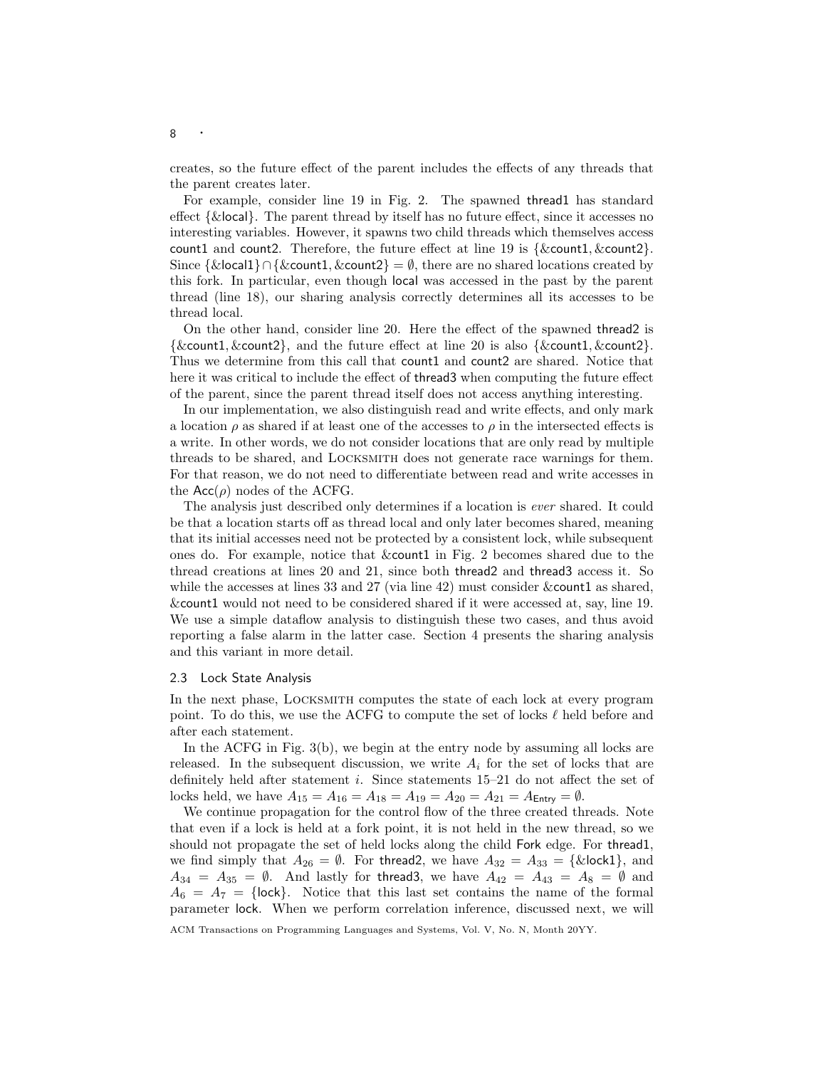creates, so the future effect of the parent includes the effects of any threads that the parent creates later.

For example, consider line 19 in Fig. 2. The spawned thread1 has standard effect {&local}. The parent thread by itself has no future effect, since it accesses no interesting variables. However, it spawns two child threads which themselves access count1 and count2. Therefore, the future effect at line 19 is  $\{\&$ count1,  $\&$ count2 $\}$ . Since  $\{\&$ local1}∩ $\&$ count1,  $\&$ count2} =  $\emptyset$ , there are no shared locations created by this fork. In particular, even though local was accessed in the past by the parent thread (line 18), our sharing analysis correctly determines all its accesses to be thread local.

On the other hand, consider line 20. Here the effect of the spawned thread2 is  $\{\&count1, \&count2\}$ , and the future effect at line 20 is also  $\{\&count1, \&count2\}$ . Thus we determine from this call that count1 and count2 are shared. Notice that here it was critical to include the effect of thread3 when computing the future effect of the parent, since the parent thread itself does not access anything interesting.

In our implementation, we also distinguish read and write effects, and only mark a location  $\rho$  as shared if at least one of the accesses to  $\rho$  in the intersected effects is a write. In other words, we do not consider locations that are only read by multiple threads to be shared, and Locksmith does not generate race warnings for them. For that reason, we do not need to differentiate between read and write accesses in the  $Acc(\rho)$  nodes of the ACFG.

The analysis just described only determines if a location is ever shared. It could be that a location starts off as thread local and only later becomes shared, meaning that its initial accesses need not be protected by a consistent lock, while subsequent ones do. For example, notice that &count1 in Fig. 2 becomes shared due to the thread creations at lines 20 and 21, since both thread2 and thread3 access it. So while the accesses at lines 33 and 27 (via line 42) must consider & count1 as shared, &count1 would not need to be considered shared if it were accessed at, say, line 19. We use a simple dataflow analysis to distinguish these two cases, and thus avoid reporting a false alarm in the latter case. Section 4 presents the sharing analysis and this variant in more detail.

#### 2.3 Lock State Analysis

In the next phase, Locksmith computes the state of each lock at every program point. To do this, we use the ACFG to compute the set of locks  $\ell$  held before and after each statement.

In the ACFG in Fig. 3(b), we begin at the entry node by assuming all locks are released. In the subsequent discussion, we write  $A_i$  for the set of locks that are definitely held after statement i. Since statements 15–21 do not affect the set of locks held, we have  $A_{15} = A_{16} = A_{18} = A_{19} = A_{20} = A_{21} = A_{\text{Entry}} = \emptyset$ .

We continue propagation for the control flow of the three created threads. Note that even if a lock is held at a fork point, it is not held in the new thread, so we should not propagate the set of held locks along the child Fork edge. For thread1, we find simply that  $A_{26} = \emptyset$ . For thread2, we have  $A_{32} = A_{33} = {\& \text{lock1}}$ , and  $A_{34} = A_{35} = \emptyset$ . And lastly for thread 3, we have  $A_{42} = A_{43} = A_8 = \emptyset$  and  $A_6 = A_7 = \{$ lock $\}$ . Notice that this last set contains the name of the formal parameter lock. When we perform correlation inference, discussed next, we will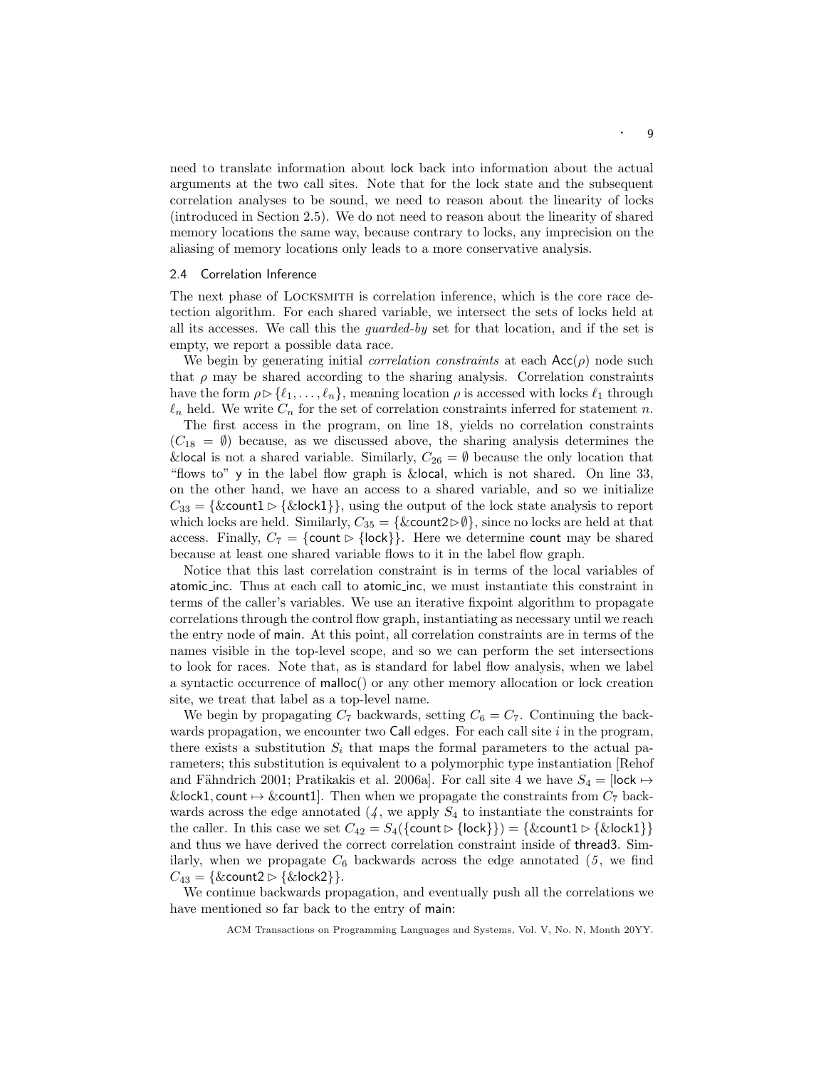need to translate information about lock back into information about the actual arguments at the two call sites. Note that for the lock state and the subsequent correlation analyses to be sound, we need to reason about the linearity of locks (introduced in Section 2.5). We do not need to reason about the linearity of shared memory locations the same way, because contrary to locks, any imprecision on the aliasing of memory locations only leads to a more conservative analysis.

# 2.4 Correlation Inference

The next phase of Locksmith is correlation inference, which is the core race detection algorithm. For each shared variable, we intersect the sets of locks held at all its accesses. We call this the *quarded-by* set for that location, and if the set is empty, we report a possible data race.

We begin by generating initial *correlation constraints* at each  $Acc(\rho)$  node such that  $\rho$  may be shared according to the sharing analysis. Correlation constraints have the form  $\rho \triangleright \{\ell_1, \ldots, \ell_n\}$ , meaning location  $\rho$  is accessed with locks  $\ell_1$  through  $\ell_n$  held. We write  $C_n$  for the set of correlation constraints inferred for statement n. The first access in the program, on line 18, yields no correlation constraints  $(C_{18} = \emptyset)$  because, as we discussed above, the sharing analysis determines the &local is not a shared variable. Similarly,  $C_{26} = \emptyset$  because the only location that "flows to" y in the label flow graph is &local, which is not shared. On line 33, on the other hand, we have an access to a shared variable, and so we initialize  $C_{33} = \{ \& \text{count1} \triangleright \{ \& \text{lock1} \} \},$  using the output of the lock state analysis to report which locks are held. Similarly,  $C_{35} = {\&count2\triangleright\emptyset}$ , since no locks are held at that access. Finally,  $C_7 = \{count \triangleright \{lock\}\}\.$  Here we determine count may be shared because at least one shared variable flows to it in the label flow graph.

Notice that this last correlation constraint is in terms of the local variables of atomic inc. Thus at each call to atomic inc, we must instantiate this constraint in terms of the caller's variables. We use an iterative fixpoint algorithm to propagate correlations through the control flow graph, instantiating as necessary until we reach the entry node of main. At this point, all correlation constraints are in terms of the names visible in the top-level scope, and so we can perform the set intersections to look for races. Note that, as is standard for label flow analysis, when we label a syntactic occurrence of malloc() or any other memory allocation or lock creation site, we treat that label as a top-level name.

We begin by propagating  $C_7$  backwards, setting  $C_6 = C_7$ . Continuing the backwards propagation, we encounter two Call edges. For each call site  $i$  in the program, there exists a substitution  $S_i$  that maps the formal parameters to the actual parameters; this substitution is equivalent to a polymorphic type instantiation [Rehof and Fähndrich 2001; Pratikakis et al. 2006a]. For call site 4 we have  $S_4 = \text{lock} \mapsto$ &lock1, count  $\rightarrow$  &count1]. Then when we propagate the constraints from  $C_7$  backwards across the edge annotated  $(4)$ , we apply  $S_4$  to instantiate the constraints for the caller. In this case we set  $C_{42} = S_4({\text{count} > {\text{lock}}}) = {\text{&count} > {\text{&lock1}}}$ and thus we have derived the correct correlation constraint inside of thread3. Similarly, when we propagate  $C_6$  backwards across the edge annotated  $(5, \text{ we find})$  $C_{43} = \{ \&$ count $2 \triangleright \{ \&$ lock $2 \}$ .

We continue backwards propagation, and eventually push all the correlations we have mentioned so far back to the entry of main: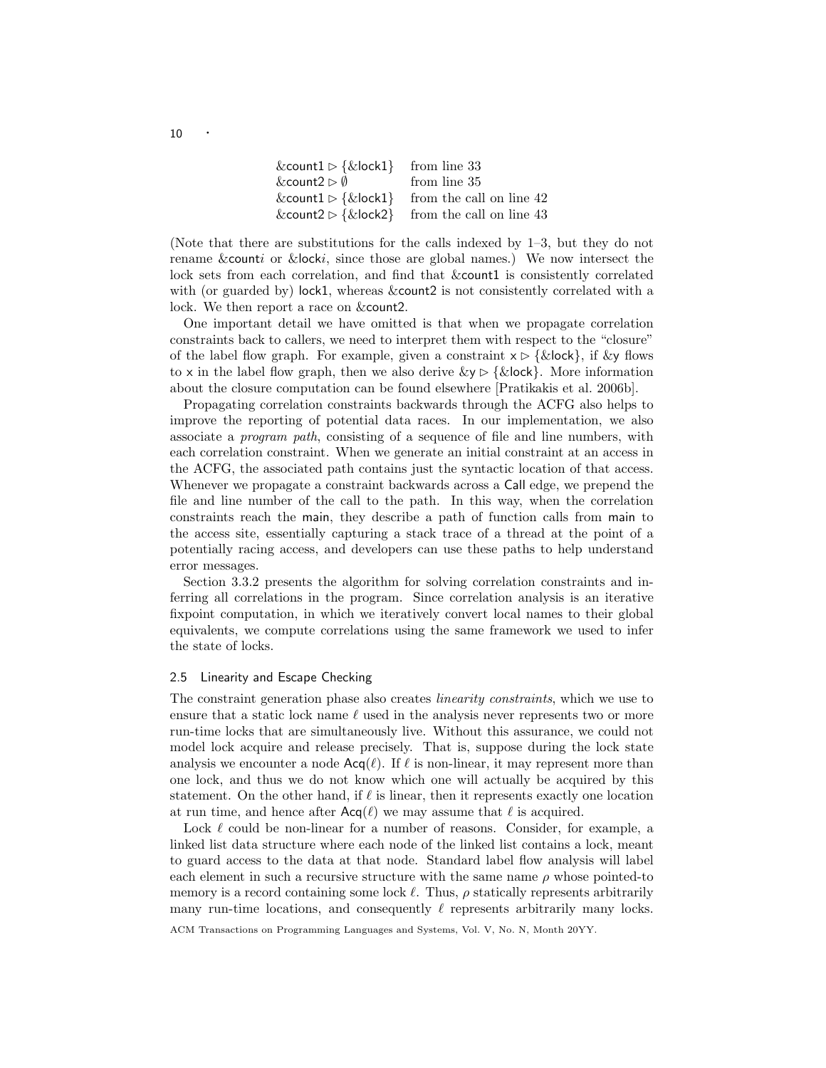| & count $1 \triangleright \{ \& \text{lock} 1 \}$ from line 33 |                                                                            |
|----------------------------------------------------------------|----------------------------------------------------------------------------|
| &count $2 \triangleright \emptyset$                            | from line 35                                                               |
| &count1 $\triangleright$ {&lock1}                              | from the call on line 42                                                   |
|                                                                | & count $2 \triangleright \{ \& \text{lock} 2 \}$ from the call on line 43 |

(Note that there are substitutions for the calls indexed by 1–3, but they do not rename &counti or &locki, since those are global names.) We now intersect the lock sets from each correlation, and find that  $&$ count1 is consistently correlated with (or guarded by) lock1, whereas &count2 is not consistently correlated with a lock. We then report a race on &count2.

One important detail we have omitted is that when we propagate correlation constraints back to callers, we need to interpret them with respect to the "closure" of the label flow graph. For example, given a constraint  $x \triangleright \{ \& \text{lock} \}$ , if  $\& \text{y}$  flows to x in the label flow graph, then we also derive  $\&y \triangleright {\& \text{lock}}\}.$  More information about the closure computation can be found elsewhere [Pratikakis et al. 2006b].

Propagating correlation constraints backwards through the ACFG also helps to improve the reporting of potential data races. In our implementation, we also associate a program path, consisting of a sequence of file and line numbers, with each correlation constraint. When we generate an initial constraint at an access in the ACFG, the associated path contains just the syntactic location of that access. Whenever we propagate a constraint backwards across a Call edge, we prepend the file and line number of the call to the path. In this way, when the correlation constraints reach the main, they describe a path of function calls from main to the access site, essentially capturing a stack trace of a thread at the point of a potentially racing access, and developers can use these paths to help understand error messages.

Section 3.3.2 presents the algorithm for solving correlation constraints and inferring all correlations in the program. Since correlation analysis is an iterative fixpoint computation, in which we iteratively convert local names to their global equivalents, we compute correlations using the same framework we used to infer the state of locks.

# 2.5 Linearity and Escape Checking

The constraint generation phase also creates linearity constraints, which we use to ensure that a static lock name  $\ell$  used in the analysis never represents two or more run-time locks that are simultaneously live. Without this assurance, we could not model lock acquire and release precisely. That is, suppose during the lock state analysis we encounter a node  $\text{Acq}(\ell)$ . If  $\ell$  is non-linear, it may represent more than one lock, and thus we do not know which one will actually be acquired by this statement. On the other hand, if  $\ell$  is linear, then it represents exactly one location at run time, and hence after  $\text{Acq}(\ell)$  we may assume that  $\ell$  is acquired.

Lock  $\ell$  could be non-linear for a number of reasons. Consider, for example, a linked list data structure where each node of the linked list contains a lock, meant to guard access to the data at that node. Standard label flow analysis will label each element in such a recursive structure with the same name  $\rho$  whose pointed-to memory is a record containing some lock  $\ell$ . Thus,  $\rho$  statically represents arbitrarily many run-time locations, and consequently  $\ell$  represents arbitrarily many locks.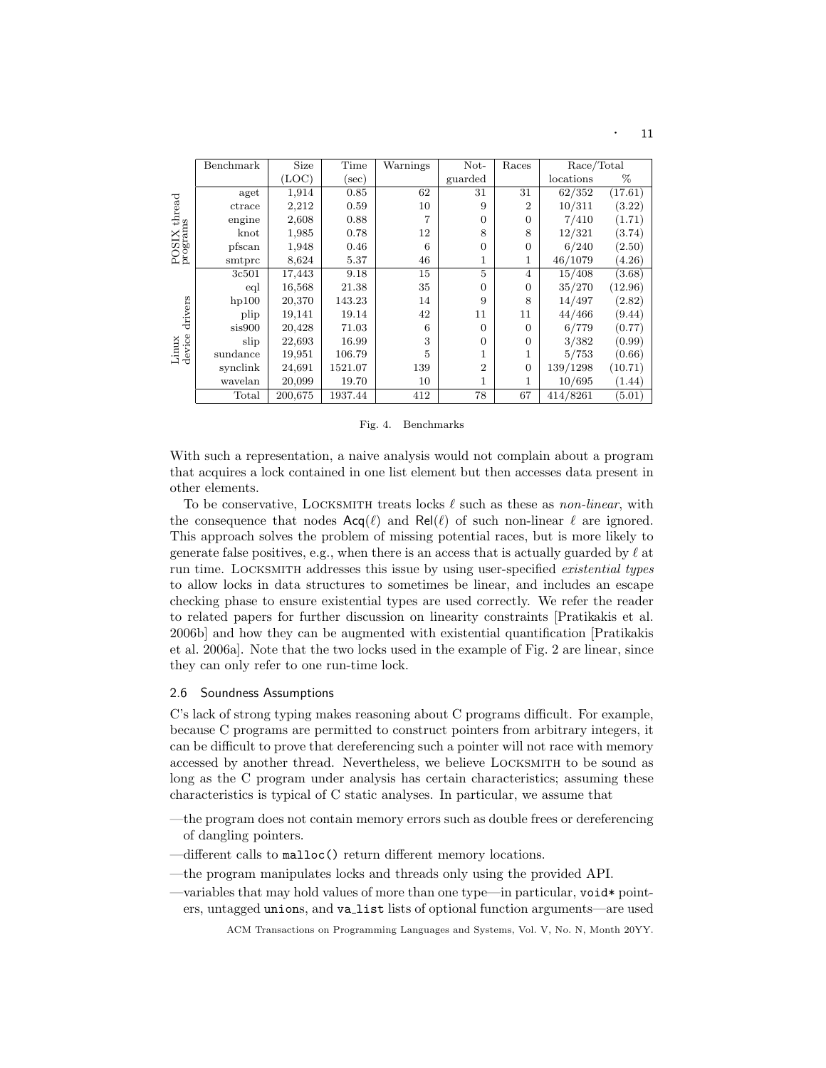|                          | Benchmark | Size    | Time     | Warnings | Not-<br>Races  |                | Race/Total |         |
|--------------------------|-----------|---------|----------|----------|----------------|----------------|------------|---------|
|                          |           | (LOC)   | $(\sec)$ |          | guarded        |                | locations  | %       |
|                          | aget      | 1,914   | 0.85     | 62       | 31             | 31             | 62/352     | (17.61) |
|                          | ctrace    | 2,212   | 0.59     | 10       | 9              | $\overline{2}$ | 10/311     | (3.22)  |
| POSIX thread<br>programs | engine    | 2,608   | 0.88     | 7        | $\Omega$       | $\Omega$       | 7/410      | (1.71)  |
|                          | $k$ not   | 1,985   | 0.78     | 12       | 8              | 8              | 12/321     | (3.74)  |
|                          | pfscan    | 1,948   | 0.46     | 6        | $\Omega$       | $\overline{0}$ | 6/240      | (2.50)  |
|                          | smtprc    | 8,624   | 5.37     | 46       | 1              | $\mathbf 1$    | 46/1079    | (4.26)  |
|                          | 3c501     | 17,443  | 9.18     | 15       | 5              | $\overline{4}$ | 15/408     | (3.68)  |
|                          | eql       | 16,568  | 21.38    | 35       | $\Omega$       | $\Omega$       | 35/270     | (12.96) |
|                          | hp100     | 20,370  | 143.23   | 14       | 9              | 8              | 14/497     | (2.82)  |
| drivers                  | plip      | 19,141  | 19.14    | 42       | 11             | 11             | 44/466     | (9.44)  |
|                          | sis900    | 20,428  | 71.03    | 6        | $\Omega$       | $\Omega$       | 6/779      | (0.77)  |
| Linux<br>device          | slip      | 22,693  | 16.99    | 3        | $\Omega$       | $\overline{0}$ | 3/382      | (0.99)  |
|                          | sundance  | 19,951  | 106.79   | 5        | 1              |                | 5/753      | (0.66)  |
|                          | synclink  | 24,691  | 1521.07  | 139      | $\overline{2}$ | $\overline{0}$ | 139/1298   | (10.71) |
|                          | wavelan   | 20,099  | 19.70    | 10       | 1              |                | 10/695     | (1.44)  |
|                          | Total     | 200,675 | 1937.44  | 412      | 78             | 67             | 414/8261   | (5.01)  |

#### Fig. 4. Benchmarks

With such a representation, a naive analysis would not complain about a program that acquires a lock contained in one list element but then accesses data present in other elements.

To be conservative, LOCKSMITH treats locks  $\ell$  such as these as non-linear, with the consequence that nodes  $\text{Acq}(\ell)$  and  $\text{Rel}(\ell)$  of such non-linear  $\ell$  are ignored. This approach solves the problem of missing potential races, but is more likely to generate false positives, e.g., when there is an access that is actually guarded by  $\ell$  at run time. Locksmith addresses this issue by using user-specified existential types to allow locks in data structures to sometimes be linear, and includes an escape checking phase to ensure existential types are used correctly. We refer the reader to related papers for further discussion on linearity constraints [Pratikakis et al. 2006b] and how they can be augmented with existential quantification [Pratikakis et al. 2006a]. Note that the two locks used in the example of Fig. 2 are linear, since they can only refer to one run-time lock.

#### 2.6 Soundness Assumptions

C's lack of strong typing makes reasoning about C programs difficult. For example, because C programs are permitted to construct pointers from arbitrary integers, it can be difficult to prove that dereferencing such a pointer will not race with memory accessed by another thread. Nevertheless, we believe Locksmith to be sound as long as the C program under analysis has certain characteristics; assuming these characteristics is typical of C static analyses. In particular, we assume that

- —the program does not contain memory errors such as double frees or dereferencing of dangling pointers.
- —different calls to malloc() return different memory locations.
- —the program manipulates locks and threads only using the provided API.
- —variables that may hold values of more than one type—in particular,  $\text{void* point}$ ers, untagged unions, and va list lists of optional function arguments—are used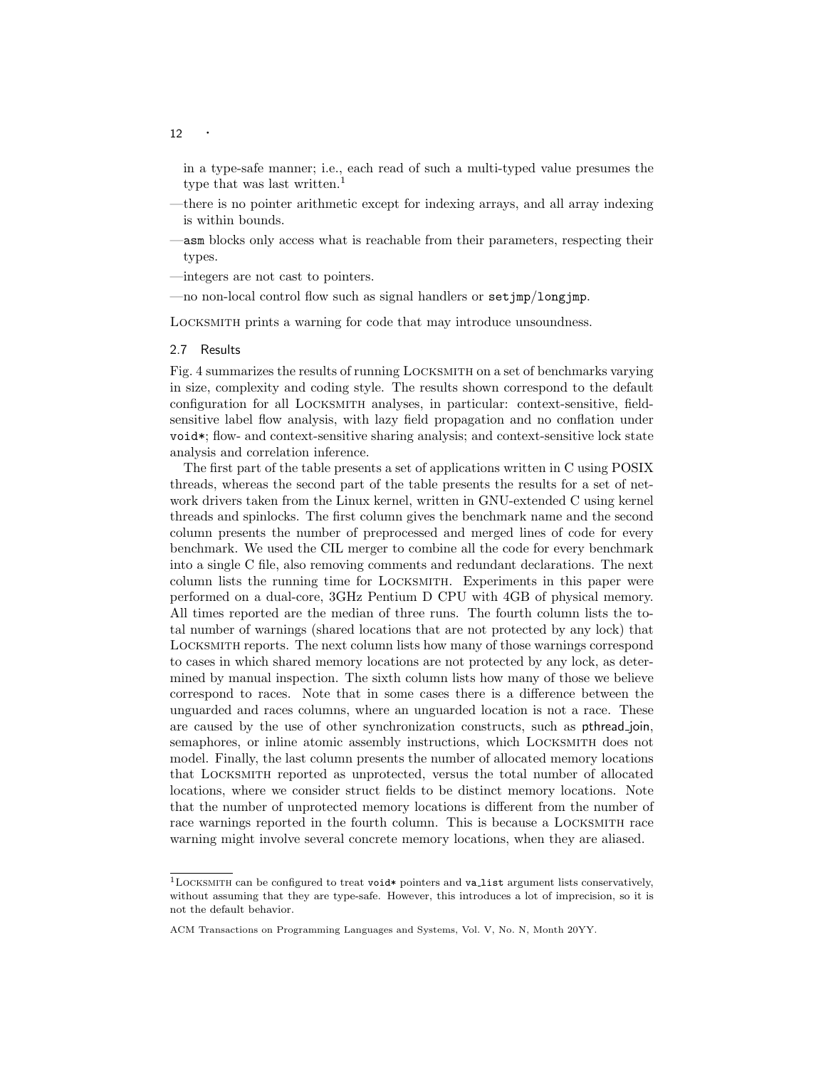in a type-safe manner; i.e., each read of such a multi-typed value presumes the type that was last written.<sup>1</sup>

- —there is no pointer arithmetic except for indexing arrays, and all array indexing is within bounds.
- —asm blocks only access what is reachable from their parameters, respecting their types.
- —integers are not cast to pointers.
- —no non-local control flow such as signal handlers or setjmp/longjmp.

Locksmith prints a warning for code that may introduce unsoundness.

# 2.7 Results

Fig. 4 summarizes the results of running Locksmith on a set of benchmarks varying in size, complexity and coding style. The results shown correspond to the default configuration for all Locksmith analyses, in particular: context-sensitive, fieldsensitive label flow analysis, with lazy field propagation and no conflation under void<sup>\*</sup>; flow- and context-sensitive sharing analysis; and context-sensitive lock state analysis and correlation inference.

The first part of the table presents a set of applications written in C using POSIX threads, whereas the second part of the table presents the results for a set of network drivers taken from the Linux kernel, written in GNU-extended C using kernel threads and spinlocks. The first column gives the benchmark name and the second column presents the number of preprocessed and merged lines of code for every benchmark. We used the CIL merger to combine all the code for every benchmark into a single C file, also removing comments and redundant declarations. The next column lists the running time for Locksmith. Experiments in this paper were performed on a dual-core, 3GHz Pentium D CPU with 4GB of physical memory. All times reported are the median of three runs. The fourth column lists the total number of warnings (shared locations that are not protected by any lock) that Locksmith reports. The next column lists how many of those warnings correspond to cases in which shared memory locations are not protected by any lock, as determined by manual inspection. The sixth column lists how many of those we believe correspond to races. Note that in some cases there is a difference between the unguarded and races columns, where an unguarded location is not a race. These are caused by the use of other synchronization constructs, such as pthread join, semaphores, or inline atomic assembly instructions, which LOCKSMITH does not model. Finally, the last column presents the number of allocated memory locations that Locksmith reported as unprotected, versus the total number of allocated locations, where we consider struct fields to be distinct memory locations. Note that the number of unprotected memory locations is different from the number of race warnings reported in the fourth column. This is because a Locksmith race warning might involve several concrete memory locations, when they are aliased.

 $1$ LOCKSMITH can be configured to treat void\* pointers and valist argument lists conservatively, without assuming that they are type-safe. However, this introduces a lot of imprecision, so it is not the default behavior.

ACM Transactions on Programming Languages and Systems, Vol. V, No. N, Month 20YY.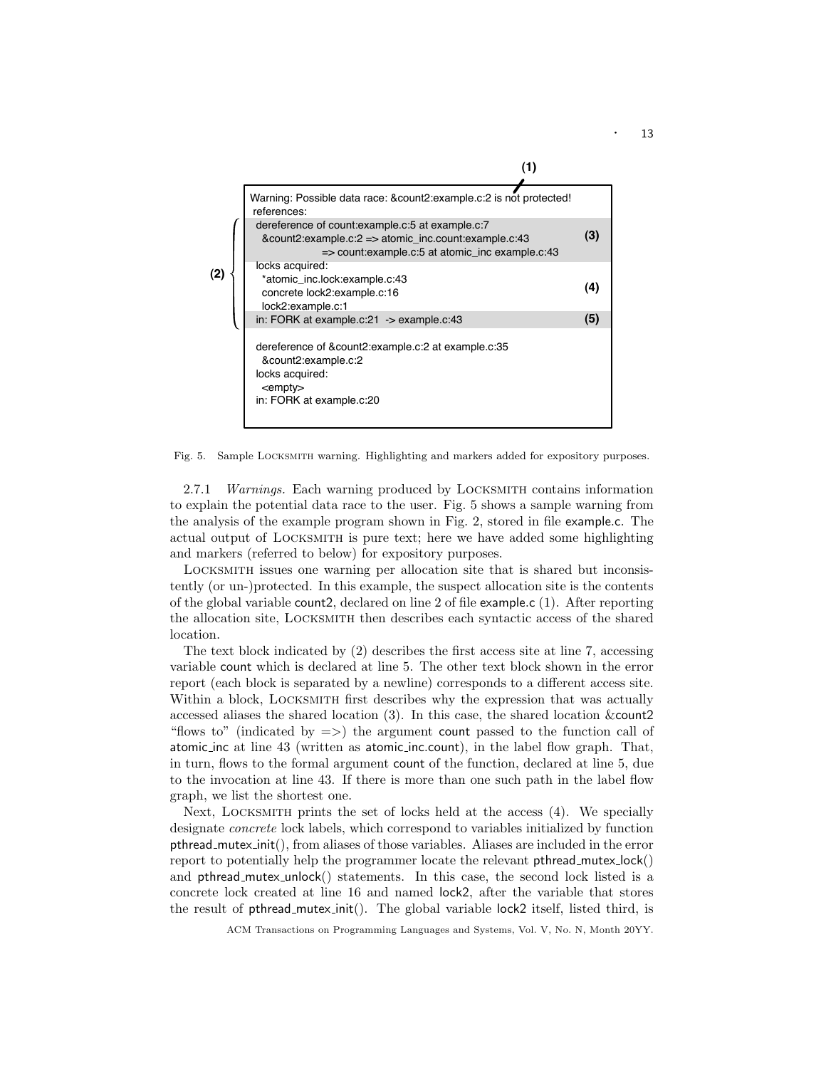

Fig. 5. Sample Locksmith warning. Highlighting and markers added for expository purposes.

2.7.1 Warnings. Each warning produced by Locksmith contains information to explain the potential data race to the user. Fig. 5 shows a sample warning from the analysis of the example program shown in Fig. 2, stored in file example.c. The actual output of Locksmith is pure text; here we have added some highlighting and markers (referred to below) for expository purposes.

Locksmith issues one warning per allocation site that is shared but inconsistently (or un-)protected. In this example, the suspect allocation site is the contents of the global variable count2, declared on line 2 of file example.c (1). After reporting the allocation site, Locksmith then describes each syntactic access of the shared location.

The text block indicated by (2) describes the first access site at line 7, accessing variable count which is declared at line 5. The other text block shown in the error report (each block is separated by a newline) corresponds to a different access site. Within a block, LOCKSMITH first describes why the expression that was actually accessed aliases the shared location (3). In this case, the shared location &count2 "flows to" (indicated by  $\Rightarrow$ ) the argument count passed to the function call of atomic inc at line 43 (written as atomic inc.count), in the label flow graph. That, in turn, flows to the formal argument count of the function, declared at line 5, due to the invocation at line 43. If there is more than one such path in the label flow graph, we list the shortest one.

Next, Locksmith prints the set of locks held at the access (4). We specially designate concrete lock labels, which correspond to variables initialized by function pthread mutex init(), from aliases of those variables. Aliases are included in the error report to potentially help the programmer locate the relevant pthread mutex lock() and pthread\_mutex\_unlock() statements. In this case, the second lock listed is a concrete lock created at line 16 and named lock2, after the variable that stores the result of pthread mutex init(). The global variable lock2 itself, listed third, is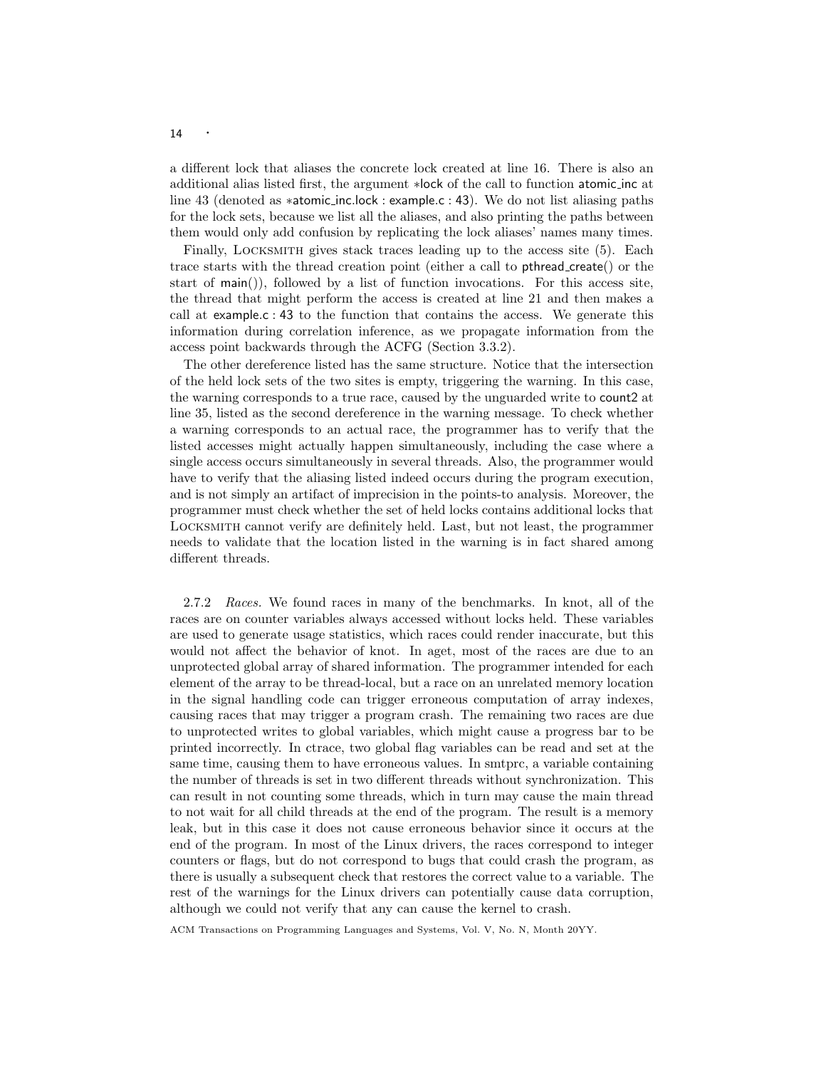a different lock that aliases the concrete lock created at line 16. There is also an additional alias listed first, the argument ∗lock of the call to function atomic inc at line 43 (denoted as ∗atomic inc.lock : example.c : 43). We do not list aliasing paths for the lock sets, because we list all the aliases, and also printing the paths between them would only add confusion by replicating the lock aliases' names many times.

Finally, LOCKSMITH gives stack traces leading up to the access site  $(5)$ . Each trace starts with the thread creation point (either a call to pthread create() or the start of  $\text{main}()$ , followed by a list of function invocations. For this access site, the thread that might perform the access is created at line 21 and then makes a call at example.c : 43 to the function that contains the access. We generate this information during correlation inference, as we propagate information from the access point backwards through the ACFG (Section 3.3.2).

The other dereference listed has the same structure. Notice that the intersection of the held lock sets of the two sites is empty, triggering the warning. In this case, the warning corresponds to a true race, caused by the unguarded write to count2 at line 35, listed as the second dereference in the warning message. To check whether a warning corresponds to an actual race, the programmer has to verify that the listed accesses might actually happen simultaneously, including the case where a single access occurs simultaneously in several threads. Also, the programmer would have to verify that the aliasing listed indeed occurs during the program execution, and is not simply an artifact of imprecision in the points-to analysis. Moreover, the programmer must check whether the set of held locks contains additional locks that Locksmith cannot verify are definitely held. Last, but not least, the programmer needs to validate that the location listed in the warning is in fact shared among different threads.

2.7.2 Races. We found races in many of the benchmarks. In knot, all of the races are on counter variables always accessed without locks held. These variables are used to generate usage statistics, which races could render inaccurate, but this would not affect the behavior of knot. In aget, most of the races are due to an unprotected global array of shared information. The programmer intended for each element of the array to be thread-local, but a race on an unrelated memory location in the signal handling code can trigger erroneous computation of array indexes, causing races that may trigger a program crash. The remaining two races are due to unprotected writes to global variables, which might cause a progress bar to be printed incorrectly. In ctrace, two global flag variables can be read and set at the same time, causing them to have erroneous values. In smtprc, a variable containing the number of threads is set in two different threads without synchronization. This can result in not counting some threads, which in turn may cause the main thread to not wait for all child threads at the end of the program. The result is a memory leak, but in this case it does not cause erroneous behavior since it occurs at the end of the program. In most of the Linux drivers, the races correspond to integer counters or flags, but do not correspond to bugs that could crash the program, as there is usually a subsequent check that restores the correct value to a variable. The rest of the warnings for the Linux drivers can potentially cause data corruption, although we could not verify that any can cause the kernel to crash.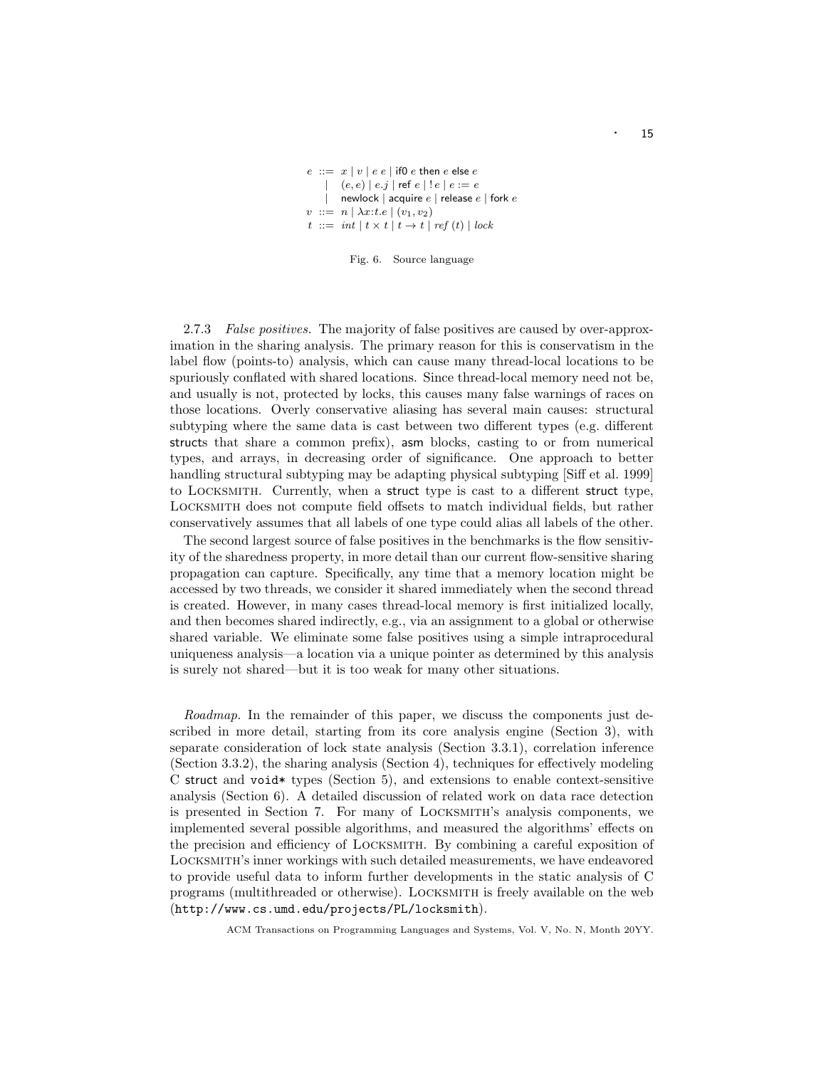```
e ::= x | v | e e | if0 e then e else e| (e, e) | e. j | ref e | ! e | e := e| newlock | acquire e | release e | fork ev ::= n | \lambda x : t.e | (v_1, v_2)t := int \mid t \times t \mid t \rightarrow t \mid ref(t) \mid lock
```


2.7.3 False positives. The majority of false positives are caused by over-approximation in the sharing analysis. The primary reason for this is conservatism in the label flow (points-to) analysis, which can cause many thread-local locations to be spuriously conflated with shared locations. Since thread-local memory need not be, and usually is not, protected by locks, this causes many false warnings of races on those locations. Overly conservative aliasing has several main causes: structural subtyping where the same data is cast between two different types (e.g. different structs that share a common prefix), asm blocks, casting to or from numerical types, and arrays, in decreasing order of significance. One approach to better handling structural subtyping may be adapting physical subtyping [Siff et al. 1999] to Locksmith. Currently, when a struct type is cast to a different struct type, Locksmith does not compute field offsets to match individual fields, but rather conservatively assumes that all labels of one type could alias all labels of the other.

The second largest source of false positives in the benchmarks is the flow sensitivity of the sharedness property, in more detail than our current flow-sensitive sharing propagation can capture. Specifically, any time that a memory location might be accessed by two threads, we consider it shared immediately when the second thread is created. However, in many cases thread-local memory is first initialized locally, and then becomes shared indirectly, e.g., via an assignment to a global or otherwise shared variable. We eliminate some false positives using a simple intraprocedural uniqueness analysis—a location via a unique pointer as determined by this analysis is surely not shared—but it is too weak for many other situations.

Roadmap. In the remainder of this paper, we discuss the components just described in more detail, starting from its core analysis engine (Section 3), with separate consideration of lock state analysis (Section 3.3.1), correlation inference (Section 3.3.2), the sharing analysis (Section 4), techniques for effectively modeling C struct and void\* types (Section 5), and extensions to enable context-sensitive analysis (Section 6). A detailed discussion of related work on data race detection is presented in Section 7. For many of Locksmith's analysis components, we implemented several possible algorithms, and measured the algorithms' effects on the precision and efficiency of Locksmith. By combining a careful exposition of Locksmith's inner workings with such detailed measurements, we have endeavored to provide useful data to inform further developments in the static analysis of C programs (multithreaded or otherwise). Locksmith is freely available on the web (http://www.cs.umd.edu/projects/PL/locksmith).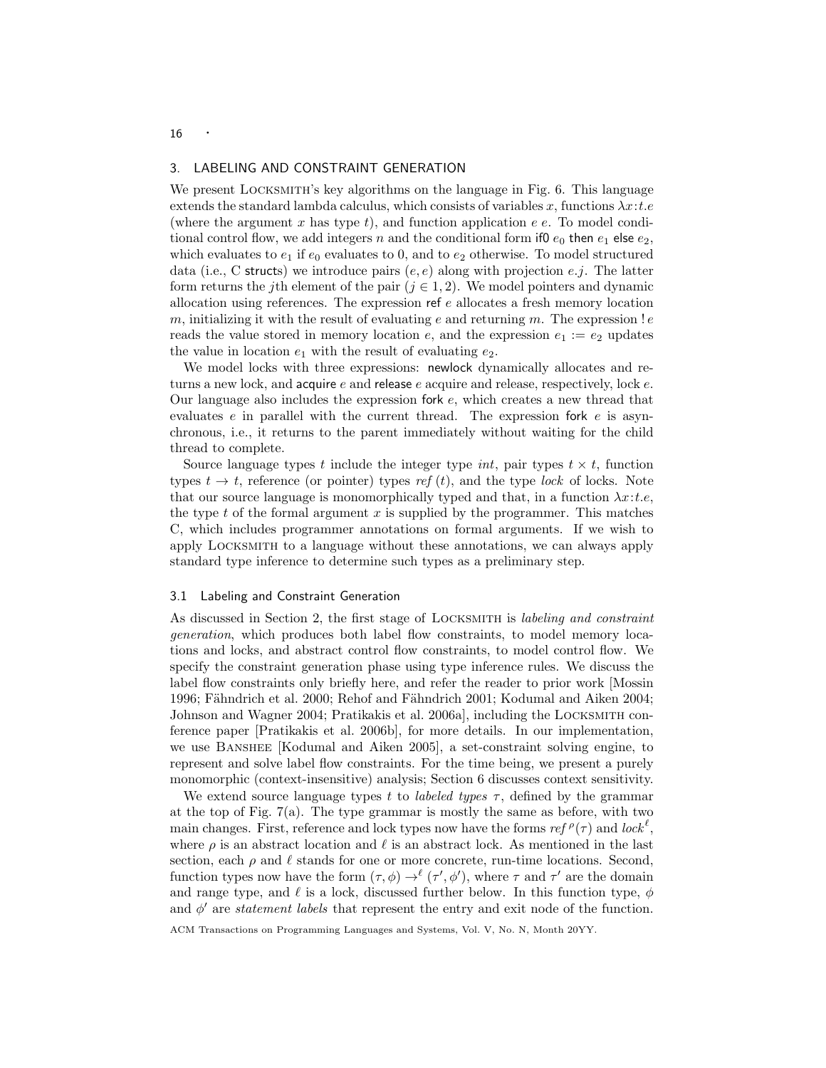# 3. LABELING AND CONSTRAINT GENERATION

We present LOCKSMITH's key algorithms on the language in Fig. 6. This language extends the standard lambda calculus, which consists of variables x, functions  $\lambda x: t.e$ (where the argument  $x$  has type  $t$ ), and function application  $e$   $e$ . To model conditional control flow, we add integers n and the conditional form if0  $e_0$  then  $e_1$  else  $e_2$ , which evaluates to  $e_1$  if  $e_0$  evaluates to 0, and to  $e_2$  otherwise. To model structured data (i.e., C structs) we introduce pairs  $(e, e)$  along with projection e.j. The latter form returns the jth element of the pair  $(j \in 1, 2)$ . We model pointers and dynamic allocation using references. The expression ref  $e$  allocates a fresh memory location m, initializing it with the result of evaluating e and returning m. The expression  $!e$ reads the value stored in memory location  $e$ , and the expression  $e_1 := e_2$  updates the value in location  $e_1$  with the result of evaluating  $e_2$ .

We model locks with three expressions: newlock dynamically allocates and returns a new lock, and acquire  $e$  and release  $e$  acquire and release, respectively, lock  $e$ . Our language also includes the expression fork e, which creates a new thread that evaluates  $e$  in parallel with the current thread. The expression for  $e$  is asynchronous, i.e., it returns to the parent immediately without waiting for the child thread to complete.

Source language types t include the integer type  $int$ , pair types  $t \times t$ , function types  $t \to t$ , reference (or pointer) types ref (t), and the type lock of locks. Note that our source language is monomorphically typed and that, in a function  $\lambda x: t.e$ , the type  $t$  of the formal argument  $x$  is supplied by the programmer. This matches C, which includes programmer annotations on formal arguments. If we wish to apply Locksmith to a language without these annotations, we can always apply standard type inference to determine such types as a preliminary step.

#### 3.1 Labeling and Constraint Generation

As discussed in Section 2, the first stage of LOCKSMITH is *labeling and constraint* generation, which produces both label flow constraints, to model memory locations and locks, and abstract control flow constraints, to model control flow. We specify the constraint generation phase using type inference rules. We discuss the label flow constraints only briefly here, and refer the reader to prior work [Mossin 1996; Fähndrich et al. 2000; Rehof and Fähndrich 2001; Kodumal and Aiken 2004; Johnson and Wagner 2004; Pratikakis et al. 2006a], including the Locksmith conference paper [Pratikakis et al. 2006b], for more details. In our implementation, we use Banshee [Kodumal and Aiken 2005], a set-constraint solving engine, to represent and solve label flow constraints. For the time being, we present a purely monomorphic (context-insensitive) analysis; Section 6 discusses context sensitivity.

We extend source language types t to *labeled types*  $\tau$ , defined by the grammar at the top of Fig. 7(a). The type grammar is mostly the same as before, with two main changes. First, reference and lock types now have the forms  $ref \rho(\tau)$  and  $lock^{\ell}$ , where  $\rho$  is an abstract location and  $\ell$  is an abstract lock. As mentioned in the last section, each  $\rho$  and  $\ell$  stands for one or more concrete, run-time locations. Second, function types now have the form  $(\tau, \phi) \rightarrow^{\ell} (\tau', \phi')$ , where  $\tau$  and  $\tau'$  are the domain and range type, and  $\ell$  is a lock, discussed further below. In this function type,  $\phi$ and  $\phi'$  are *statement labels* that represent the entry and exit node of the function.

ACM Transactions on Programming Languages and Systems, Vol. V, No. N, Month 20YY.

16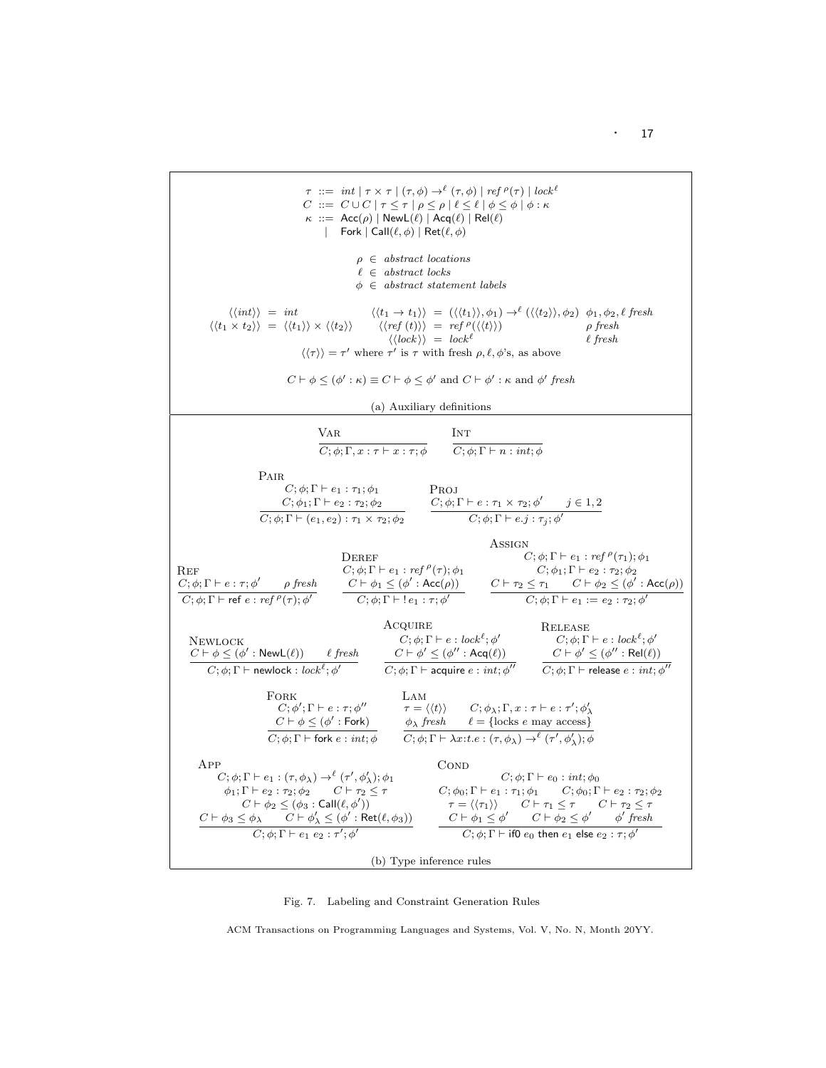

Fig. 7. Labeling and Constraint Generation Rules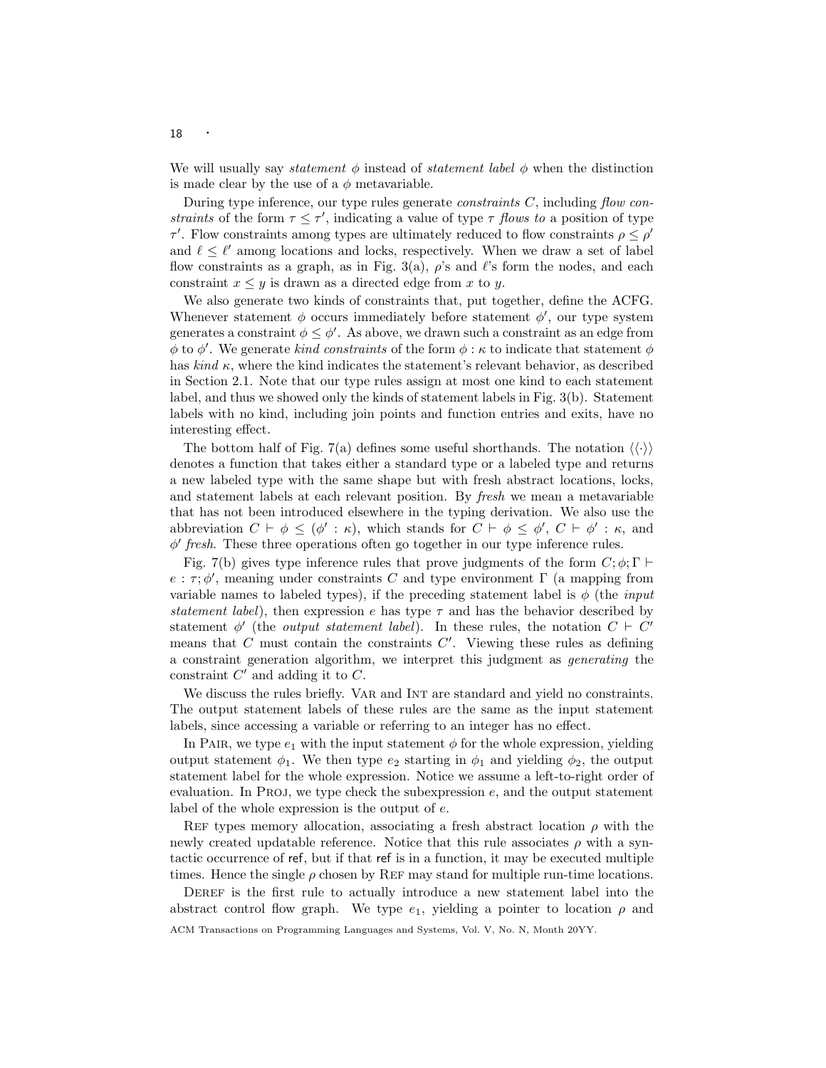We will usually say *statement*  $\phi$  instead of *statement label*  $\phi$  when the distinction is made clear by the use of a  $\phi$  metavariable.

During type inference, our type rules generate *constraints C*, including *flow con*straints of the form  $\tau \leq \tau'$ , indicating a value of type  $\tau$  flows to a position of type  $\tau'$ . Flow constraints among types are ultimately reduced to flow constraints  $\rho \leq \rho'$ and  $\ell \leq \ell'$  among locations and locks, respectively. When we draw a set of label flow constraints as a graph, as in Fig. 3(a),  $\rho$ 's and  $\ell$ 's form the nodes, and each constraint  $x \leq y$  is drawn as a directed edge from x to y.

We also generate two kinds of constraints that, put together, define the ACFG. Whenever statement  $\phi$  occurs immediately before statement  $\phi'$ , our type system generates a constraint  $\phi \leq \phi'$ . As above, we drawn such a constraint as an edge from  $\phi$  to  $\phi'$ . We generate *kind constraints* of the form  $\phi : \kappa$  to indicate that statement  $\phi$ has  $\text{kind } \kappa$ , where the kind indicates the statement's relevant behavior, as described in Section 2.1. Note that our type rules assign at most one kind to each statement label, and thus we showed only the kinds of statement labels in Fig. 3(b). Statement labels with no kind, including join points and function entries and exits, have no interesting effect.

The bottom half of Fig. 7(a) defines some useful shorthands. The notation  $\langle \langle \cdot \rangle \rangle$ denotes a function that takes either a standard type or a labeled type and returns a new labeled type with the same shape but with fresh abstract locations, locks, and statement labels at each relevant position. By fresh we mean a metavariable that has not been introduced elsewhere in the typing derivation. We also use the abbreviation  $C \vdash \phi \leq (\phi' : \kappa)$ , which stands for  $C \vdash \phi \leq \phi', C \vdash \phi' : \kappa$ , and  $\phi'$  fresh. These three operations often go together in our type inference rules.

Fig. 7(b) gives type inference rules that prove judgments of the form  $C; \phi; \Gamma \vdash$  $e : \tau$ ;  $\phi'$ , meaning under constraints C and type environment  $\Gamma$  (a mapping from variable names to labeled types), if the preceding statement label is  $\phi$  (the *input* statement label), then expression e has type  $\tau$  and has the behavior described by statement  $\phi'$  (the *output statement label*). In these rules, the notation  $C \vdash C'$ means that  $C$  must contain the constraints  $C'$ . Viewing these rules as defining a constraint generation algorithm, we interpret this judgment as generating the constraint  $C'$  and adding it to  $C$ .

We discuss the rules briefly. VAR and INT are standard and yield no constraints. The output statement labels of these rules are the same as the input statement labels, since accessing a variable or referring to an integer has no effect.

In PAIR, we type  $e_1$  with the input statement  $\phi$  for the whole expression, yielding output statement  $\phi_1$ . We then type  $e_2$  starting in  $\phi_1$  and yielding  $\phi_2$ , the output statement label for the whole expression. Notice we assume a left-to-right order of evaluation. In PROJ, we type check the subexpression  $e$ , and the output statement label of the whole expression is the output of e.

REF types memory allocation, associating a fresh abstract location  $\rho$  with the newly created updatable reference. Notice that this rule associates  $\rho$  with a syntactic occurrence of ref, but if that ref is in a function, it may be executed multiple times. Hence the single  $\rho$  chosen by REF may stand for multiple run-time locations.

DEREF is the first rule to actually introduce a new statement label into the abstract control flow graph. We type  $e_1$ , yielding a pointer to location  $\rho$  and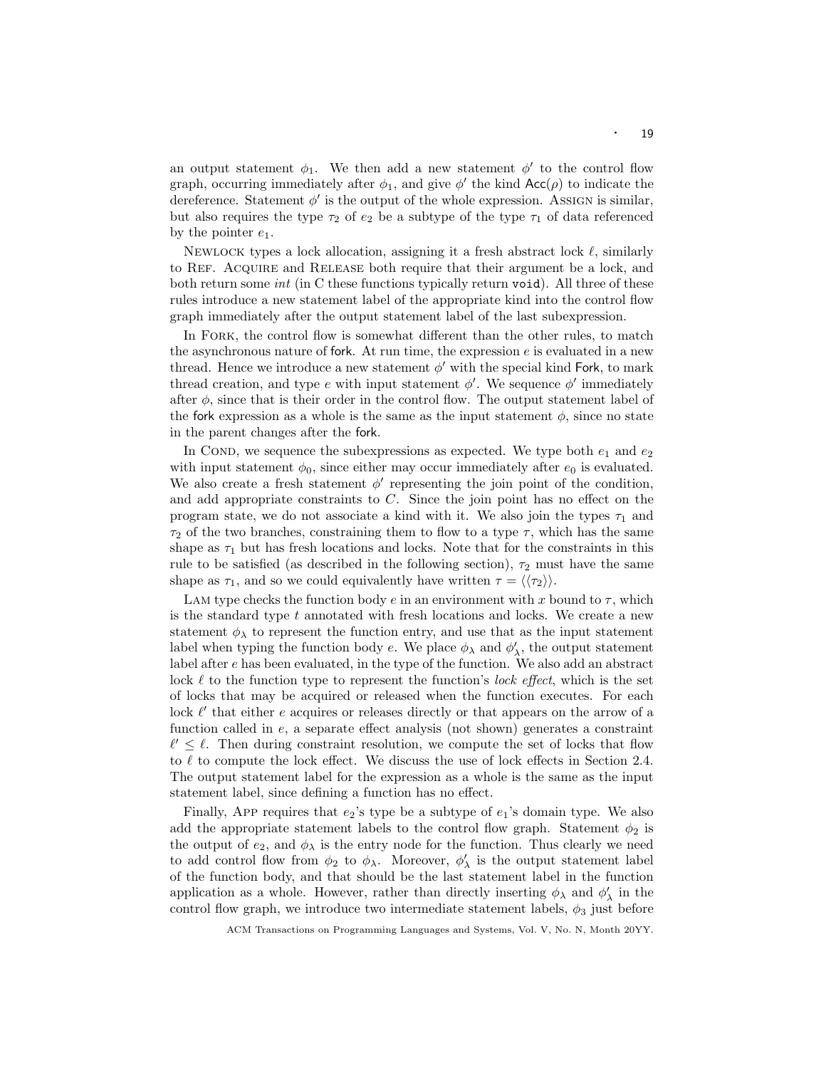an output statement  $\phi_1$ . We then add a new statement  $\phi'$  to the control flow graph, occurring immediately after  $\phi_1$ , and give  $\phi'$  the kind  $Acc(\rho)$  to indicate the dereference. Statement  $\phi'$  is the output of the whole expression. Assign is similar, but also requires the type  $\tau_2$  of  $e_2$  be a subtype of the type  $\tau_1$  of data referenced by the pointer  $e_1$ .

NEWLOCK types a lock allocation, assigning it a fresh abstract lock  $\ell$ , similarly to Ref. Acquire and Release both require that their argument be a lock, and both return some *int* (in C these functions typically return void). All three of these rules introduce a new statement label of the appropriate kind into the control flow graph immediately after the output statement label of the last subexpression.

In Fork, the control flow is somewhat different than the other rules, to match the asynchronous nature of fork. At run time, the expression  $e$  is evaluated in a new thread. Hence we introduce a new statement  $\phi'$  with the special kind Fork, to mark thread creation, and type e with input statement  $\phi'$ . We sequence  $\phi'$  immediately after  $\phi$ , since that is their order in the control flow. The output statement label of the fork expression as a whole is the same as the input statement  $\phi$ , since no state in the parent changes after the fork.

In COND, we sequence the subexpressions as expected. We type both  $e_1$  and  $e_2$ with input statement  $\phi_0$ , since either may occur immediately after  $e_0$  is evaluated. We also create a fresh statement  $\phi'$  representing the join point of the condition, and add appropriate constraints to  $C$ . Since the join point has no effect on the program state, we do not associate a kind with it. We also join the types  $\tau_1$  and  $\tau_2$  of the two branches, constraining them to flow to a type  $\tau$ , which has the same shape as  $\tau_1$  but has fresh locations and locks. Note that for the constraints in this rule to be satisfied (as described in the following section),  $\tau_2$  must have the same shape as  $\tau_1$ , and so we could equivalently have written  $\tau = \langle \langle \tau_2 \rangle \rangle$ .

Lam type checks the function body e in an environment with x bound to  $\tau$ , which is the standard type  $t$  annotated with fresh locations and locks. We create a new statement  $\phi_{\lambda}$  to represent the function entry, and use that as the input statement label when typing the function body  $e$ . We place  $\phi_{\lambda}$  and  $\phi'_{\lambda}$ , the output statement label after e has been evaluated, in the type of the function. We also add an abstract lock  $\ell$  to the function type to represent the function's lock effect, which is the set of locks that may be acquired or released when the function executes. For each lock  $\ell'$  that either  $e$  acquires or releases directly or that appears on the arrow of a function called in e, a separate effect analysis (not shown) generates a constraint  $\ell' \leq \ell$ . Then during constraint resolution, we compute the set of locks that flow to  $\ell$  to compute the lock effect. We discuss the use of lock effects in Section 2.4. The output statement label for the expression as a whole is the same as the input statement label, since defining a function has no effect.

Finally, APP requires that  $e_2$ 's type be a subtype of  $e_1$ 's domain type. We also add the appropriate statement labels to the control flow graph. Statement  $\phi_2$  is the output of  $e_2$ , and  $\phi_{\lambda}$  is the entry node for the function. Thus clearly we need to add control flow from  $\phi_2$  to  $\phi_\lambda$ . Moreover,  $\phi'_\lambda$  is the output statement label of the function body, and that should be the last statement label in the function application as a whole. However, rather than directly inserting  $\phi_{\lambda}$  and  $\phi'_{\lambda}$  in the control flow graph, we introduce two intermediate statement labels,  $\phi_3$  just before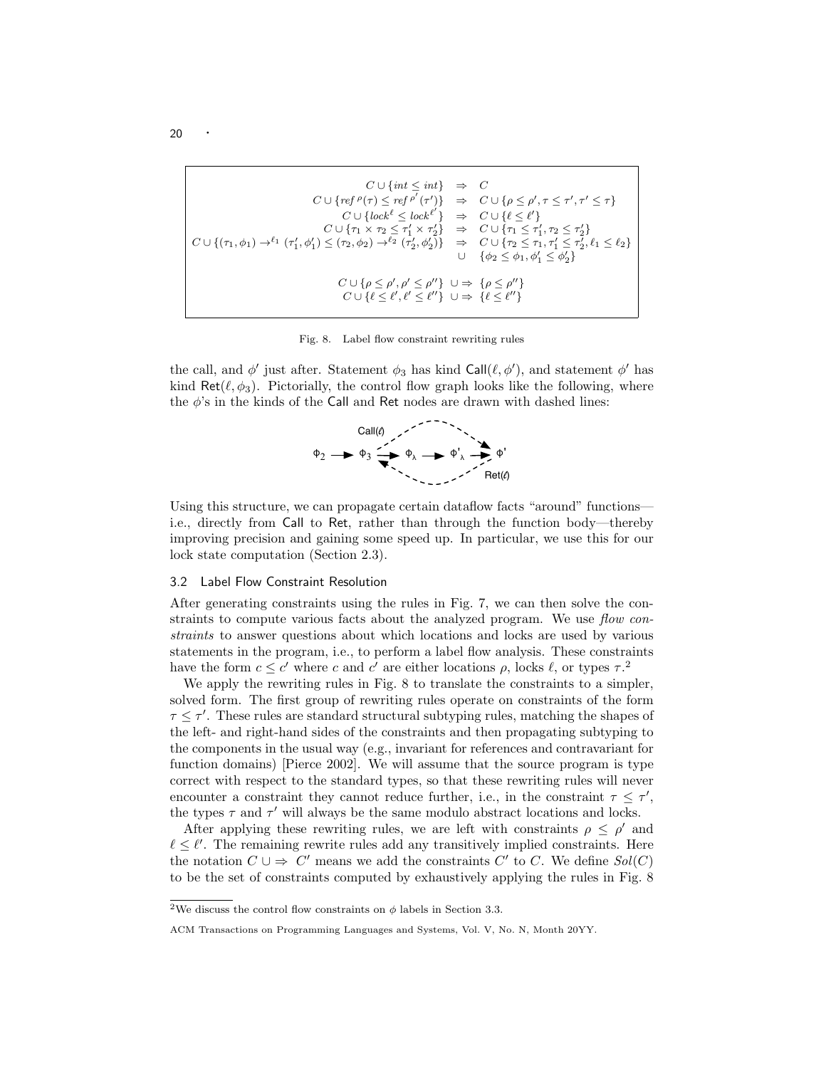$$
C \cup \{int \in \mathcal{F}^{\rho}(\tau)\} \Rightarrow C
$$
  
\n
$$
C \cup \{ref^{\rho}(\tau)\} \Rightarrow C \cup \{\rho \leq \rho', \tau \leq \tau', \tau' \leq \tau\}
$$
  
\n
$$
C \cup \{lock^{\ell} \leq lock^{\ell'}\} \Rightarrow C \cup \{\ell \leq \ell'\}
$$
  
\n
$$
C \cup \{\tau_1 \times \tau_2 \leq \tau'_1 \times \tau'_2\} \Rightarrow C \cup \{\tau_1 \leq \tau'_1, \tau_2 \leq \tau'_2\}
$$
  
\n
$$
C \cup \{(\tau_1, \phi_1) \to^{\ell_1} (\tau'_1, \phi'_1) \leq (\tau_2, \phi_2) \to^{\ell_2} (\tau'_2, \phi'_2)\} \Rightarrow C \cup \{\tau_2 \leq \tau_1, \tau'_1 \leq \tau'_2, \ell_1 \leq \ell_2\}
$$
  
\n
$$
\cup \{\phi \leq \phi_1, \phi'_1 \leq \phi'_2\}
$$
  
\n
$$
C \cup \{\rho \leq \rho', \rho' \leq \rho''\} \cup \Rightarrow \{\rho \leq \rho'''\}
$$
  
\n
$$
C \cup \{\ell \leq \ell', \ell' \leq \ell''\} \cup \Rightarrow \{\ell \leq \ell''\}
$$

Fig. 8. Label flow constraint rewriting rules

the call, and  $\phi'$  just after. Statement  $\phi_3$  has kind Call $(\ell, \phi')$ , and statement  $\phi'$  has kind Ret( $(\ell, \phi_3)$ ). Pictorially, the control flow graph looks like the following, where the  $\phi$ 's in the kinds of the Call and Ret nodes are drawn with dashed lines:



Using this structure, we can propagate certain dataflow facts "around" functions i.e., directly from Call to Ret, rather than through the function body—thereby improving precision and gaining some speed up. In particular, we use this for our lock state computation (Section 2.3).

### 3.2 Label Flow Constraint Resolution

After generating constraints using the rules in Fig. 7, we can then solve the constraints to compute various facts about the analyzed program. We use flow constraints to answer questions about which locations and locks are used by various statements in the program, i.e., to perform a label flow analysis. These constraints have the form  $c \leq c'$  where c and c' are either locations  $\rho$ , locks  $\ell$ , or types  $\tau$ .<sup>2</sup>

We apply the rewriting rules in Fig. 8 to translate the constraints to a simpler, solved form. The first group of rewriting rules operate on constraints of the form  $\tau \leq \tau'$ . These rules are standard structural subtyping rules, matching the shapes of the left- and right-hand sides of the constraints and then propagating subtyping to the components in the usual way (e.g., invariant for references and contravariant for function domains) [Pierce 2002]. We will assume that the source program is type correct with respect to the standard types, so that these rewriting rules will never encounter a constraint they cannot reduce further, i.e., in the constraint  $\tau \leq \tau'$ , the types  $\tau$  and  $\tau'$  will always be the same modulo abstract locations and locks.

After applying these rewriting rules, we are left with constraints  $\rho \leq \rho'$  and  $\ell \leq \ell'$ . The remaining rewrite rules add any transitively implied constraints. Here the notation  $C \cup \Rightarrow C'$  means we add the constraints  $C'$  to C. We define  $Sol(C)$ to be the set of constraints computed by exhaustively applying the rules in Fig. 8

<sup>&</sup>lt;sup>2</sup>We discuss the control flow constraints on  $\phi$  labels in Section 3.3.

ACM Transactions on Programming Languages and Systems, Vol. V, No. N, Month 20YY.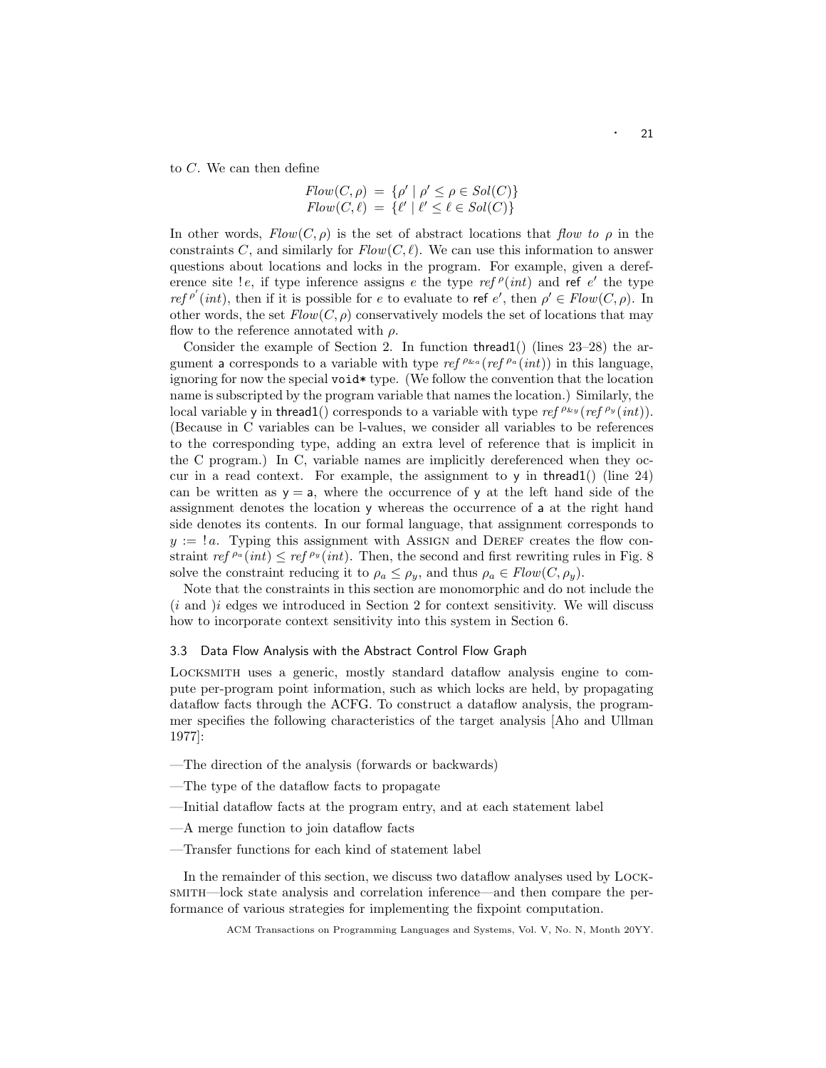to C. We can then define

$$
Flow(C, \rho) = \{ \rho' \mid \rho' \le \rho \in Sol(C) \}
$$

$$
Flow(C, \ell) = \{ \ell' \mid \ell' \le \ell \in Sol(C) \}
$$

In other words,  $Flow(C, \rho)$  is the set of abstract locations that flow to  $\rho$  in the constraints C, and similarly for  $Flow(C, \ell)$ . We can use this information to answer questions about locations and locks in the program. For example, given a dereference site ! e, if type inference assigns e the type  $ref \rho(int)$  and ref e' the type ref <sup>ρ'</sup>(int), then if it is possible for e to evaluate to ref e', then  $\rho' \in Flow(C, \rho)$ . In other words, the set  $Flow(C, \rho)$  conservatively models the set of locations that may flow to the reference annotated with  $\rho$ .

Consider the example of Section 2. In function thread1() (lines 23–28) the argument a corresponds to a variable with type ref  $\int^{\rho_{\&a}} (ref^{\rho_a}(int))$  in this language, ignoring for now the special void\* type. (We follow the convention that the location name is subscripted by the program variable that names the location.) Similarly, the local variable y in thread1() corresponds to a variable with type ref  $\rho_{xy}$  (ref  $\rho_y$  (int)). (Because in C variables can be l-values, we consider all variables to be references to the corresponding type, adding an extra level of reference that is implicit in the C program.) In C, variable names are implicitly dereferenced when they occur in a read context. For example, the assignment to  $\gamma$  in thread1() (line 24) can be written as  $y = a$ , where the occurrence of y at the left hand side of the assignment denotes the location y whereas the occurrence of a at the right hand side denotes its contents. In our formal language, that assignment corresponds to  $y := a$ . Typing this assignment with ASSIGN and DEREF creates the flow constraint ref  $P^a(int) \leq ref P^y(int)$ . Then, the second and first rewriting rules in Fig. 8 solve the constraint reducing it to  $\rho_a \leq \rho_y$ , and thus  $\rho_a \in Flow(C, \rho_y)$ .

Note that the constraints in this section are monomorphic and do not include the  $(i$  and  $)i$  edges we introduced in Section 2 for context sensitivity. We will discuss how to incorporate context sensitivity into this system in Section 6.

# 3.3 Data Flow Analysis with the Abstract Control Flow Graph

Locksmith uses a generic, mostly standard dataflow analysis engine to compute per-program point information, such as which locks are held, by propagating dataflow facts through the ACFG. To construct a dataflow analysis, the programmer specifies the following characteristics of the target analysis [Aho and Ullman 1977]:

- —The direction of the analysis (forwards or backwards)
- —The type of the dataflow facts to propagate
- —Initial dataflow facts at the program entry, and at each statement label
- —A merge function to join dataflow facts
- —Transfer functions for each kind of statement label

In the remainder of this section, we discuss two dataflow analyses used by Locksmith—lock state analysis and correlation inference—and then compare the performance of various strategies for implementing the fixpoint computation.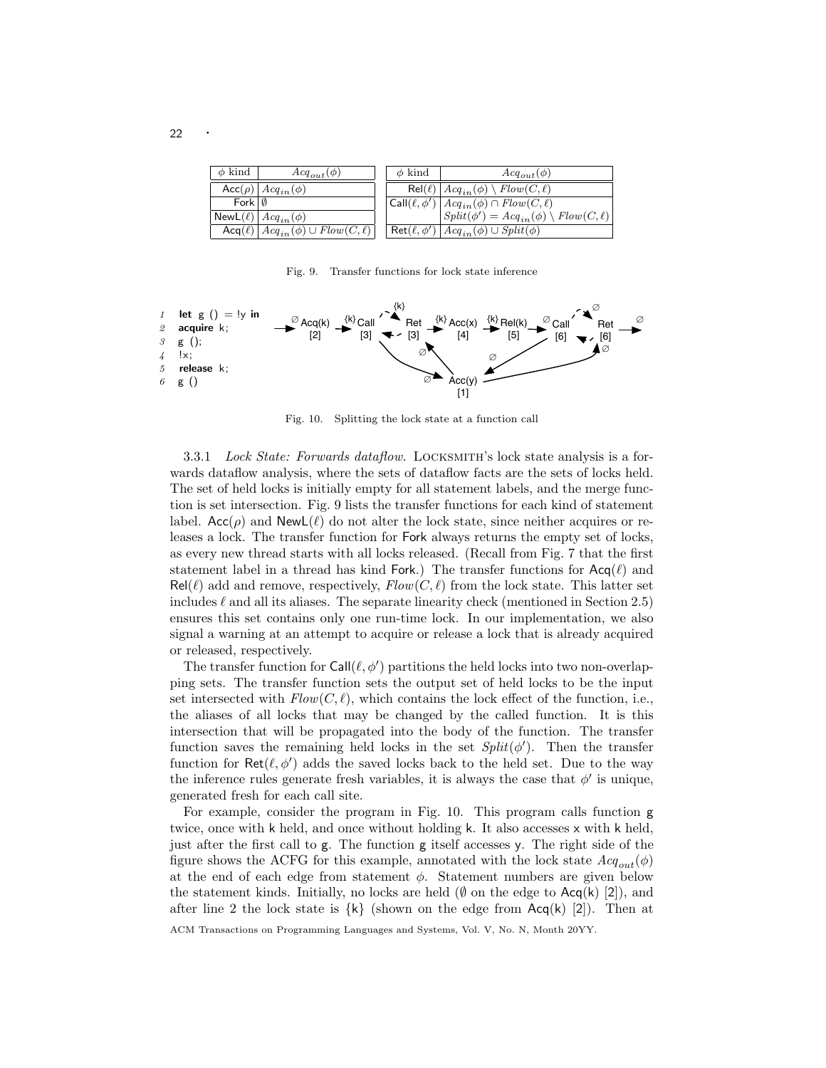| $\phi$ kind                        | $Acq_{out}(\phi)$                                                              | $\phi$ kind | $Acq_{out}(\phi)$                                                                                               |
|------------------------------------|--------------------------------------------------------------------------------|-------------|-----------------------------------------------------------------------------------------------------------------|
|                                    | $\overline{\textsf{Acc}(\rho)}$ $\big \textit{Acq}_{in}(\phi)\big $            |             | $\overline{\text{Rel}(\ell)}$ $\big \text{Acq}_{in}(\phi) \setminus \text{Flow}(C, \ell)\big $                  |
| $Fork \downharpoonright \emptyset$ |                                                                                |             | $\vert \overline{\mathsf{Call}(\ell,\phi')}\,\vert \, \mathit{Acq}_{in}(\phi) \cap \mathit{Flow}(C,\ell) \vert$ |
|                                    | NewL $(\ell)$ $ $ $Acq_{in}(\phi)$                                             |             | $\overline{\mathcal{S}plit(\phi')} = \text{Acq}_{in}(\phi) \setminus \text{Flow}(C, \ell)$                      |
|                                    | $\overline{\mathsf{Acq}(\ell)   \mathit{Acq}_{in}(\phi)} \cup Flow(C, \ell)  $ |             | $\boxed{\mathsf{Ret}(\ell,\phi') \,   \, \mathit{Acq}_{in}(\phi) \cup \mathit{Split}(\phi)}$                    |

Fig. 9. Transfer functions for lock state inference



Fig. 10. Splitting the lock state at a function call

3.3.1 Lock State: Forwards dataflow. LOCKSMITH's lock state analysis is a forwards dataflow analysis, where the sets of dataflow facts are the sets of locks held. The set of held locks is initially empty for all statement labels, and the merge function is set intersection. Fig. 9 lists the transfer functions for each kind of statement label.  $Acc(\rho)$  and  $NewL(\ell)$  do not alter the lock state, since neither acquires or releases a lock. The transfer function for Fork always returns the empty set of locks, as every new thread starts with all locks released. (Recall from Fig. 7 that the first statement label in a thread has kind Fork.) The transfer functions for  $Acq(\ell)$  and  $\text{Rel}(\ell)$  add and remove, respectively,  $Flow(C, \ell)$  from the lock state. This latter set includes  $\ell$  and all its aliases. The separate linearity check (mentioned in Section 2.5) ensures this set contains only one run-time lock. In our implementation, we also signal a warning at an attempt to acquire or release a lock that is already acquired or released, respectively.

The transfer function for  $\text{Call}(\ell, \phi')$  partitions the held locks into two non-overlapping sets. The transfer function sets the output set of held locks to be the input set intersected with  $Flow(C, \ell)$ , which contains the lock effect of the function, i.e., the aliases of all locks that may be changed by the called function. It is this intersection that will be propagated into the body of the function. The transfer function saves the remaining held locks in the set  $Split(\phi')$ . Then the transfer function for  $\text{Ret}(\ell, \phi')$  adds the saved locks back to the held set. Due to the way the inference rules generate fresh variables, it is always the case that  $\phi'$  is unique, generated fresh for each call site.

For example, consider the program in Fig. 10. This program calls function g twice, once with k held, and once without holding k. It also accesses x with k held, just after the first call to g. The function g itself accesses y. The right side of the figure shows the ACFG for this example, annotated with the lock state  $Acq_{out}(\phi)$ at the end of each edge from statement  $\phi$ . Statement numbers are given below the statement kinds. Initially, no locks are held  $(\emptyset$  on the edge to  $Acq(k)$  [2]), and after line 2 the lock state is  $\{k\}$  (shown on the edge from Acq(k) [2]). Then at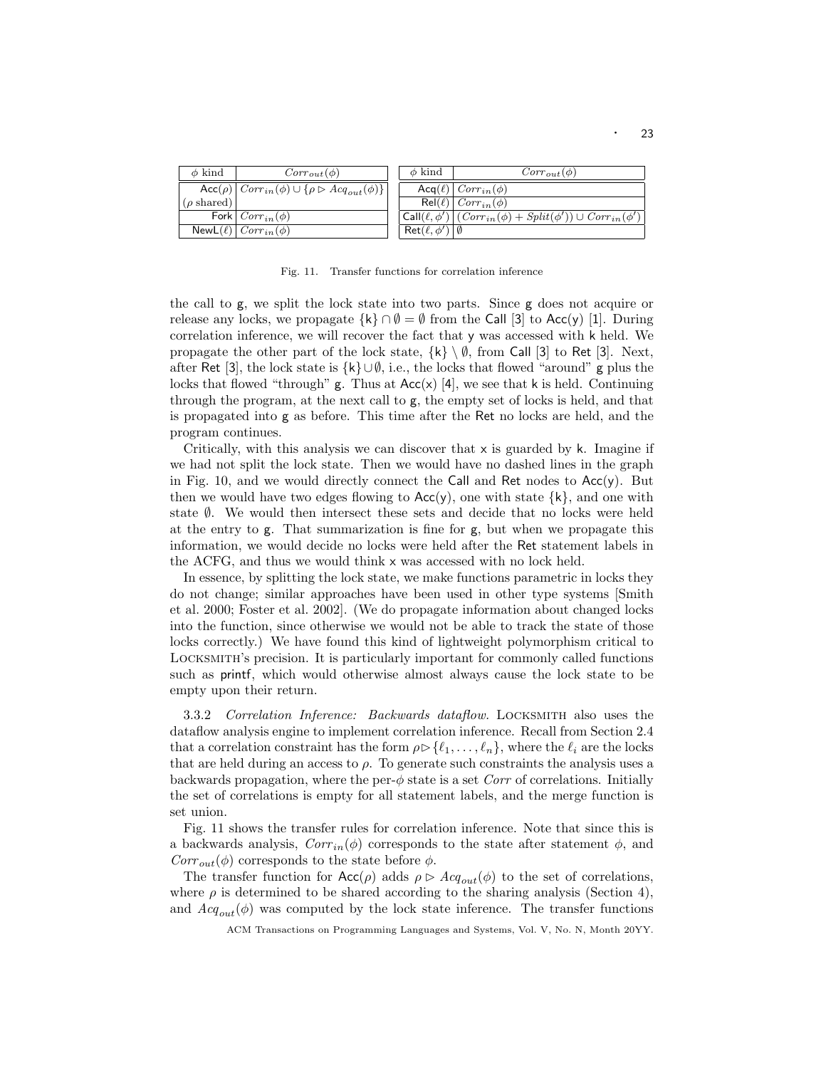| $\phi$ kind               | $Corr_{out}(\phi)$                                                                                             | $\phi$ kind                             | $Corr_{out}(\phi)$                                                                   |
|---------------------------|----------------------------------------------------------------------------------------------------------------|-----------------------------------------|--------------------------------------------------------------------------------------|
|                           | $\left  \text{Acc}(\rho) \right  \text{Corr}_{in}(\phi) \cup \{ \rho \triangleright \text{Acq}_{out}(\phi) \}$ |                                         | $\textsf{Acq}(\ell) \mid Corr_{in}(\phi)$                                            |
| $(\rho \, \text{shared})$ |                                                                                                                |                                         | $\mathsf{Rel}(\ell) \mid Corr_{in}(\phi)$                                            |
|                           | Fork $Corr_{in}(\phi)$                                                                                         |                                         | $\text{Call}(\ell,\phi')   (Corr_{in}(\phi) + Split(\phi')) \cup Corr_{in}(\phi')  $ |
|                           | $\mathsf{NewL}(\ell) \mid Corr_{in}(\phi)$                                                                     | $\mathsf{Ret}(\ell, \phi')   \emptyset$ |                                                                                      |

Fig. 11. Transfer functions for correlation inference

the call to g, we split the lock state into two parts. Since g does not acquire or release any locks, we propagate  $\{k\} \cap \emptyset = \emptyset$  from the Call [3] to Acc(y) [1]. During correlation inference, we will recover the fact that y was accessed with k held. We propagate the other part of the lock state,  $\{k\} \setminus \emptyset$ , from Call [3] to Ret [3]. Next, after Ret [3], the lock state is  $\{k\} \cup \emptyset$ , i.e., the locks that flowed "around" g plus the locks that flowed "through"  $g$ . Thus at  $Acc(x)$  [4], we see that k is held. Continuing through the program, at the next call to g, the empty set of locks is held, and that is propagated into g as before. This time after the Ret no locks are held, and the program continues.

Critically, with this analysis we can discover that  $x$  is guarded by k. Imagine if we had not split the lock state. Then we would have no dashed lines in the graph in Fig. 10, and we would directly connect the Call and Ret nodes to  $Acc(y)$ . But then we would have two edges flowing to  $Acc(y)$ , one with state  $\{k\}$ , and one with state ∅. We would then intersect these sets and decide that no locks were held at the entry to g. That summarization is fine for g, but when we propagate this information, we would decide no locks were held after the Ret statement labels in the ACFG, and thus we would think x was accessed with no lock held.

In essence, by splitting the lock state, we make functions parametric in locks they do not change; similar approaches have been used in other type systems [Smith et al. 2000; Foster et al. 2002]. (We do propagate information about changed locks into the function, since otherwise we would not be able to track the state of those locks correctly.) We have found this kind of lightweight polymorphism critical to Locksmith's precision. It is particularly important for commonly called functions such as printf, which would otherwise almost always cause the lock state to be empty upon their return.

3.3.2 Correlation Inference: Backwards dataflow. LOCKSMITH also uses the dataflow analysis engine to implement correlation inference. Recall from Section 2.4 that a correlation constraint has the form  $\rho \triangleright \{ \ell_1, \ldots, \ell_n \}$ , where the  $\ell_i$  are the locks that are held during an access to  $\rho$ . To generate such constraints the analysis uses a backwards propagation, where the per- $\phi$  state is a set Corr of correlations. Initially the set of correlations is empty for all statement labels, and the merge function is set union.

Fig. 11 shows the transfer rules for correlation inference. Note that since this is a backwards analysis,  $Corr_{in}(\phi)$  corresponds to the state after statement  $\phi$ , and  $Corr_{out}(\phi)$  corresponds to the state before  $\phi$ .

The transfer function for  $Acc(\rho)$  adds  $\rho \triangleright Acq_{out}(\phi)$  to the set of correlations, where  $\rho$  is determined to be shared according to the sharing analysis (Section 4), and  $Acq_{out}(\phi)$  was computed by the lock state inference. The transfer functions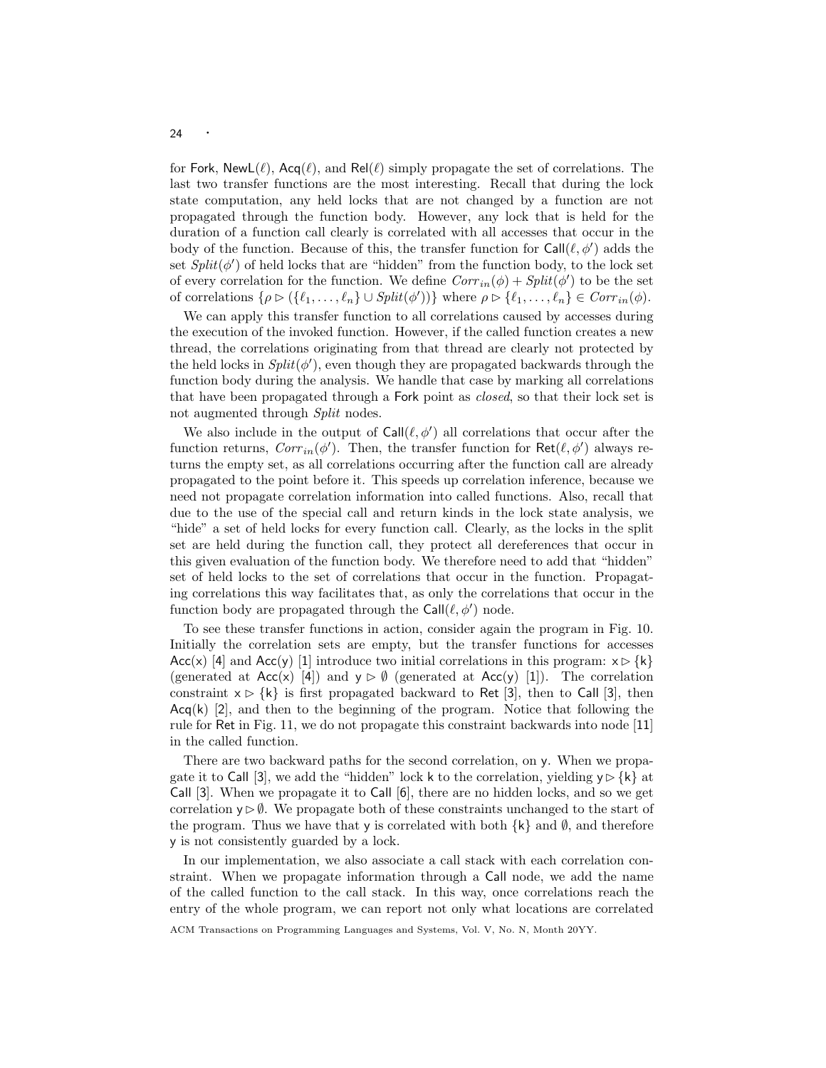for Fork, NewL( $\ell$ ), Acq( $\ell$ ), and Rel( $\ell$ ) simply propagate the set of correlations. The last two transfer functions are the most interesting. Recall that during the lock state computation, any held locks that are not changed by a function are not propagated through the function body. However, any lock that is held for the duration of a function call clearly is correlated with all accesses that occur in the body of the function. Because of this, the transfer function for  $\text{Call}(\ell, \phi')$  adds the set  $Split(\phi')$  of held locks that are "hidden" from the function body, to the lock set of every correlation for the function. We define  $Corr_{in}(\phi) + Split(\phi')$  to be the set of correlations  $\{\rho \triangleright (\{\ell_1, \ldots, \ell_n\} \cup Split(\phi'))\}$  where  $\rho \triangleright \{\ell_1, \ldots, \ell_n\} \in Corr_{in}(\phi)$ .

We can apply this transfer function to all correlations caused by accesses during the execution of the invoked function. However, if the called function creates a new thread, the correlations originating from that thread are clearly not protected by the held locks in  $Split(\phi')$ , even though they are propagated backwards through the function body during the analysis. We handle that case by marking all correlations that have been propagated through a Fork point as closed, so that their lock set is not augmented through *Split* nodes.

We also include in the output of  $Call(\ell, \phi')$  all correlations that occur after the function returns,  $Corr<sub>in</sub>(\phi')$ . Then, the transfer function for  $\textsf{Ret}(\ell, \phi')$  always returns the empty set, as all correlations occurring after the function call are already propagated to the point before it. This speeds up correlation inference, because we need not propagate correlation information into called functions. Also, recall that due to the use of the special call and return kinds in the lock state analysis, we "hide" a set of held locks for every function call. Clearly, as the locks in the split set are held during the function call, they protect all dereferences that occur in this given evaluation of the function body. We therefore need to add that "hidden" set of held locks to the set of correlations that occur in the function. Propagating correlations this way facilitates that, as only the correlations that occur in the function body are propagated through the  $Call(\ell, \phi')$  node.

To see these transfer functions in action, consider again the program in Fig. 10. Initially the correlation sets are empty, but the transfer functions for accesses Acc(x) [4] and Acc(y) [1] introduce two initial correlations in this program:  $x \triangleright \{k\}$ (generated at  $Acc(x)$  [4]) and  $y \triangleright \emptyset$  (generated at  $Acc(y)$  [1]). The correlation constraint  $x \triangleright \{k\}$  is first propagated backward to Ret [3], then to Call [3], then  $Acq(k)$  [2], and then to the beginning of the program. Notice that following the rule for Ret in Fig. 11, we do not propagate this constraint backwards into node [11] in the called function.

There are two backward paths for the second correlation, on y. When we propagate it to Call [3], we add the "hidden" lock k to the correlation, yielding  $y \triangleright \{k\}$  at Call [3]. When we propagate it to Call [6], there are no hidden locks, and so we get correlation  $y \triangleright \emptyset$ . We propagate both of these constraints unchanged to the start of the program. Thus we have that y is correlated with both  $\{k\}$  and  $\emptyset$ , and therefore y is not consistently guarded by a lock.

In our implementation, we also associate a call stack with each correlation constraint. When we propagate information through a Call node, we add the name of the called function to the call stack. In this way, once correlations reach the entry of the whole program, we can report not only what locations are correlated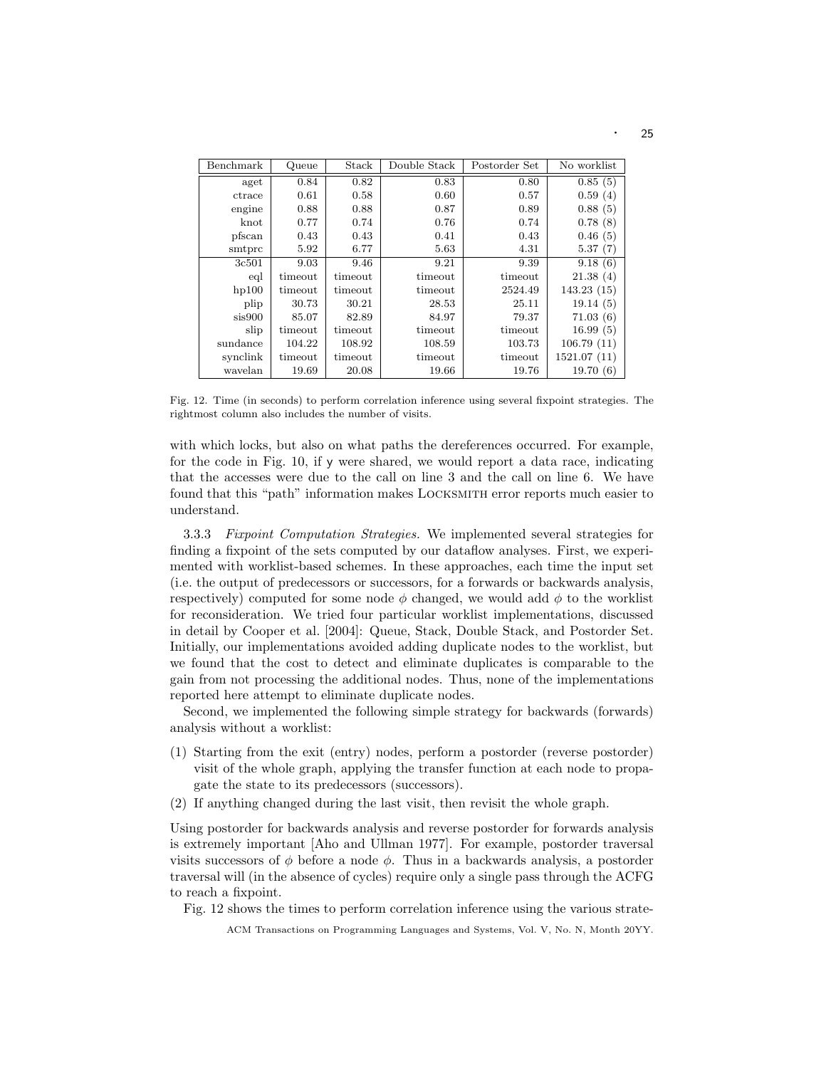| Benchmark | Queue   | Stack   | Double Stack | Postorder Set | No worklist |
|-----------|---------|---------|--------------|---------------|-------------|
| aget      | 0.84    | 0.82    | 0.83         | 0.80          | 0.85(5)     |
| ctrace    | 0.61    | 0.58    | 0.60         | 0.57          | 0.59(4)     |
| engine    | 0.88    | 0.88    | 0.87         | 0.89          | 0.88(5)     |
| $k$ not   | 0.77    | 0.74    | 0.76         | 0.74          | 0.78(8)     |
| pfscan    | 0.43    | 0.43    | 0.41         | 0.43          | 0.46(5)     |
| smtprc    | 5.92    | 6.77    | 5.63         | 4.31          | 5.37(7)     |
| 3c501     | 9.03    | 9.46    | 9.21         | 9.39          | 9.18(6)     |
| eql       | timeout | timeout | timeout      | timeout       | 21.38(4)    |
| hp100     | timeout | timeout | timeout      | 2524.49       | 143.23(15)  |
| plip      | 30.73   | 30.21   | 28.53        | 25.11         | 19.14(5)    |
| sis900    | 85.07   | 82.89   | 84.97        | 79.37         | 71.03(6)    |
| slip      | timeout | timeout | timeout      | timeout       | 16.99(5)    |
| sundance  | 104.22  | 108.92  | 108.59       | 103.73        | 106.79(11)  |
| synclink  | timeout | timeout | timeout      | timeout       | 1521.07(11) |
| wavelan   | 19.69   | 20.08   | 19.66        | 19.76         | 19.70(6)    |

Fig. 12. Time (in seconds) to perform correlation inference using several fixpoint strategies. The rightmost column also includes the number of visits.

with which locks, but also on what paths the dereferences occurred. For example, for the code in Fig. 10, if y were shared, we would report a data race, indicating that the accesses were due to the call on line 3 and the call on line 6. We have found that this "path" information makes Locksmith error reports much easier to understand.

3.3.3 Fixpoint Computation Strategies. We implemented several strategies for finding a fixpoint of the sets computed by our dataflow analyses. First, we experimented with worklist-based schemes. In these approaches, each time the input set (i.e. the output of predecessors or successors, for a forwards or backwards analysis, respectively) computed for some node  $\phi$  changed, we would add  $\phi$  to the worklist for reconsideration. We tried four particular worklist implementations, discussed in detail by Cooper et al. [2004]: Queue, Stack, Double Stack, and Postorder Set. Initially, our implementations avoided adding duplicate nodes to the worklist, but we found that the cost to detect and eliminate duplicates is comparable to the gain from not processing the additional nodes. Thus, none of the implementations reported here attempt to eliminate duplicate nodes.

Second, we implemented the following simple strategy for backwards (forwards) analysis without a worklist:

- (1) Starting from the exit (entry) nodes, perform a postorder (reverse postorder) visit of the whole graph, applying the transfer function at each node to propagate the state to its predecessors (successors).
- (2) If anything changed during the last visit, then revisit the whole graph.

Using postorder for backwards analysis and reverse postorder for forwards analysis is extremely important [Aho and Ullman 1977]. For example, postorder traversal visits successors of  $\phi$  before a node  $\phi$ . Thus in a backwards analysis, a postorder traversal will (in the absence of cycles) require only a single pass through the ACFG to reach a fixpoint.

Fig. 12 shows the times to perform correlation inference using the various strate-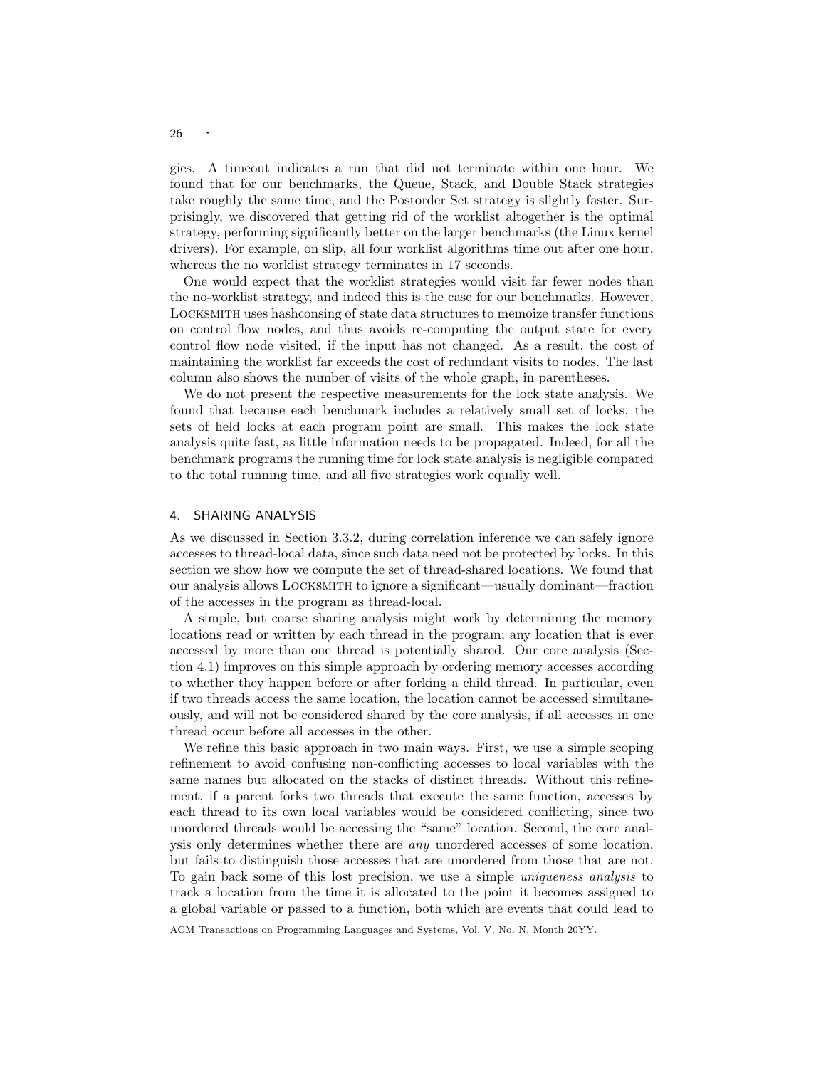gies. A timeout indicates a run that did not terminate within one hour. We found that for our benchmarks, the Queue, Stack, and Double Stack strategies take roughly the same time, and the Postorder Set strategy is slightly faster. Surprisingly, we discovered that getting rid of the worklist altogether is the optimal strategy, performing significantly better on the larger benchmarks (the Linux kernel drivers). For example, on slip, all four worklist algorithms time out after one hour, whereas the no worklist strategy terminates in 17 seconds.

One would expect that the worklist strategies would visit far fewer nodes than the no-worklist strategy, and indeed this is the case for our benchmarks. However, Locksmith uses hashconsing of state data structures to memoize transfer functions on control flow nodes, and thus avoids re-computing the output state for every control flow node visited, if the input has not changed. As a result, the cost of maintaining the worklist far exceeds the cost of redundant visits to nodes. The last column also shows the number of visits of the whole graph, in parentheses.

We do not present the respective measurements for the lock state analysis. We found that because each benchmark includes a relatively small set of locks, the sets of held locks at each program point are small. This makes the lock state analysis quite fast, as little information needs to be propagated. Indeed, for all the benchmark programs the running time for lock state analysis is negligible compared to the total running time, and all five strategies work equally well.

#### 4. SHARING ANALYSIS

As we discussed in Section 3.3.2, during correlation inference we can safely ignore accesses to thread-local data, since such data need not be protected by locks. In this section we show how we compute the set of thread-shared locations. We found that our analysis allows Locksmith to ignore a significant—usually dominant—fraction of the accesses in the program as thread-local.

A simple, but coarse sharing analysis might work by determining the memory locations read or written by each thread in the program; any location that is ever accessed by more than one thread is potentially shared. Our core analysis (Section 4.1) improves on this simple approach by ordering memory accesses according to whether they happen before or after forking a child thread. In particular, even if two threads access the same location, the location cannot be accessed simultaneously, and will not be considered shared by the core analysis, if all accesses in one thread occur before all accesses in the other.

We refine this basic approach in two main ways. First, we use a simple scoping refinement to avoid confusing non-conflicting accesses to local variables with the same names but allocated on the stacks of distinct threads. Without this refinement, if a parent forks two threads that execute the same function, accesses by each thread to its own local variables would be considered conflicting, since two unordered threads would be accessing the "same" location. Second, the core analysis only determines whether there are any unordered accesses of some location, but fails to distinguish those accesses that are unordered from those that are not. To gain back some of this lost precision, we use a simple uniqueness analysis to track a location from the time it is allocated to the point it becomes assigned to a global variable or passed to a function, both which are events that could lead to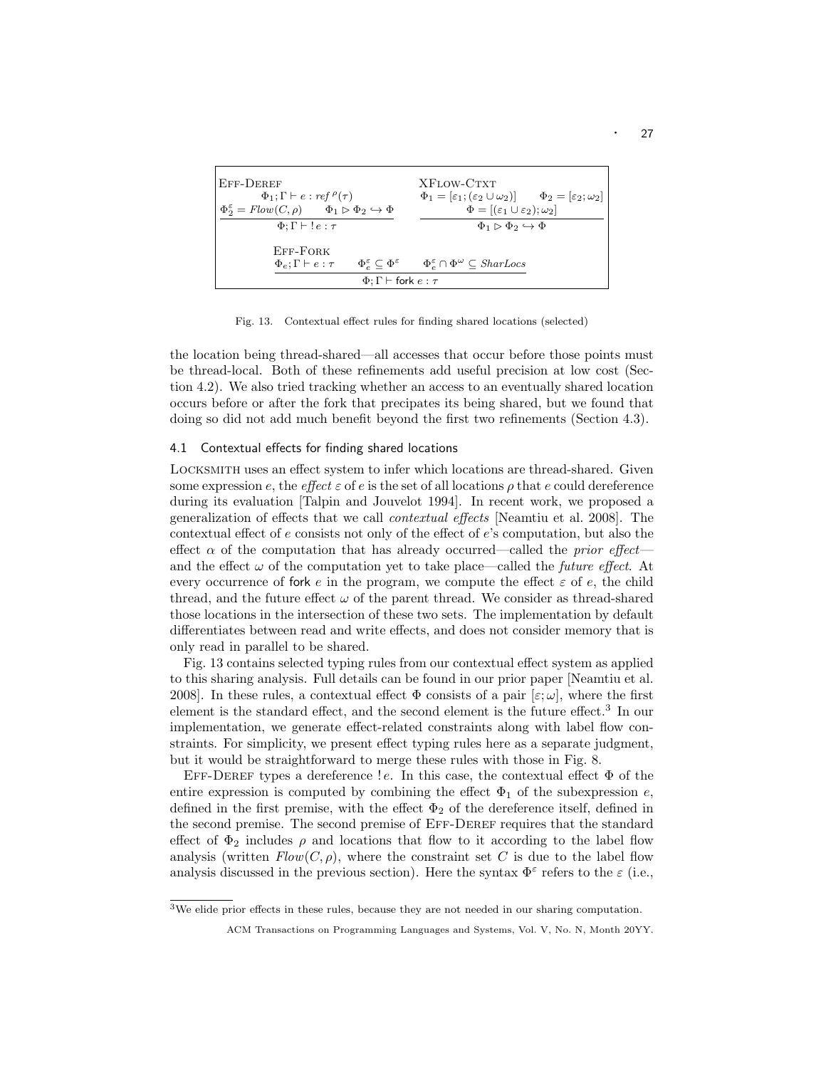| EFF-DEREF<br>$\Phi_1$ ; $\Gamma \vdash e : ref \, \rho(\tau)$                                                                      | XFLOW-CTXT<br>$\Phi_1 = [\varepsilon_1; (\varepsilon_2 \cup \omega_2)] \qquad \Phi_2 = [\varepsilon_2; \omega_2]$                                  |
|------------------------------------------------------------------------------------------------------------------------------------|----------------------------------------------------------------------------------------------------------------------------------------------------|
| $\Phi_2^{\varepsilon} = Flow(C, \rho) \qquad \Phi_1 \triangleright \Phi_2 \hookrightarrow \Phi$<br>$\Phi: \Gamma \vdash !e : \tau$ | $\Phi = [(\varepsilon_1 \cup \varepsilon_2); \omega_2]$<br>$\Phi_1 \triangleright \Phi_2 \hookrightarrow \Phi$                                     |
| EFF-FORK<br>$\Phi_e: \Gamma \vdash e : \tau$                                                                                       | $\Phi_{\varepsilon}^{\varepsilon} \subset \Phi^{\varepsilon} \qquad \Phi_{\varepsilon}^{\varepsilon} \cap \Phi^{\omega} \subset \mathit{SharLocs}$ |
| $\Phi$ : $\Gamma$ $\vdash$ fork $e : \tau$                                                                                         |                                                                                                                                                    |

Fig. 13. Contextual effect rules for finding shared locations (selected)

the location being thread-shared—all accesses that occur before those points must be thread-local. Both of these refinements add useful precision at low cost (Section 4.2). We also tried tracking whether an access to an eventually shared location occurs before or after the fork that precipates its being shared, but we found that doing so did not add much benefit beyond the first two refinements (Section 4.3).

#### 4.1 Contextual effects for finding shared locations

Locksmith uses an effect system to infer which locations are thread-shared. Given some expression e, the effect  $\varepsilon$  of e is the set of all locations  $\rho$  that e could dereference during its evaluation [Talpin and Jouvelot 1994]. In recent work, we proposed a generalization of effects that we call contextual effects [Neamtiu et al. 2008]. The contextual effect of e consists not only of the effect of e's computation, but also the effect  $\alpha$  of the computation that has already occurred—called the *prior effect* and the effect  $\omega$  of the computation yet to take place—called the *future effect*. At every occurrence of fork e in the program, we compute the effect  $\varepsilon$  of e, the child thread, and the future effect  $\omega$  of the parent thread. We consider as thread-shared those locations in the intersection of these two sets. The implementation by default differentiates between read and write effects, and does not consider memory that is only read in parallel to be shared.

Fig. 13 contains selected typing rules from our contextual effect system as applied to this sharing analysis. Full details can be found in our prior paper [Neamtiu et al. 2008]. In these rules, a contextual effect  $\Phi$  consists of a pair  $[\varepsilon; \omega]$ , where the first element is the standard effect, and the second element is the future effect.<sup>3</sup> In our implementation, we generate effect-related constraints along with label flow constraints. For simplicity, we present effect typing rules here as a separate judgment, but it would be straightforward to merge these rules with those in Fig. 8.

EFF-DEREF types a dereference ! e. In this case, the contextual effect  $\Phi$  of the entire expression is computed by combining the effect  $\Phi_1$  of the subexpression e, defined in the first premise, with the effect  $\Phi_2$  of the dereference itself, defined in the second premise. The second premise of Eff-Deref requires that the standard effect of  $\Phi_2$  includes  $\rho$  and locations that flow to it according to the label flow analysis (written  $Flow(C, \rho)$ , where the constraint set C is due to the label flow analysis discussed in the previous section). Here the syntax  $\Phi^{\varepsilon}$  refers to the  $\varepsilon$  (i.e.,

<sup>3</sup>We elide prior effects in these rules, because they are not needed in our sharing computation.

ACM Transactions on Programming Languages and Systems, Vol. V, No. N, Month 20YY.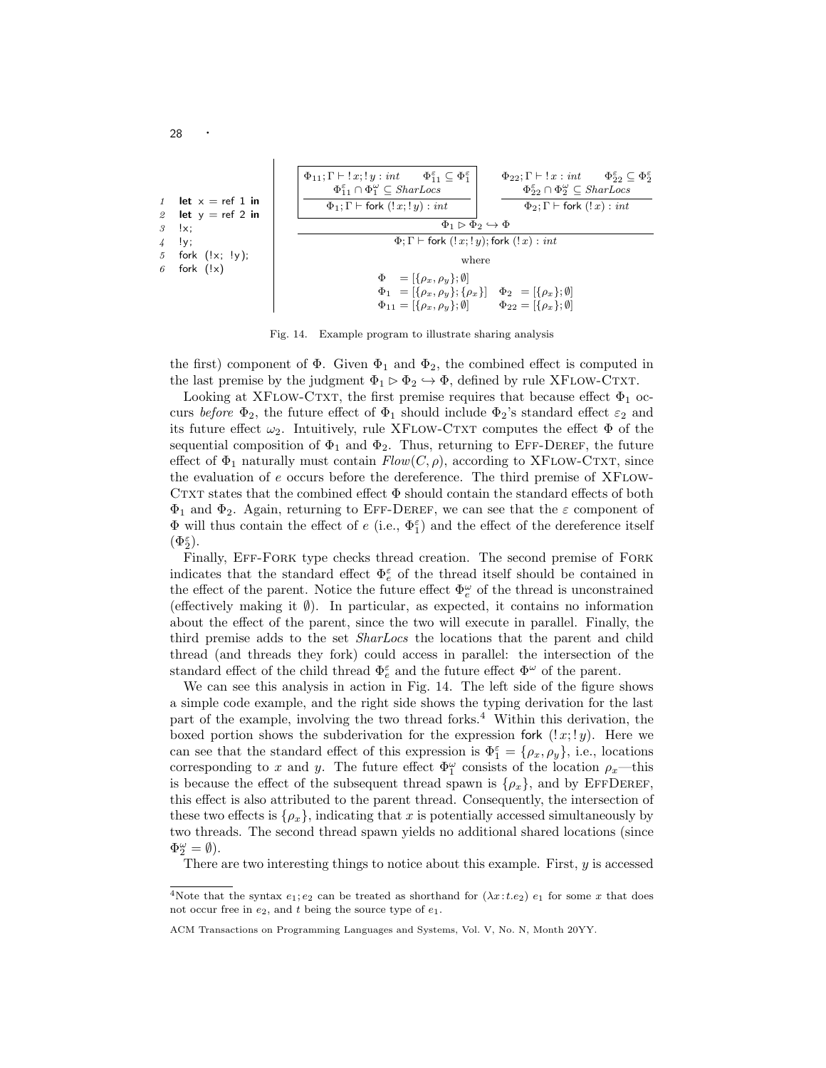| let $x = ref 1$ in | $\Phi_{11}; \Gamma \vdash !x; !y : int$            | $\Phi_{11}^{\varepsilon} \subseteq \Phi_1^{\varepsilon}$ | $\Phi_{22}; \Gamma \vdash !x : int$                      | $\Phi_{22}^{\varepsilon} \subseteq \Phi_2^{\varepsilon}$ |
|--------------------|----------------------------------------------------|----------------------------------------------------------|----------------------------------------------------------|----------------------------------------------------------|
| let $y = ref 2$ in | $\Phi_{11}; \Gamma \vdash fork (!x; !y) : int$     | $\Phi_{22}; \Gamma \vdash !x : int$                      | $\Phi_{22}^{\varepsilon} \subseteq \Phi_2^{\varepsilon}$ |                                                          |
| let $y = ref 2$ in | $\Phi_{11}; \Gamma \vdash fork (!x; !y) : int$     | $\Phi_{22}; \Gamma \vdash fork (!x) : int$               |                                                          |                                                          |
| 1                  | 2                                                  | $\Phi_{21}; \Gamma \vdash fork (!x; !y) : int$           | $\Phi_{22}; \Gamma \vdash fork (!x) : int$               |                                                          |
| 2                  | $\Phi_{22} \subseteq SharLocs$                     | $\Phi_{23}; \Gamma \vdash 1x : int$                      | $\Phi_{22} \subseteq SharLocs$                           |                                                          |
| 3                  | $\downarrow$ ; $\downarrow$ ;\n                    | $\Phi_{11} \supseteq \Phi_2 \leftrightarrow \Phi$        |                                                          |                                                          |
| 4                  | $\Phi_{11} \equiv \{\rho_x, \rho_y\}; \emptyset\}$ | $\Phi_{22} = [\{\rho_x\}; \emptyset]$                    |                                                          |                                                          |
| 5                  | $\Phi_{12} = [\{\rho_x, \rho_y\}; \emptyset]$      | $\Phi_{22} = [\{\rho_x\}; \emptyset]$                    |                                                          |                                                          |
| 6                  | $\Phi_{11} = [\{\rho_x, \rho_y\}; \emptyset]$      | $\Phi_{22} = [\{\rho_x\}; \emptyset]$                    |                                                          |                                                          |

Fig. 14. Example program to illustrate sharing analysis

the first) component of  $\Phi$ . Given  $\Phi_1$  and  $\Phi_2$ , the combined effect is computed in the last premise by the judgment  $\Phi_1 \triangleright \Phi_2 \hookrightarrow \Phi$ , defined by rule XFLOW-CTXT.

Looking at XFLOW-CTXT, the first premise requires that because effect  $\Phi_1$  occurs before  $\Phi_2$ , the future effect of  $\Phi_1$  should include  $\Phi_2$ 's standard effect  $\varepsilon_2$  and its future effect  $\omega_2$ . Intuitively, rule XFLOW-CTXT computes the effect  $\Phi$  of the sequential composition of  $\Phi_1$  and  $\Phi_2$ . Thus, returning to EFF-DEREF, the future effect of  $\Phi_1$  naturally must contain  $Flow(C, \rho)$ , according to XFLOW-CTXT, since the evaluation of  $e$  occurs before the dereference. The third premise of XFLOW-CTXT states that the combined effect  $\Phi$  should contain the standard effects of both  $\Phi_1$  and  $\Phi_2$ . Again, returning to EFF-DEREF, we can see that the  $\varepsilon$  component of  $\Phi$  will thus contain the effect of  $e$  (i.e.,  $\Phi_1^{\varepsilon}$ ) and the effect of the dereference itself  $(\Phi_2^{\varepsilon})$ .

Finally, Eff-Fork type checks thread creation. The second premise of Fork indicates that the standard effect  $\Phi_e^{\varepsilon}$  of the thread itself should be contained in the effect of the parent. Notice the future effect  $\Phi_e^{\omega}$  of the thread is unconstrained (effectively making it ∅). In particular, as expected, it contains no information about the effect of the parent, since the two will execute in parallel. Finally, the third premise adds to the set SharLocs the locations that the parent and child thread (and threads they fork) could access in parallel: the intersection of the standard effect of the child thread  $\Phi_e^{\varepsilon}$  and the future effect  $\Phi^{\omega}$  of the parent.

We can see this analysis in action in Fig. 14. The left side of the figure shows a simple code example, and the right side shows the typing derivation for the last part of the example, involving the two thread forks.<sup>4</sup> Within this derivation, the boxed portion shows the subderivation for the expression fork  $(2x; 1y)$ . Here we can see that the standard effect of this expression is  $\Phi_1^{\varepsilon} = {\rho_x, \rho_y}$ , i.e., locations corresponding to x and y. The future effect  $\Phi_1^{\omega}$  consists of the location  $\rho_x$ —this is because the effect of the subsequent thread spawn is  $\{\rho_x\}$ , and by EFFDEREF, this effect is also attributed to the parent thread. Consequently, the intersection of these two effects is  $\{\rho_x\}$ , indicating that x is potentially accessed simultaneously by two threads. The second thread spawn yields no additional shared locations (since  $\Phi_2^{\omega} = \emptyset$ ).

There are two interesting things to notice about this example. First,  $y$  is accessed

<sup>&</sup>lt;sup>4</sup>Note that the syntax  $e_1; e_2$  can be treated as shorthand for  $(\lambda x:t.e_2)$   $e_1$  for some x that does not occur free in  $e_2$ , and t being the source type of  $e_1$ .

ACM Transactions on Programming Languages and Systems, Vol. V, No. N, Month 20YY.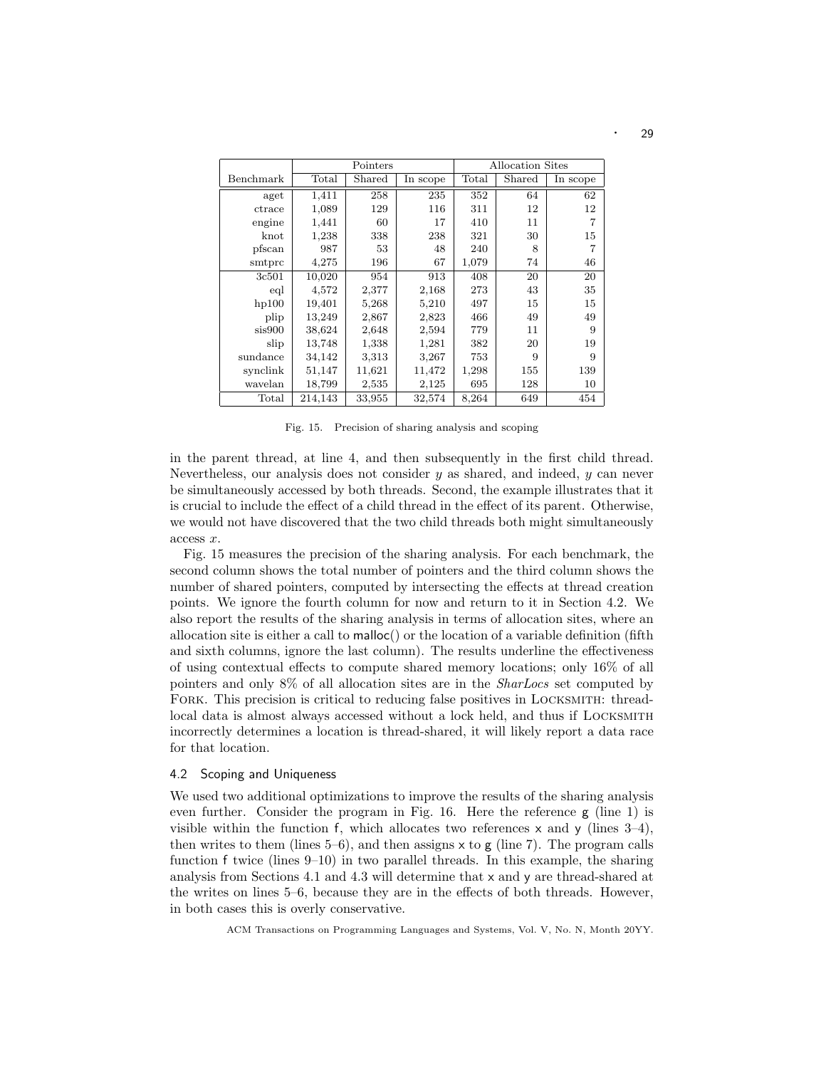|           | Allocation Sites<br>Pointers |                    |        |                |        |                |
|-----------|------------------------------|--------------------|--------|----------------|--------|----------------|
| Benchmark | Total                        | Shared<br>In scope |        | $_{\rm Total}$ | Shared | In scope       |
| aget      | 1,411                        | 258                | 235    | 352            | 64     | 62             |
| ctrace    | 1,089                        | 129                | 116    | 311            | 12     | 12             |
| engine    | 1,441                        | 60                 | 17     | 410            | 11     | $\overline{7}$ |
| knot      | 1,238                        | 338                | 238    | 321            | 30     | 15             |
| pfscan    | 987                          | 53                 | 48     | 240            | 8      | 7              |
| smtprc    | 4,275                        | 196                | 67     | 1,079          | 74     | 46             |
| 3c501     | 10,020                       | 954                | 913    | 408            | 20     | 20             |
| eql       | 4,572                        | 2,377              | 2,168  | 273            | 43     | 35             |
| hp100     | 19,401                       | 5,268              | 5,210  | 497            | 15     | 15             |
| plip      | 13,249                       | 2,867              | 2,823  | 466            | 49     | 49             |
| sis900    | 38,624                       | 2,648              | 2,594  | 779            | 11     | 9              |
| slip      | 13,748                       | 1,338              | 1,281  | 382            | 20     | 19             |
| sundance  | 34,142                       | 3,313              | 3,267  | 753            | 9      | 9              |
| synclink  | 51,147                       | 11,621             | 11,472 | 1,298          | 155    | 139            |
| wavelan   | 18,799                       | 2,535              | 2,125  | 695            | 128    | 10             |
| Total     | 214,143                      | 33,955             | 32,574 | 8,264          | 649    | 454            |

Fig. 15. Precision of sharing analysis and scoping

in the parent thread, at line 4, and then subsequently in the first child thread. Nevertheless, our analysis does not consider  $y$  as shared, and indeed,  $y$  can never be simultaneously accessed by both threads. Second, the example illustrates that it is crucial to include the effect of a child thread in the effect of its parent. Otherwise, we would not have discovered that the two child threads both might simultaneously access x.

Fig. 15 measures the precision of the sharing analysis. For each benchmark, the second column shows the total number of pointers and the third column shows the number of shared pointers, computed by intersecting the effects at thread creation points. We ignore the fourth column for now and return to it in Section 4.2. We also report the results of the sharing analysis in terms of allocation sites, where an allocation site is either a call to  $\text{malloc}()$  or the location of a variable definition (fifth and sixth columns, ignore the last column). The results underline the effectiveness of using contextual effects to compute shared memory locations; only 16% of all pointers and only 8% of all allocation sites are in the SharLocs set computed by FORK. This precision is critical to reducing false positives in LOCKSMITH: threadlocal data is almost always accessed without a lock held, and thus if LOCKSMITH incorrectly determines a location is thread-shared, it will likely report a data race for that location.

#### 4.2 Scoping and Uniqueness

We used two additional optimizations to improve the results of the sharing analysis even further. Consider the program in Fig. 16. Here the reference g (line 1) is visible within the function f, which allocates two references  $x$  and  $y$  (lines 3–4), then writes to them (lines  $5-6$ ), and then assigns x to g (line 7). The program calls function f twice (lines 9–10) in two parallel threads. In this example, the sharing analysis from Sections 4.1 and 4.3 will determine that x and y are thread-shared at the writes on lines 5–6, because they are in the effects of both threads. However, in both cases this is overly conservative.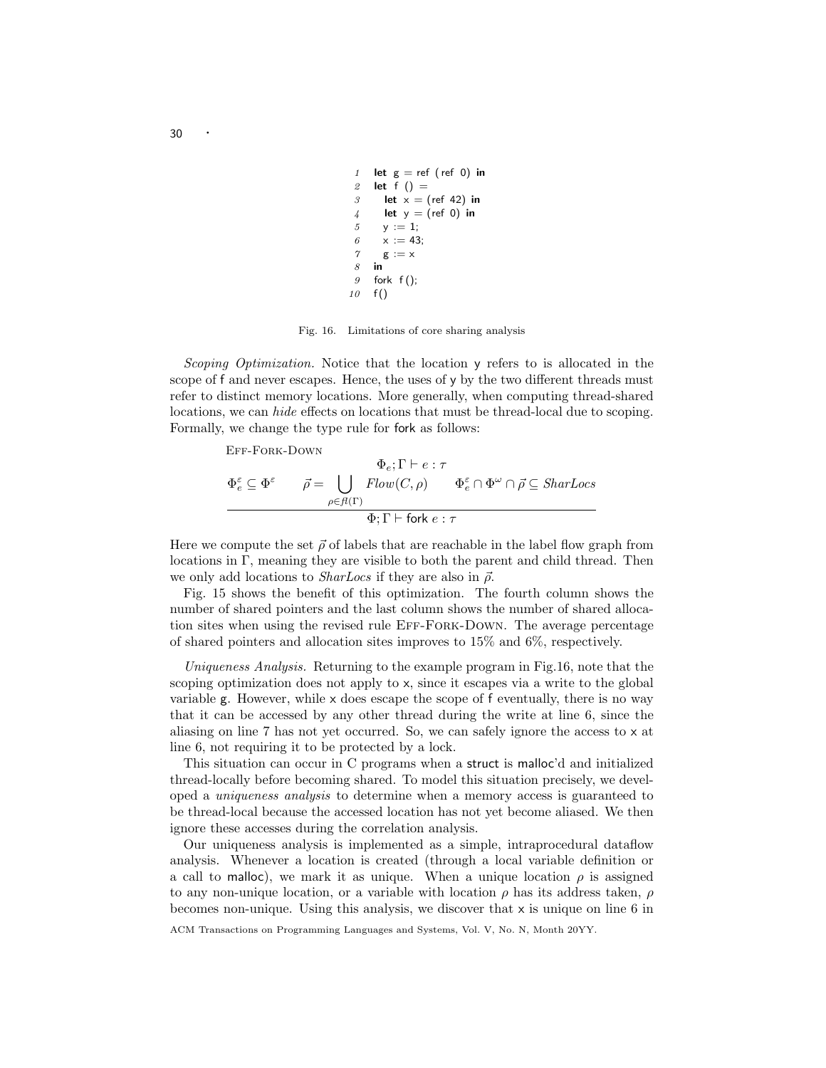```
1 let g = ref (ref 0) in
2 let f() =3 let x = (ref 42) in
4 let y = (ref 0) in
5 y := 1;
6 x := 43;
7 g := x
8 in
9 fork f();
10 \quad f()
```
Fig. 16. Limitations of core sharing analysis

Scoping Optimization. Notice that the location y refers to is allocated in the scope of f and never escapes. Hence, the uses of y by the two different threads must refer to distinct memory locations. More generally, when computing thread-shared locations, we can hide effects on locations that must be thread-local due to scoping. Formally, we change the type rule for fork as follows:

Eff-Fork-Down

$$
\Phi_{e} : \Gamma \vdash e : \tau
$$
\n
$$
\Phi_{e} \subseteq \Phi^{\varepsilon} \qquad \vec{\rho} = \bigcup_{\rho \in \mathcal{A}(\Gamma)} \text{Flow}(C, \rho) \qquad \Phi_{e}^{\varepsilon} \cap \Phi^{\omega} \cap \vec{\rho} \subseteq \text{SharLoss}
$$
\n
$$
\Phi_{\varepsilon} : \Gamma \vdash \text{fork } e : \tau
$$

Here we compute the set  $\vec{\rho}$  of labels that are reachable in the label flow graph from locations in Γ, meaning they are visible to both the parent and child thread. Then we only add locations to *SharLocs* if they are also in  $\vec{\rho}$ .

Fig. 15 shows the benefit of this optimization. The fourth column shows the number of shared pointers and the last column shows the number of shared allocation sites when using the revised rule Eff-Fork-Down. The average percentage of shared pointers and allocation sites improves to 15% and 6%, respectively.

Uniqueness Analysis. Returning to the example program in Fig.16, note that the scoping optimization does not apply to x, since it escapes via a write to the global variable  $g$ . However, while  $x$  does escape the scope of  $f$  eventually, there is no way that it can be accessed by any other thread during the write at line 6, since the aliasing on line 7 has not yet occurred. So, we can safely ignore the access to x at line 6, not requiring it to be protected by a lock.

This situation can occur in C programs when a struct is malloc'd and initialized thread-locally before becoming shared. To model this situation precisely, we developed a uniqueness analysis to determine when a memory access is guaranteed to be thread-local because the accessed location has not yet become aliased. We then ignore these accesses during the correlation analysis.

Our uniqueness analysis is implemented as a simple, intraprocedural dataflow analysis. Whenever a location is created (through a local variable definition or a call to malloc), we mark it as unique. When a unique location  $\rho$  is assigned to any non-unique location, or a variable with location  $\rho$  has its address taken,  $\rho$ becomes non-unique. Using this analysis, we discover that x is unique on line 6 in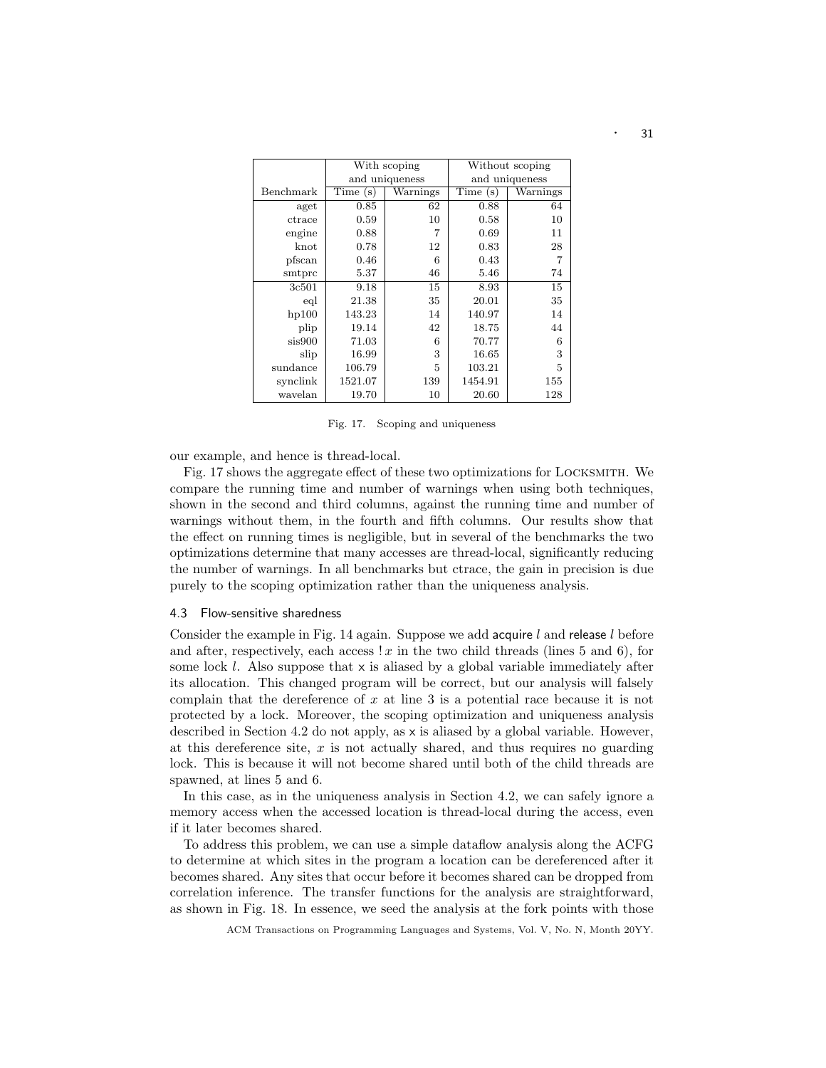|           |         | With scoping   | Without scoping |          |  |  |
|-----------|---------|----------------|-----------------|----------|--|--|
|           |         | and uniqueness | and uniqueness  |          |  |  |
| Benchmark | Time(s) | Warnings       | Time(s)         | Warnings |  |  |
| aget      | 0.85    | 62             | 0.88            | 64       |  |  |
| ctrace    | 0.59    | 10             | 0.58            | 10       |  |  |
| engine    | 0.88    | 7              | 0.69            | 11       |  |  |
| knot      | 0.78    | 12             | 0.83            |          |  |  |
| pfscan    | 0.46    | 6              | 0.43            | 7        |  |  |
| smtprc    | 5.37    | 46             | 5.46            | 74       |  |  |
| 3c501     | 9.18    | 15             | 8.93            | 15       |  |  |
| eql       | 21.38   | 35             | 20.01           | 35       |  |  |
| hp100     | 143.23  | 14             | 140.97          | 14       |  |  |
| plip      | 19.14   | 42             | 18.75           | 44       |  |  |
| sis900    | 71.03   | 6              | 70.77           | 6        |  |  |
| slip      | 16.99   | 3              | 16.65           | 3        |  |  |
| sundance  | 106.79  | 5              | 103.21          | 5        |  |  |
| synclink  | 1521.07 | 139            | 1454.91         | 155      |  |  |
| wavelan   | 19.70   | 10             | 20.60           | 128      |  |  |

Fig. 17. Scoping and uniqueness

our example, and hence is thread-local.

Fig. 17 shows the aggregate effect of these two optimizations for Locksmith. We compare the running time and number of warnings when using both techniques, shown in the second and third columns, against the running time and number of warnings without them, in the fourth and fifth columns. Our results show that the effect on running times is negligible, but in several of the benchmarks the two optimizations determine that many accesses are thread-local, significantly reducing the number of warnings. In all benchmarks but ctrace, the gain in precision is due purely to the scoping optimization rather than the uniqueness analysis.

#### 4.3 Flow-sensitive sharedness

Consider the example in Fig. 14 again. Suppose we add acquire  $l$  and release  $l$  before and after, respectively, each access  $x \in \mathbb{R}$  in the two child threads (lines 5 and 6), for some lock  $l$ . Also suppose that  $x$  is aliased by a global variable immediately after its allocation. This changed program will be correct, but our analysis will falsely complain that the dereference of  $x$  at line 3 is a potential race because it is not protected by a lock. Moreover, the scoping optimization and uniqueness analysis described in Section 4.2 do not apply, as x is aliased by a global variable. However, at this dereference site,  $x$  is not actually shared, and thus requires no guarding lock. This is because it will not become shared until both of the child threads are spawned, at lines 5 and 6.

In this case, as in the uniqueness analysis in Section 4.2, we can safely ignore a memory access when the accessed location is thread-local during the access, even if it later becomes shared.

To address this problem, we can use a simple dataflow analysis along the ACFG to determine at which sites in the program a location can be dereferenced after it becomes shared. Any sites that occur before it becomes shared can be dropped from correlation inference. The transfer functions for the analysis are straightforward, as shown in Fig. 18. In essence, we seed the analysis at the fork points with those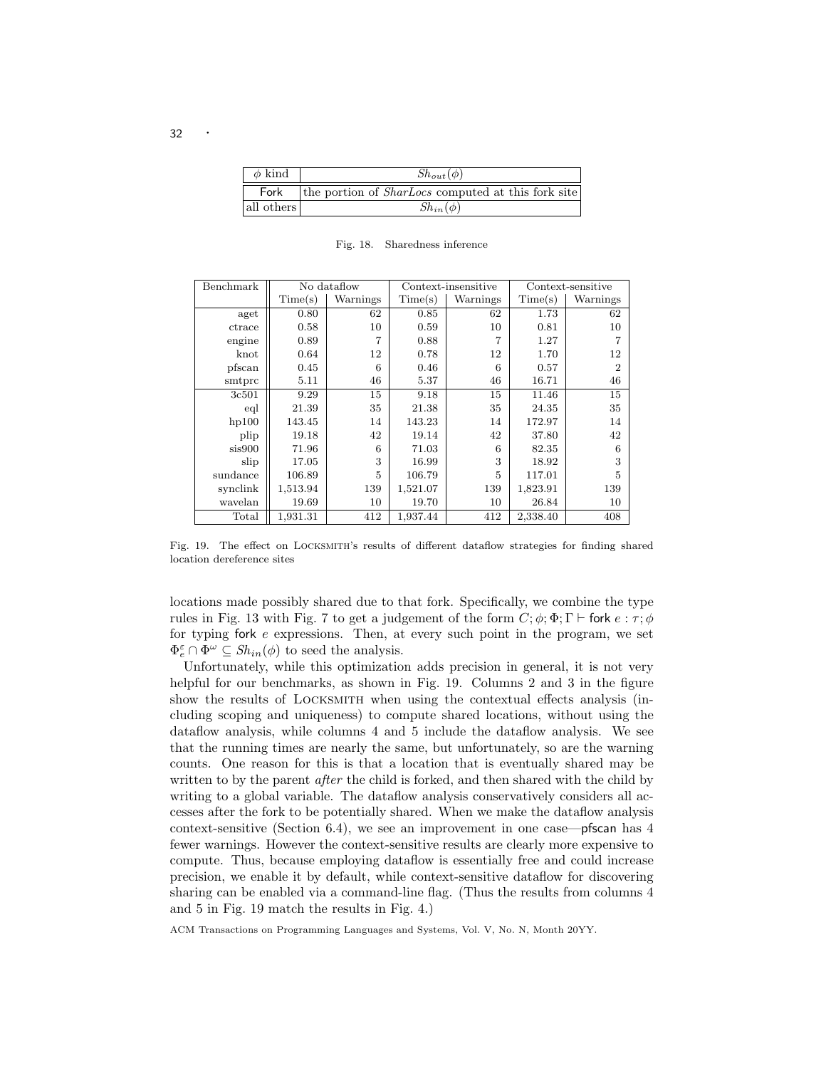| $\phi$ kind | $Sh_{out}(\phi)$                                          |  |  |  |  |  |  |
|-------------|-----------------------------------------------------------|--|--|--|--|--|--|
| Fork        | the portion of <i>SharLocs</i> computed at this fork site |  |  |  |  |  |  |
| all others  | $Sh_{in}(\phi)$                                           |  |  |  |  |  |  |

| Benchmark |          | No dataflow | Context-insensitive<br>Context-sensitive |          |          |                |
|-----------|----------|-------------|------------------------------------------|----------|----------|----------------|
|           | Time(s)  | Warnings    | Time(s)                                  | Warnings | Time(s)  | Warnings       |
| aget      | 0.80     | 62          | 0.85                                     | 62       | 1.73     | 62             |
| ctrace    | 0.58     | 10          | 0.59                                     | 10       | 0.81     | 10             |
| engine    | 0.89     | 7           | 0.88                                     | 7        | 1.27     |                |
| $k$ not   | 0.64     | 12          | 0.78                                     | 12       | 1.70     | 12             |
| pfscan    | 0.45     | 6           | 0.46                                     | 6        | 0.57     | $\overline{2}$ |
| smtprc    | 5.11     | 46          | 5.37                                     | 46       | 16.71    | 46             |
| 3c501     | 9.29     | 15          | 9.18                                     | 15       | 11.46    | 15             |
| eql       | 21.39    | 35          | 21.38                                    | 35       | 24.35    | 35             |
| hp100     | 143.45   | 14          | 143.23                                   | 14       | 172.97   | 14             |
| plip      | 19.18    | 42          | 19.14                                    | 42       | 37.80    | 42             |
| sis900    | 71.96    | 6           | 71.03                                    | 6        | 82.35    | 6              |
| slip      | 17.05    | 3           | 16.99                                    | 3        | 18.92    | 3              |
| sundance  | 106.89   | 5           | 106.79                                   | 5        | 117.01   | 5              |
| synclink  | 1,513.94 | 139         | 1,521.07                                 | 139      | 1,823.91 | 139            |
| wavelan   | 19.69    | 10          | 19.70                                    | 10       | 26.84    | 10             |
| Total     | 1,931.31 | 412         | 1,937.44                                 | 412      | 2,338.40 | 408            |

Fig. 18. Sharedness inference

Fig. 19. The effect on Locksmith's results of different dataflow strategies for finding shared location dereference sites

locations made possibly shared due to that fork. Specifically, we combine the type rules in Fig. 13 with Fig. 7 to get a judgement of the form  $C$ ;  $\phi$ ;  $\Phi$ ;  $\Gamma \vdash$  fork  $e : \tau : \phi$ for typing for  $e$  expressions. Then, at every such point in the program, we set  $\Phi_e^{\varepsilon} \cap \Phi^{\omega} \subseteq Sh_{in}(\phi)$  to seed the analysis.

Unfortunately, while this optimization adds precision in general, it is not very helpful for our benchmarks, as shown in Fig. 19. Columns 2 and 3 in the figure show the results of Locksmith when using the contextual effects analysis (including scoping and uniqueness) to compute shared locations, without using the dataflow analysis, while columns 4 and 5 include the dataflow analysis. We see that the running times are nearly the same, but unfortunately, so are the warning counts. One reason for this is that a location that is eventually shared may be written to by the parent *after* the child is forked, and then shared with the child by writing to a global variable. The dataflow analysis conservatively considers all accesses after the fork to be potentially shared. When we make the dataflow analysis context-sensitive (Section 6.4), we see an improvement in one case—pfscan has  $4$ fewer warnings. However the context-sensitive results are clearly more expensive to compute. Thus, because employing dataflow is essentially free and could increase precision, we enable it by default, while context-sensitive dataflow for discovering sharing can be enabled via a command-line flag. (Thus the results from columns 4 and 5 in Fig. 19 match the results in Fig. 4.)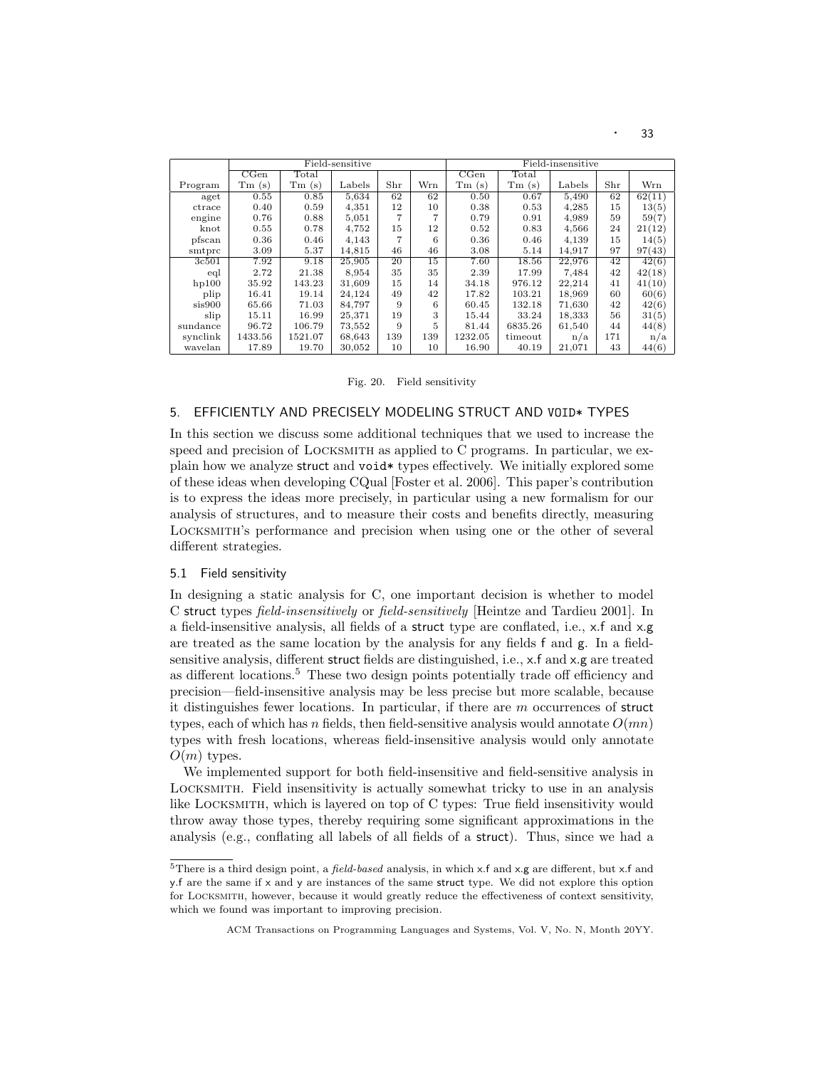|          |         |                | Field-sensitive |     |     |         |                | Field-insensitive |     |        |
|----------|---------|----------------|-----------------|-----|-----|---------|----------------|-------------------|-----|--------|
|          | CGen    | $_{\rm Total}$ |                 |     |     | CGen    | $_{\rm Total}$ |                   |     |        |
| Program  | Tm(s)   | Tm(s)          | Labels          | Shr | Wrn | Tm(s)   | Tm(s)          | Labels            | Shr | Wrn    |
| aget     | 0.55    | 0.85           | 5,634           | 62  | 62  | 0.50    | 0.67           | 5.490             | 62  | 62(11) |
| ctrace   | 0.40    | 0.59           | 4,351           | 12  | 10  | 0.38    | 0.53           | 4,285             | 15  | 13(5)  |
| engine   | 0.76    | 0.88           | 5,051           | 7   |     | 0.79    | 0.91           | 4,989             | 59  | 59(7)  |
| knot     | 0.55    | 0.78           | 4,752           | 15  | 12  | 0.52    | 0.83           | 4,566             | 24  | 21(12) |
| pfscan   | 0.36    | 0.46           | 4,143           |     | 6   | 0.36    | 0.46           | 4,139             | 15  | 14(5)  |
| smtprc   | 3.09    | 5.37           | 14,815          | 46  | 46  | 3.08    | 5.14           | 14,917            | 97  | 97(43) |
| 3c501    | 7.92    | 9.18           | 25,905          | 20  | 15  | 7.60    | 18.56          | 22.976            | 42  | 42(6)  |
| eql      | 2.72    | 21.38          | 8,954           | 35  | 35  | 2.39    | 17.99          | 7.484             | 42  | 42(18) |
| hp100    | 35.92   | 143.23         | 31,609          | 15  | 14  | 34.18   | 976.12         | 22.214            | 41  | 41(10) |
| plip     | 16.41   | 19.14          | 24,124          | 49  | 42  | 17.82   | 103.21         | 18,969            | 60  | 60(6)  |
| sis900   | 65.66   | 71.03          | 84,797          | 9   | 6   | 60.45   | 132.18         | 71,630            | 42  | 42(6)  |
| slip     | 15.11   | 16.99          | 25,371          | 19  | 3   | 15.44   | 33.24          | 18,333            | 56  | 31(5)  |
| sundance | 96.72   | 106.79         | 73,552          | 9   | 5   | 81.44   | 6835.26        | 61,540            | 44  | 44(8)  |
| synclink | 1433.56 | 1521.07        | 68,643          | 139 | 139 | 1232.05 | timeout        | n/a               | 171 | n/a    |
| wavelan  | 17.89   | 19.70          | 30,052          | 10  | 10  | 16.90   | 40.19          | 21,071            | 43  | 44(6)  |

Fig. 20. Field sensitivity

# 5. EFFICIENTLY AND PRECISELY MODELING STRUCT AND VOID\* TYPES

In this section we discuss some additional techniques that we used to increase the speed and precision of LOCKSMITH as applied to C programs. In particular, we explain how we analyze struct and void\* types effectively. We initially explored some of these ideas when developing CQual [Foster et al. 2006]. This paper's contribution is to express the ideas more precisely, in particular using a new formalism for our analysis of structures, and to measure their costs and benefits directly, measuring Locksmith's performance and precision when using one or the other of several different strategies.

# 5.1 Field sensitivity

In designing a static analysis for C, one important decision is whether to model C struct types field-insensitively or field-sensitively [Heintze and Tardieu 2001]. In a field-insensitive analysis, all fields of a struct type are conflated, i.e., x.f and x.g are treated as the same location by the analysis for any fields f and g. In a fieldsensitive analysis, different struct fields are distinguished, i.e., x.f and x.g are treated as different locations.<sup>5</sup> These two design points potentially trade off efficiency and precision—field-insensitive analysis may be less precise but more scalable, because it distinguishes fewer locations. In particular, if there are m occurrences of struct types, each of which has n fields, then field-sensitive analysis would annotate  $O(mn)$ types with fresh locations, whereas field-insensitive analysis would only annotate  $O(m)$  types.

We implemented support for both field-insensitive and field-sensitive analysis in Locksmith. Field insensitivity is actually somewhat tricky to use in an analysis like Locksmith, which is layered on top of C types: True field insensitivity would throw away those types, thereby requiring some significant approximations in the analysis (e.g., conflating all labels of all fields of a struct). Thus, since we had a

<sup>&</sup>lt;sup>5</sup>There is a third design point, a *field-based* analysis, in which x.f and x.g are different, but x.f and y.f are the same if x and y are instances of the same struct type. We did not explore this option for Locksmith, however, because it would greatly reduce the effectiveness of context sensitivity, which we found was important to improving precision.

ACM Transactions on Programming Languages and Systems, Vol. V, No. N, Month 20YY.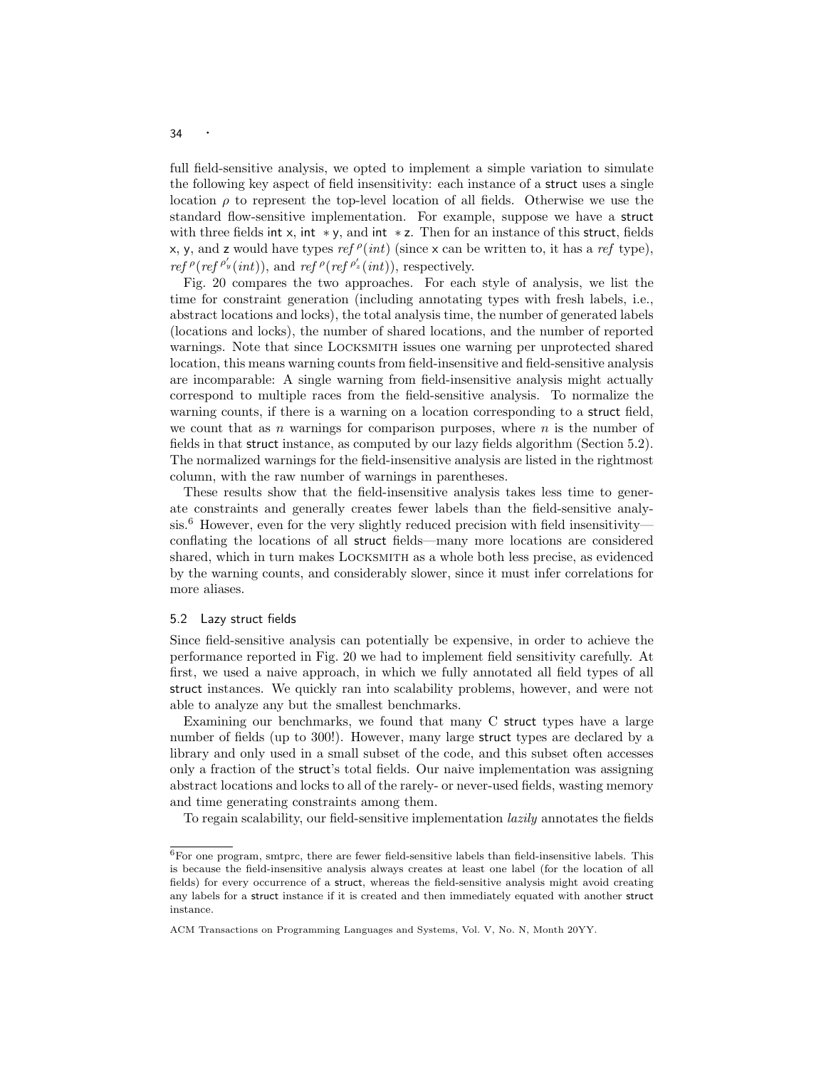full field-sensitive analysis, we opted to implement a simple variation to simulate the following key aspect of field insensitivity: each instance of a struct uses a single location  $\rho$  to represent the top-level location of all fields. Otherwise we use the standard flow-sensitive implementation. For example, suppose we have a struct with three fields int x, int  $\ast y$ , and int  $\ast z$ . Then for an instance of this struct, fields x, y, and z would have types  $ref \rho(int)$  (since x can be written to, it has a ref type), ref  $\rho(r e f \rho'_{y}(int))$ , and ref  $\rho(r e f \rho'_{z}(int))$ , respectively.

Fig. 20 compares the two approaches. For each style of analysis, we list the time for constraint generation (including annotating types with fresh labels, i.e., abstract locations and locks), the total analysis time, the number of generated labels (locations and locks), the number of shared locations, and the number of reported warnings. Note that since Locksmith issues one warning per unprotected shared location, this means warning counts from field-insensitive and field-sensitive analysis are incomparable: A single warning from field-insensitive analysis might actually correspond to multiple races from the field-sensitive analysis. To normalize the warning counts, if there is a warning on a location corresponding to a struct field, we count that as n warnings for comparison purposes, where  $n$  is the number of fields in that struct instance, as computed by our lazy fields algorithm (Section 5.2). The normalized warnings for the field-insensitive analysis are listed in the rightmost column, with the raw number of warnings in parentheses.

These results show that the field-insensitive analysis takes less time to generate constraints and generally creates fewer labels than the field-sensitive analysis.<sup>6</sup> However, even for the very slightly reduced precision with field insensitivity conflating the locations of all struct fields—many more locations are considered shared, which in turn makes Locksmith as a whole both less precise, as evidenced by the warning counts, and considerably slower, since it must infer correlations for more aliases.

## 5.2 Lazy struct fields

Since field-sensitive analysis can potentially be expensive, in order to achieve the performance reported in Fig. 20 we had to implement field sensitivity carefully. At first, we used a naive approach, in which we fully annotated all field types of all struct instances. We quickly ran into scalability problems, however, and were not able to analyze any but the smallest benchmarks.

Examining our benchmarks, we found that many C struct types have a large number of fields (up to 300!). However, many large struct types are declared by a library and only used in a small subset of the code, and this subset often accesses only a fraction of the struct's total fields. Our naive implementation was assigning abstract locations and locks to all of the rarely- or never-used fields, wasting memory and time generating constraints among them.

To regain scalability, our field-sensitive implementation lazily annotates the fields

 $^6\rm{For}$  one program, smtprc, there are fewer field-sensitive labels than field-insensitive labels. This is because the field-insensitive analysis always creates at least one label (for the location of all fields) for every occurrence of a struct, whereas the field-sensitive analysis might avoid creating any labels for a struct instance if it is created and then immediately equated with another struct instance.

ACM Transactions on Programming Languages and Systems, Vol. V, No. N, Month 20YY.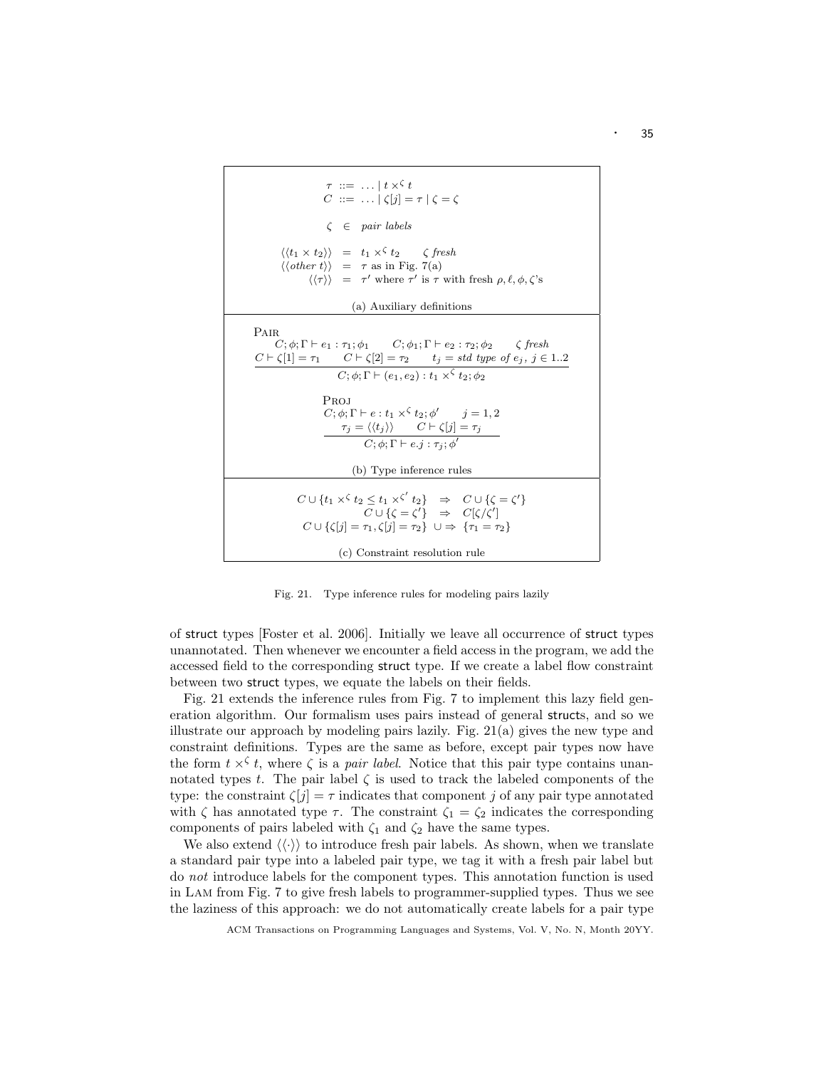| $\tau \ ::= \ \ldots \mid t \times^{\zeta} t$<br>$C ::= \ldots  C[i] = \tau   C = C$                                                                                                                                                                                                                                                                                                                                                                                                                               |
|--------------------------------------------------------------------------------------------------------------------------------------------------------------------------------------------------------------------------------------------------------------------------------------------------------------------------------------------------------------------------------------------------------------------------------------------------------------------------------------------------------------------|
| $\zeta \in pair labels$                                                                                                                                                                                                                                                                                                                                                                                                                                                                                            |
| $\langle \langle t_1 \times t_2 \rangle \rangle = t_1 \times^{\zeta} t_2$ (fresh<br>$\langle \langle other \ t \rangle \rangle = \tau$ as in Fig. 7(a)<br>$\langle \langle \tau \rangle \rangle$ = $\tau'$ where $\tau'$ is $\tau$ with fresh $\rho, \ell, \phi, \zeta$ 's                                                                                                                                                                                                                                         |
| (a) Auxiliary definitions                                                                                                                                                                                                                                                                                                                                                                                                                                                                                          |
| PAIR<br>$C; \phi; \Gamma \vdash e_1 : \tau_1; \phi_1$ $C; \phi_1; \Gamma \vdash e_2 : \tau_2; \phi_2$ $\zeta$ fresh<br>$C \vdash \zeta[1] = \tau_1$ $C \vdash \zeta[2] = \tau_2$ $t_j = std \ type \ of \ e_j, \ j \in 12$<br>$C; \phi; \Gamma \vdash (e_1, e_2): t_1 \times^{\zeta} t_2; \phi_2$<br>Proj<br>$C: \phi: \Gamma \vdash e: t_1 \times^{\zeta} t_2 : \phi'$ $i = 1, 2$<br>$\tau_i = \langle \langle t_i \rangle \rangle$ $C \vdash \zeta[j] = \tau_i$<br>$C; \phi; \Gamma \vdash e. j : \tau_i; \phi'$ |
| (b) Type inference rules                                                                                                                                                                                                                                                                                                                                                                                                                                                                                           |
| $C \cup \{t_1 \times \zeta t_2 \leq t_1 \times \zeta' t_2\} \Rightarrow C \cup \{\zeta = \zeta'\}$<br>$C \cup \{ \zeta = \zeta' \} \Rightarrow C[\zeta/\zeta']$<br>$C \cup \{\zeta[j] = \tau_1, \zeta[j] = \tau_2\} \cup \Rightarrow \{\tau_1 = \tau_2\}$                                                                                                                                                                                                                                                          |
| (c) Constraint resolution rule                                                                                                                                                                                                                                                                                                                                                                                                                                                                                     |

Fig. 21. Type inference rules for modeling pairs lazily

of struct types [Foster et al. 2006]. Initially we leave all occurrence of struct types unannotated. Then whenever we encounter a field access in the program, we add the accessed field to the corresponding struct type. If we create a label flow constraint between two struct types, we equate the labels on their fields.

Fig. 21 extends the inference rules from Fig. 7 to implement this lazy field generation algorithm. Our formalism uses pairs instead of general structs, and so we illustrate our approach by modeling pairs lazily. Fig.  $21(a)$  gives the new type and constraint definitions. Types are the same as before, except pair types now have the form  $t \times \xi$ , where  $\zeta$  is a *pair label*. Notice that this pair type contains unannotated types t. The pair label  $\zeta$  is used to track the labeled components of the type: the constraint  $\zeta[j] = \tau$  indicates that component j of any pair type annotated with  $\zeta$  has annotated type  $\tau$ . The constraint  $\zeta_1 = \zeta_2$  indicates the corresponding components of pairs labeled with  $\zeta_1$  and  $\zeta_2$  have the same types.

We also extend  $\langle \langle \cdot \rangle \rangle$  to introduce fresh pair labels. As shown, when we translate a standard pair type into a labeled pair type, we tag it with a fresh pair label but do not introduce labels for the component types. This annotation function is used in Lam from Fig. 7 to give fresh labels to programmer-supplied types. Thus we see the laziness of this approach: we do not automatically create labels for a pair type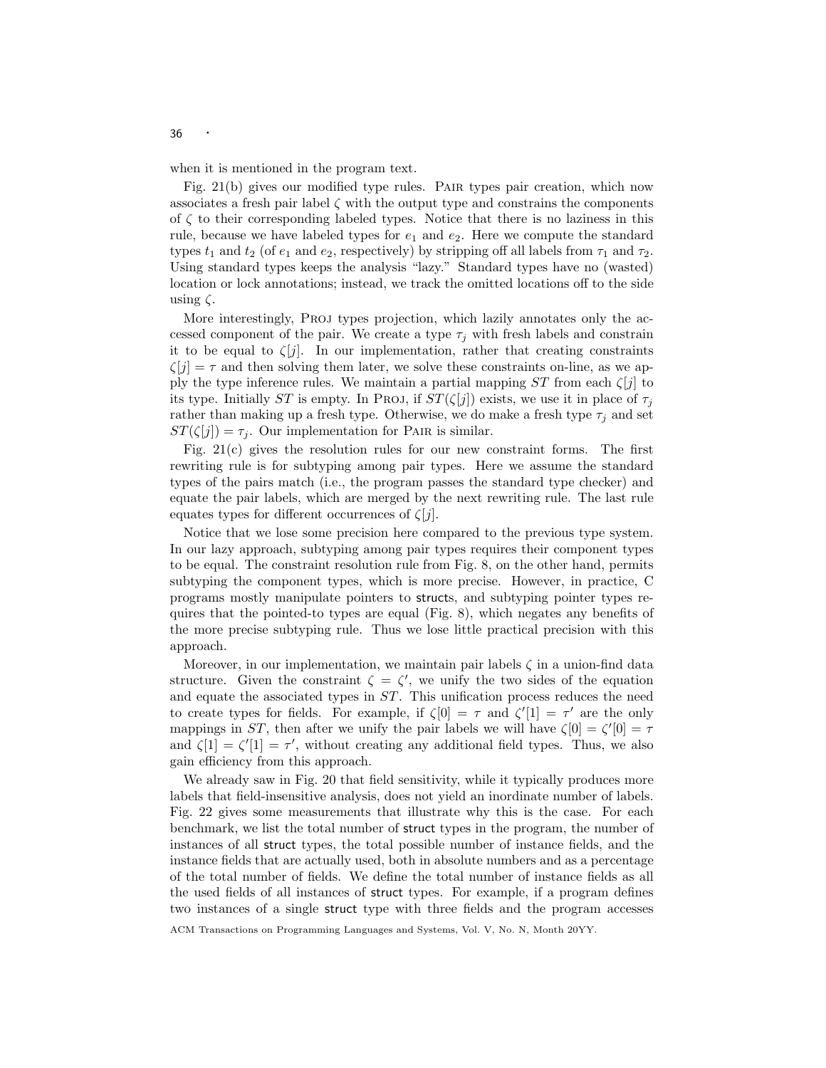when it is mentioned in the program text.

Fig. 21(b) gives our modified type rules. Pair types pair creation, which now associates a fresh pair label  $\zeta$  with the output type and constrains the components of  $\zeta$  to their corresponding labeled types. Notice that there is no laziness in this rule, because we have labeled types for  $e_1$  and  $e_2$ . Here we compute the standard types  $t_1$  and  $t_2$  (of  $e_1$  and  $e_2$ , respectively) by stripping off all labels from  $\tau_1$  and  $\tau_2$ . Using standard types keeps the analysis "lazy." Standard types have no (wasted) location or lock annotations; instead, we track the omitted locations off to the side using  $\zeta$ .

More interestingly, Proj types projection, which lazily annotates only the accessed component of the pair. We create a type  $\tau_i$  with fresh labels and constrain it to be equal to  $\zeta[j]$ . In our implementation, rather that creating constraints  $\zeta[j] = \tau$  and then solving them later, we solve these constraints on-line, as we apply the type inference rules. We maintain a partial mapping  $ST$  from each  $\zeta[j]$  to its type. Initially ST is empty. In Proj, if  $ST(\zeta[j])$  exists, we use it in place of  $\tau_j$ rather than making up a fresh type. Otherwise, we do make a fresh type  $\tau_j$  and set  $ST(\zeta[j]) = \tau_j$ . Our implementation for PAIR is similar.

Fig. 21(c) gives the resolution rules for our new constraint forms. The first rewriting rule is for subtyping among pair types. Here we assume the standard types of the pairs match (i.e., the program passes the standard type checker) and equate the pair labels, which are merged by the next rewriting rule. The last rule equates types for different occurrences of  $\zeta[j]$ .

Notice that we lose some precision here compared to the previous type system. In our lazy approach, subtyping among pair types requires their component types to be equal. The constraint resolution rule from Fig. 8, on the other hand, permits subtyping the component types, which is more precise. However, in practice, C programs mostly manipulate pointers to structs, and subtyping pointer types requires that the pointed-to types are equal (Fig. 8), which negates any benefits of the more precise subtyping rule. Thus we lose little practical precision with this approach.

Moreover, in our implementation, we maintain pair labels  $\zeta$  in a union-find data structure. Given the constraint  $\zeta = \zeta'$ , we unify the two sides of the equation and equate the associated types in  $ST$ . This unification process reduces the need to create types for fields. For example, if  $\zeta[0] = \tau$  and  $\zeta'[1] = \tau'$  are the only mappings in ST, then after we unify the pair labels we will have  $\zeta[0] = \zeta'[0] = \tau$ and  $\zeta[1] = \zeta'[1] = \tau'$ , without creating any additional field types. Thus, we also gain efficiency from this approach.

We already saw in Fig. 20 that field sensitivity, while it typically produces more labels that field-insensitive analysis, does not yield an inordinate number of labels. Fig. 22 gives some measurements that illustrate why this is the case. For each benchmark, we list the total number of struct types in the program, the number of instances of all struct types, the total possible number of instance fields, and the instance fields that are actually used, both in absolute numbers and as a percentage of the total number of fields. We define the total number of instance fields as all the used fields of all instances of struct types. For example, if a program defines two instances of a single struct type with three fields and the program accesses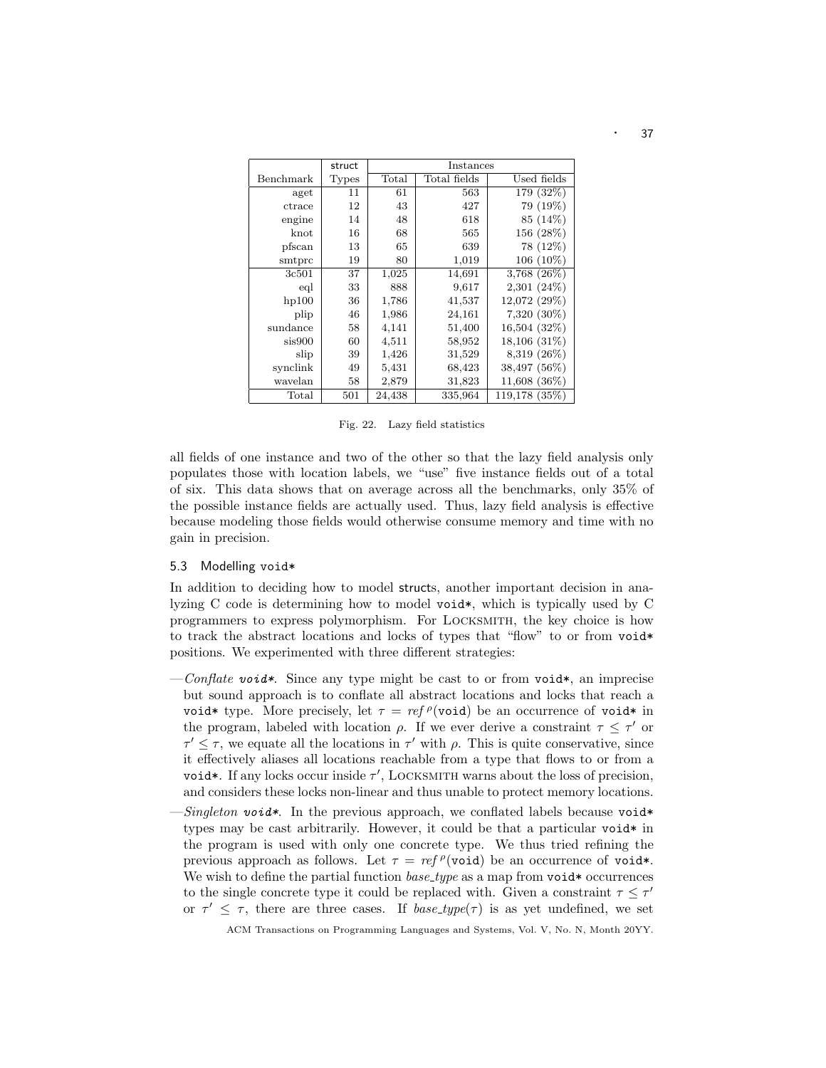|           | struct       | Instances      |              |                   |  |
|-----------|--------------|----------------|--------------|-------------------|--|
| Benchmark | <b>Types</b> | $_{\rm Total}$ | Total fields | Used fields       |  |
| aget      | 11           | 61             | 563          | 179 (32%)         |  |
| ctrace    | 12           | 43             | 427          | 79 (19%)          |  |
| engine    | 14           | 48             | 618          | 85 (14%)          |  |
| knot      | 16           | 68             | 565          | 156 (28%)         |  |
| pfscan    | 13           | 65             | 639          | 78 (12%)          |  |
| smtprc    | 19           | 80             | 1,019        | 106 (10%)         |  |
| 3c501     | 37           | 1,025          | 14,691       | $3,768$ $(26\%)$  |  |
| eql       | 33           | 888            | 9,617        | $2,301(24\%)$     |  |
| hp100     | 36           | 1,786          | 41,537       | 12,072 (29%)      |  |
| plip      | 46           | 1,986          | 24,161       | $7,320(30\%)$     |  |
| sundance  | 58           | 4,141          | 51,400       | $16,504$ $(32\%)$ |  |
| sis900    | 60           | 4,511          | 58,952       | 18,106 (31\%)     |  |
| slip      | 39           | 1,426          | 31,529       | 8,319 (26%)       |  |
| synclink  | 49           | 5,431          | 68,423       | 38,497 (56%)      |  |
| wavelan   | 58           | 2,879          | 31,823       | 11,608 (36\%)     |  |
| Total     | 501          | 24,438         | 335,964      | 119,178 (35%)     |  |

Fig. 22. Lazy field statistics

all fields of one instance and two of the other so that the lazy field analysis only populates those with location labels, we "use" five instance fields out of a total of six. This data shows that on average across all the benchmarks, only 35% of the possible instance fields are actually used. Thus, lazy field analysis is effective because modeling those fields would otherwise consume memory and time with no gain in precision.

### 5.3 Modelling void\*

In addition to deciding how to model structs, another important decision in analyzing C code is determining how to model void\*, which is typically used by C programmers to express polymorphism. For Locksmith, the key choice is how to track the abstract locations and locks of types that "flow" to or from void\* positions. We experimented with three different strategies:

- $\text{Conflate void*}.$  Since any type might be cast to or from void\*, an imprecise but sound approach is to conflate all abstract locations and locks that reach a void\* type. More precisely, let  $\tau = ref^{\rho}(\text{void})$  be an occurrence of void\* in the program, labeled with location  $\rho$ . If we ever derive a constraint  $\tau \leq \tau'$  or  $\tau' \leq \tau$ , we equate all the locations in  $\tau'$  with  $\rho$ . This is quite conservative, since it effectively aliases all locations reachable from a type that flows to or from a void\*. If any locks occur inside  $\tau'$ , LOCKSMITH warns about the loss of precision, and considers these locks non-linear and thus unable to protect memory locations.
- Singleton void\*. In the previous approach, we conflated labels because void\* types may be cast arbitrarily. However, it could be that a particular void  $*$  in the program is used with only one concrete type. We thus tried refining the previous approach as follows. Let  $\tau = ref \rho(\text{void})$  be an occurrence of void\*. We wish to define the partial function  $base_type$  as a map from void\* occurrences to the single concrete type it could be replaced with. Given a constraint  $\tau \leq \tau'$ or  $\tau' \leq \tau$ , there are three cases. If *base\_type(* $\tau$ *)* is as yet undefined, we set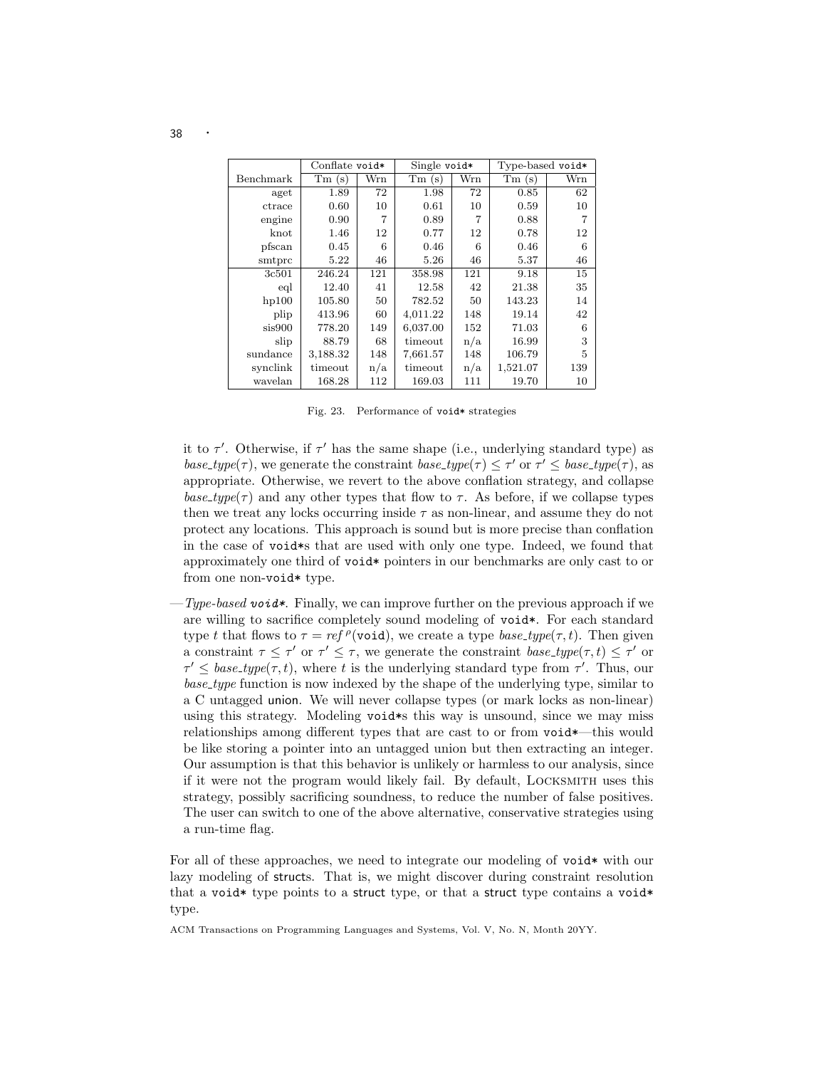|           | Conflate void* |     | Single void* |     | Type-based void* |     |
|-----------|----------------|-----|--------------|-----|------------------|-----|
| Benchmark | Tm(s)          | Wrn | Tm(s)        | Wrn | Tm(s)            | Wrn |
| aget      | 1.89           | 72  | 1.98         | 72  | 0.85             | 62  |
| ctrace    | 0.60           | 10  | 0.61         | 10  | 0.59             | 10  |
| engine    | 0.90           | 7   | 0.89         |     | 0.88             | 7   |
| $k$ not   | 1.46           | 12  | 0.77         | 12  | 0.78             | 12  |
| pfscan    | 0.45           | 6   | 0.46         | 6   | 0.46             | 6   |
| smtprc    | 5.22           | 46  | 5.26         | 46  | 5.37             | 46  |
| 3c501     | 246.24         | 121 | 358.98       | 121 | 9.18             | 15  |
| eql       | 12.40          | 41  | 12.58        | 42  | 21.38            | 35  |
| hp100     | 105.80         | 50  | 782.52       | 50  | 143.23           | 14  |
| plip      | 413.96         | 60  | 4,011.22     | 148 | 19.14            | 42  |
| sis900    | 778.20         | 149 | 6,037.00     | 152 | 71.03            | 6   |
| slip      | 88.79          | 68  | timeout      | n/a | 16.99            | 3   |
| sundance  | 3,188.32       | 148 | 7,661.57     | 148 | 106.79           | 5   |
| synclink  | timeout        | n/a | timeout      | n/a | 1,521.07         | 139 |
| wavelan   | 168.28         | 112 | 169.03       | 111 | 19.70            | 10  |

Fig. 23. Performance of void\* strategies

it to  $\tau'$ . Otherwise, if  $\tau'$  has the same shape (i.e., underlying standard type) as base\_type( $\tau$ ), we generate the constraint base\_type( $\tau$ )  $\leq \tau'$  or  $\tau' \leq$  base\_type( $\tau$ ), as appropriate. Otherwise, we revert to the above conflation strategy, and collapse base\_type( $\tau$ ) and any other types that flow to  $\tau$ . As before, if we collapse types then we treat any locks occurring inside  $\tau$  as non-linear, and assume they do not protect any locations. This approach is sound but is more precise than conflation in the case of void\*s that are used with only one type. Indeed, we found that approximately one third of void\* pointers in our benchmarks are only cast to or from one non-void\* type.

 $-Type-based \textit{void*}.$  Finally, we can improve further on the previous approach if we are willing to sacrifice completely sound modeling of void\*. For each standard type t that flows to  $\tau = ref \rho(\text{void})$ , we create a type  $base\_type(\tau, t)$ . Then given a constraint  $\tau \leq \tau'$  or  $\tau' \leq \tau$ , we generate the constraint  $base\_type(\tau, t) \leq \tau'$  or  $\tau' \leq \text{base\_type}(\tau, t)$ , where t is the underlying standard type from  $\tau'$ . Thus, our base type function is now indexed by the shape of the underlying type, similar to a C untagged union. We will never collapse types (or mark locks as non-linear) using this strategy. Modeling void\*s this way is unsound, since we may miss relationships among different types that are cast to or from void\*—this would be like storing a pointer into an untagged union but then extracting an integer. Our assumption is that this behavior is unlikely or harmless to our analysis, since if it were not the program would likely fail. By default, Locksmith uses this strategy, possibly sacrificing soundness, to reduce the number of false positives. The user can switch to one of the above alternative, conservative strategies using a run-time flag.

For all of these approaches, we need to integrate our modeling of void\* with our lazy modeling of structs. That is, we might discover during constraint resolution that a void\* type points to a struct type, or that a struct type contains a void\* type.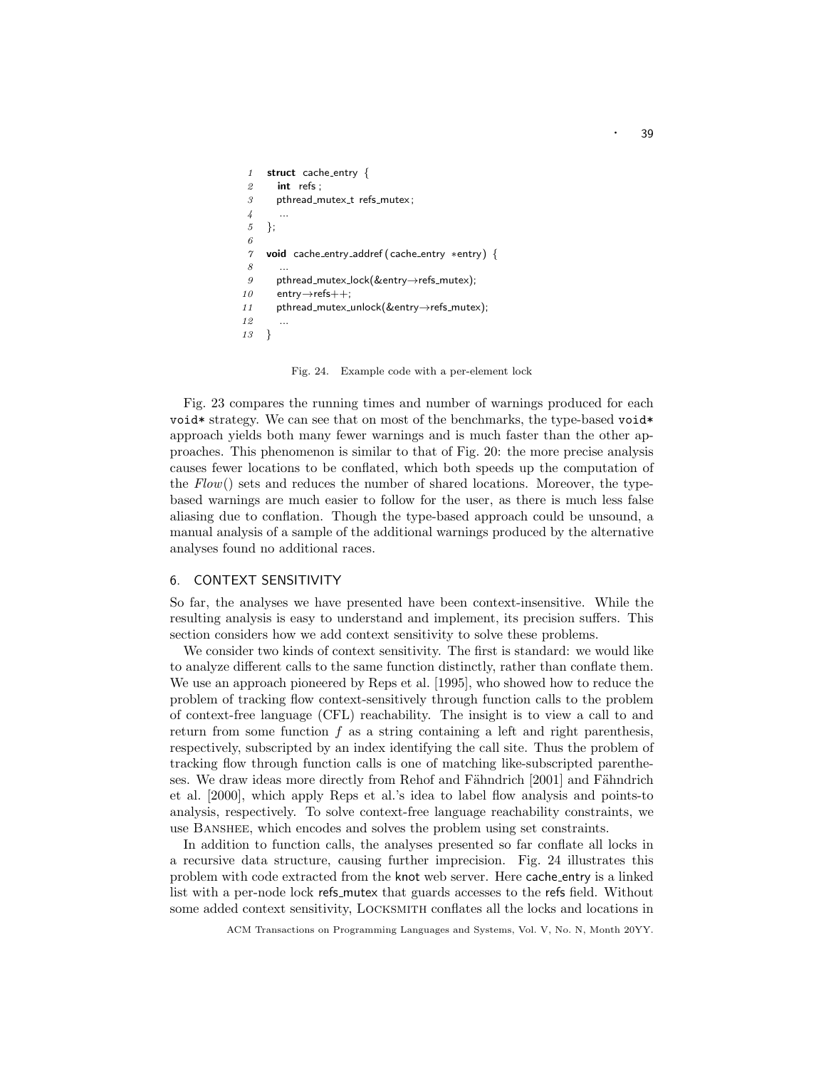```
1 struct cache_entry {
 2 int refs ;
 3 pthread_mutex_t refs_mutex;
 \overline{A}5 };
 6
 7 void cache entry addref (cache entry ∗entry) {
 8 ...
 9 pthread_mutex_lock(&entry\rightarrowrefs_mutex);
10 entry→refs++:
11 pthread_mutex_unlock(&entry→refs_mutex);
12
13 }
```
Fig. 24. Example code with a per-element lock

Fig. 23 compares the running times and number of warnings produced for each void\* strategy. We can see that on most of the benchmarks, the type-based void\* approach yields both many fewer warnings and is much faster than the other approaches. This phenomenon is similar to that of Fig. 20: the more precise analysis causes fewer locations to be conflated, which both speeds up the computation of the  $Flow()$  sets and reduces the number of shared locations. Moreover, the typebased warnings are much easier to follow for the user, as there is much less false aliasing due to conflation. Though the type-based approach could be unsound, a manual analysis of a sample of the additional warnings produced by the alternative analyses found no additional races.

# 6. CONTEXT SENSITIVITY

So far, the analyses we have presented have been context-insensitive. While the resulting analysis is easy to understand and implement, its precision suffers. This section considers how we add context sensitivity to solve these problems.

We consider two kinds of context sensitivity. The first is standard: we would like to analyze different calls to the same function distinctly, rather than conflate them. We use an approach pioneered by Reps et al. [1995], who showed how to reduce the problem of tracking flow context-sensitively through function calls to the problem of context-free language (CFL) reachability. The insight is to view a call to and return from some function  $f$  as a string containing a left and right parenthesis, respectively, subscripted by an index identifying the call site. Thus the problem of tracking flow through function calls is one of matching like-subscripted parentheses. We draw ideas more directly from Rehof and Fähndrich [2001] and Fähndrich et al. [2000], which apply Reps et al.'s idea to label flow analysis and points-to analysis, respectively. To solve context-free language reachability constraints, we use Banshee, which encodes and solves the problem using set constraints.

In addition to function calls, the analyses presented so far conflate all locks in a recursive data structure, causing further imprecision. Fig. 24 illustrates this problem with code extracted from the knot web server. Here cache entry is a linked list with a per-node lock refs mutex that guards accesses to the refs field. Without some added context sensitivity, Locksmith conflates all the locks and locations in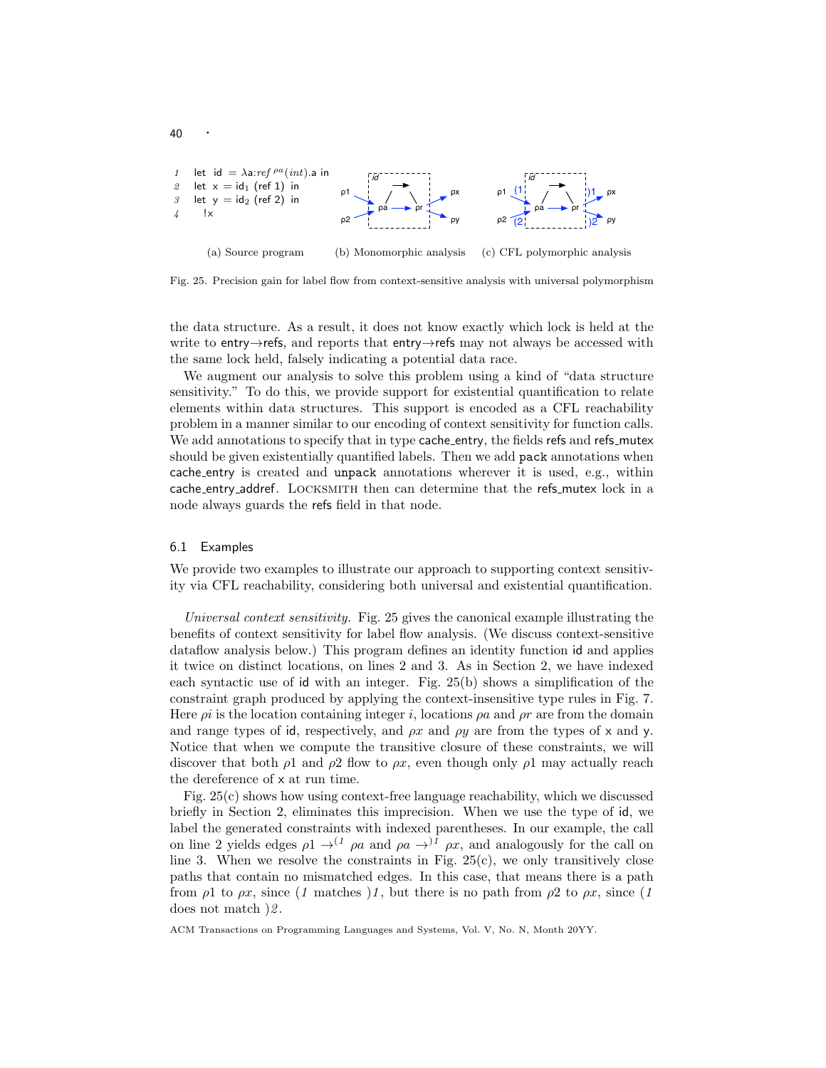

Fig. 25. Precision gain for label flow from context-sensitive analysis with universal polymorphism

the data structure. As a result, it does not know exactly which lock is held at the write to entry→refs, and reports that entry→refs may not always be accessed with the same lock held, falsely indicating a potential data race.

We augment our analysis to solve this problem using a kind of "data structure sensitivity." To do this, we provide support for existential quantification to relate elements within data structures. This support is encoded as a CFL reachability problem in a manner similar to our encoding of context sensitivity for function calls. We add annotations to specify that in type cache entry, the fields refs and refs mutex should be given existentially quantified labels. Then we add pack annotations when cache entry is created and unpack annotations wherever it is used, e.g., within cache\_entry\_addref. LOCKSMITH then can determine that the refs\_mutex lock in a node always guards the refs field in that node.

#### 6.1 Examples

40

We provide two examples to illustrate our approach to supporting context sensitivity via CFL reachability, considering both universal and existential quantification.

Universal context sensitivity. Fig. 25 gives the canonical example illustrating the benefits of context sensitivity for label flow analysis. (We discuss context-sensitive dataflow analysis below.) This program defines an identity function id and applies it twice on distinct locations, on lines 2 and 3. As in Section 2, we have indexed each syntactic use of id with an integer. Fig. 25(b) shows a simplification of the constraint graph produced by applying the context-insensitive type rules in Fig. 7. Here  $\rho i$  is the location containing integer i, locations  $\rho a$  and  $\rho r$  are from the domain and range types of id, respectively, and  $\rho x$  and  $\rho y$  are from the types of x and y. Notice that when we compute the transitive closure of these constraints, we will discover that both  $\rho_1$  and  $\rho_2$  flow to  $\rho x$ , even though only  $\rho_1$  may actually reach the dereference of x at run time.

Fig. 25(c) shows how using context-free language reachability, which we discussed briefly in Section 2, eliminates this imprecision. When we use the type of id, we label the generated constraints with indexed parentheses. In our example, the call on line 2 yields edges  $\rho_1 \rightarrow^{(1)} \rho_a$  and  $\rho_a \rightarrow^{(1)} \rho_x$ , and analogously for the call on line 3. When we resolve the constraints in Fig.  $25(c)$ , we only transitively close paths that contain no mismatched edges. In this case, that means there is a path from  $\rho_1$  to  $\rho x$ , since (1 matches )1, but there is no path from  $\rho_2$  to  $\rho x$ , since (1 does not match  $\frac{2}{2}$ .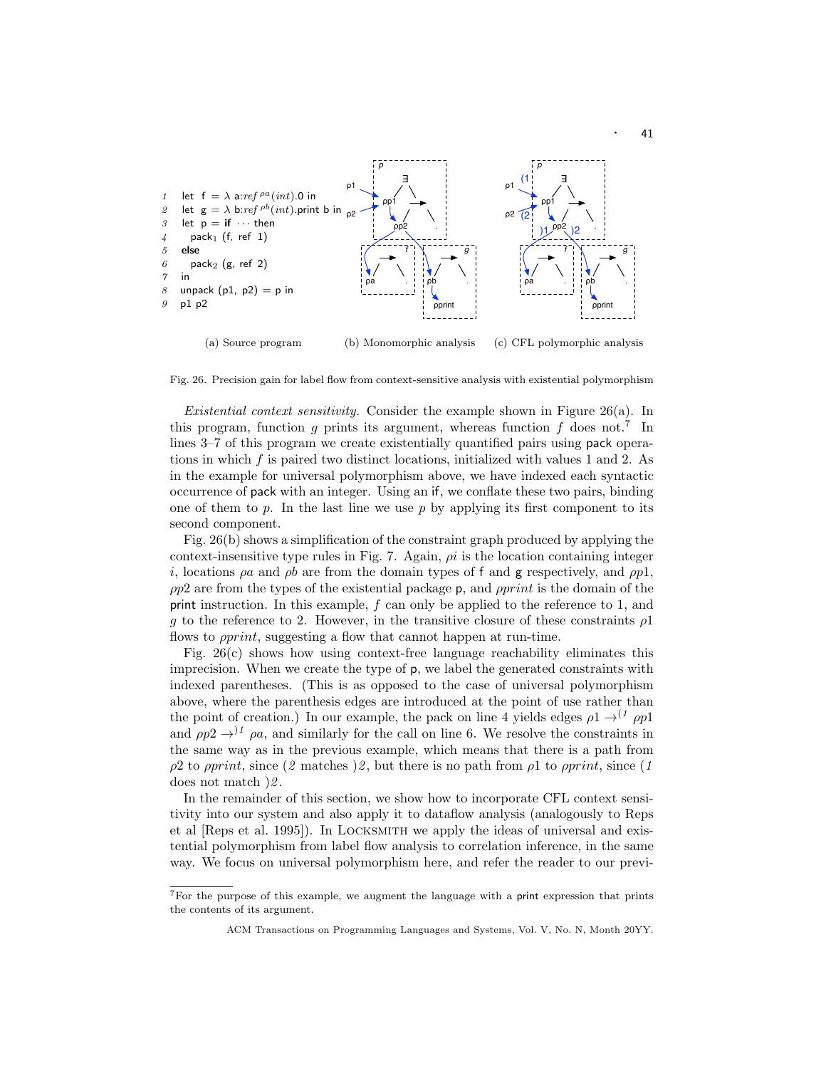

Fig. 26. Precision gain for label flow from context-sensitive analysis with existential polymorphism

Existential context sensitivity. Consider the example shown in Figure 26(a). In this program, function g prints its argument, whereas function  $f$  does not.<sup>7</sup> In lines 3–7 of this program we create existentially quantified pairs using pack operations in which f is paired two distinct locations, initialized with values 1 and 2. As in the example for universal polymorphism above, we have indexed each syntactic occurrence of pack with an integer. Using an if, we conflate these two pairs, binding one of them to  $p$ . In the last line we use  $p$  by applying its first component to its second component.

Fig. 26(b) shows a simplification of the constraint graph produced by applying the context-insensitive type rules in Fig. 7. Again,  $\rho i$  is the location containing integer i, locations  $\rho a$  and  $\rho b$  are from the domain types of f and g respectively, and  $\rho p1$ ,  $\rho p2$  are from the types of the existential package p, and  $\rho print$  is the domain of the print instruction. In this example,  $f$  can only be applied to the reference to 1, and g to the reference to 2. However, in the transitive closure of these constraints  $\rho$ 1 flows to *pprint*, suggesting a flow that cannot happen at run-time.

Fig. 26(c) shows how using context-free language reachability eliminates this imprecision. When we create the type of p, we label the generated constraints with indexed parentheses. (This is as opposed to the case of universal polymorphism above, where the parenthesis edges are introduced at the point of use rather than the point of creation.) In our example, the pack on line 4 yields edges  $\rho_1 \rightarrow^{(1)} \rho p_1$ and  $\rho p^2 \rightarrow$ <sup>1</sup>  $\rho a$ , and similarly for the call on line 6. We resolve the constraints in the same way as in the previous example, which means that there is a path from  $ρ2$  to *pprint*, since (2 matches )2, but there is no path from  $ρ1$  to *pprint*, since (1 does not match  $\sqrt{2}$ .

In the remainder of this section, we show how to incorporate CFL context sensitivity into our system and also apply it to dataflow analysis (analogously to Reps et al [Reps et al. 1995]). In Locksmith we apply the ideas of universal and existential polymorphism from label flow analysis to correlation inference, in the same way. We focus on universal polymorphism here, and refer the reader to our previ-

<sup>7</sup>For the purpose of this example, we augment the language with a print expression that prints the contents of its argument.

ACM Transactions on Programming Languages and Systems, Vol. V, No. N, Month 20YY.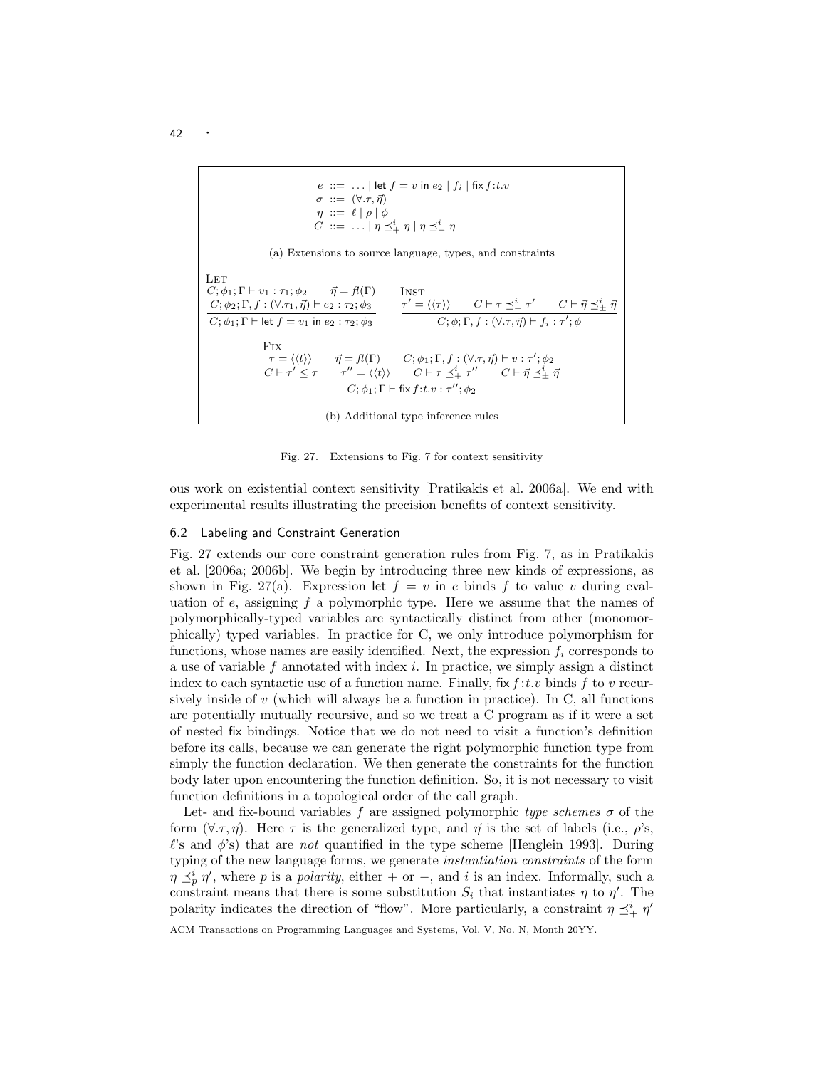

Fig. 27. Extensions to Fig. 7 for context sensitivity

ous work on existential context sensitivity [Pratikakis et al. 2006a]. We end with experimental results illustrating the precision benefits of context sensitivity.

### 6.2 Labeling and Constraint Generation

Fig. 27 extends our core constraint generation rules from Fig. 7, as in Pratikakis et al. [2006a; 2006b]. We begin by introducing three new kinds of expressions, as shown in Fig. 27(a). Expression let  $f = v$  in e binds f to value v during evaluation of  $e$ , assigning  $f$  a polymorphic type. Here we assume that the names of polymorphically-typed variables are syntactically distinct from other (monomorphically) typed variables. In practice for C, we only introduce polymorphism for functions, whose names are easily identified. Next, the expression  $f_i$  corresponds to a use of variable  $f$  annotated with index  $i$ . In practice, we simply assign a distinct index to each syntactic use of a function name. Finally,  $fix f: t.v$  binds f to v recursively inside of  $v$  (which will always be a function in practice). In C, all functions are potentially mutually recursive, and so we treat a C program as if it were a set of nested fix bindings. Notice that we do not need to visit a function's definition before its calls, because we can generate the right polymorphic function type from simply the function declaration. We then generate the constraints for the function body later upon encountering the function definition. So, it is not necessary to visit function definitions in a topological order of the call graph.

Let- and fix-bound variables f are assigned polymorphic type schemes  $\sigma$  of the form  $(\forall \tau, \vec{\eta})$ . Here  $\tau$  is the generalized type, and  $\vec{\eta}$  is the set of labels (i.e.,  $\rho$ 's,  $\ell$ 's and  $\phi$ 's) that are not quantified in the type scheme [Henglein 1993]. During typing of the new language forms, we generate instantiation constraints of the form  $\eta \preceq_p^i \eta'$ , where p is a polarity, either + or -, and i is an index. Informally, such a constraint means that there is some substitution  $S_i$  that instantiates  $\eta$  to  $\eta'$ . The polarity indicates the direction of "flow". More particularly, a constraint  $\eta \preceq^i_{+} \eta'$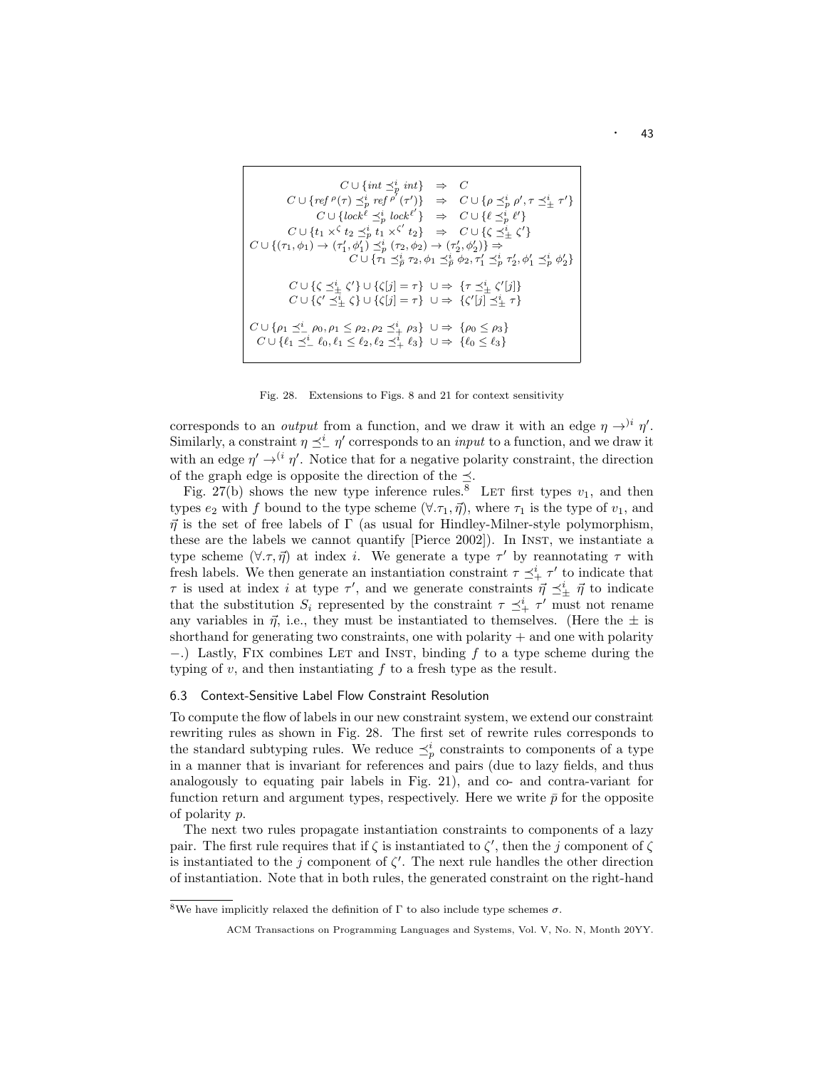$$
C \cup \{ \inf \preceq_p^i \inf \} \Rightarrow C
$$
  
\n
$$
C \cup \{ \text{ref } \rho(\tau) \preceq_p^i \text{ref } \rho'(\tau') \} \Rightarrow C \cup \{ \rho \preceq_p^i \rho', \tau \preceq_{\pm}^i \tau' \}
$$
  
\n
$$
C \cup \{ \text{lock}^{\ell} \preceq_p^i \text{lock}^{\ell'} \} \Rightarrow C \cup \{ \ell \preceq_p^i \ell' \}
$$
  
\n
$$
C \cup \{ t_1 \times \{ t_2 \preceq_p^i t_1 \times \{ \ell_2 \} \} \Rightarrow C \cup \{ \zeta \preceq_p^i \ell' \}
$$
  
\n
$$
C \cup \{ (\tau_1, \phi_1) \rightarrow (\tau_1', \phi_1') \preceq_p^i (\tau_2, \phi_2) \rightarrow (\tau_2', \phi_2') \} \Rightarrow
$$
  
\n
$$
C \cup \{ \tau_1 \preceq_p^i \tau_2, \phi_1 \preceq_p^i \phi_2, \tau_1' \preceq_p^i \tau_2', \phi_1' \preceq_p^i \phi_2' \}
$$
  
\n
$$
C \cup \{ \zeta \preceq_{\pm}^i \zeta' \} \cup \{ \zeta[j] = \tau \} \cup \Rightarrow \{ \tau \preceq_{\pm}^i \zeta'[j] \}
$$
  
\n
$$
C \cup \{ \zeta' \preceq_p^i \{ \zeta \} \cup \{ \zeta[j] = \tau \} \cup \Rightarrow \{ \zeta'[j] \preceq_p^i \tau \}
$$
  
\n
$$
C \cup \{ \rho_1 \preceq_p^i \rho_0, \rho_1 \leq \rho_2, \rho_2 \preceq_{\pm}^i \rho_3 \} \cup \Rightarrow \{ \rho_0 \leq \rho_3 \}
$$
  
\n
$$
C \cup \{ \ell_1 \preceq_p^i \ell_0, \ell_1 \leq \ell_2, \ell_2 \preceq_{\pm}^i \ell_3 \} \cup \Rightarrow \{ \ell_0 \leq \ell_3 \}
$$

Fig. 28. Extensions to Figs. 8 and 21 for context sensitivity

corresponds to an *output* from a function, and we draw it with an edge  $\eta \rightarrow^{i} \eta'$ . Similarly, a constraint  $\eta \preceq^i_{-} \eta'$  corresponds to an *input* to a function, and we draw it with an edge  $\eta' \rightarrow^{(i} \eta'$ . Notice that for a negative polarity constraint, the direction of the graph edge is opposite the direction of the  $\preceq$ .

Fig. 27(b) shows the new type inference rules.<sup>8</sup> LET first types  $v_1$ , and then types  $e_2$  with f bound to the type scheme  $(\forall .\tau_1,\vec{\eta})$ , where  $\tau_1$  is the type of  $v_1$ , and  $\vec{\eta}$  is the set of free labels of  $\Gamma$  (as usual for Hindley-Milner-style polymorphism, these are the labels we cannot quantify [Pierce 2002]). In INST, we instantiate a type scheme  $(\forall \tau, \vec{\eta})$  at index *i*. We generate a type  $\tau'$  by reannotating  $\tau$  with fresh labels. We then generate an instantiation constraint  $\tau \preceq^i_+ \tau'$  to indicate that  $\tau$  is used at index *i* at type  $\tau'$ , and we generate constraints  $\vec{\eta} \preceq_{\pm}^{i} \vec{\eta}$  to indicate that the substitution  $S_i$  represented by the constraint  $\tau \preceq^i_+ \tau'$  must not rename any variables in  $\vec{\eta}$ , i.e., they must be instantiated to themselves. (Here the  $\pm$  is shorthand for generating two constraints, one with polarity  $+$  and one with polarity  $-$ .) Lastly, FIX combines LET and INST, binding f to a type scheme during the typing of  $v$ , and then instantiating  $f$  to a fresh type as the result.

# 6.3 Context-Sensitive Label Flow Constraint Resolution

To compute the flow of labels in our new constraint system, we extend our constraint rewriting rules as shown in Fig. 28. The first set of rewrite rules corresponds to the standard subtyping rules. We reduce  $\preceq^i_p$  constraints to components of a type in a manner that is invariant for references and pairs (due to lazy fields, and thus analogously to equating pair labels in Fig.  $21$ ), and co- and contra-variant for function return and argument types, respectively. Here we write  $\bar{p}$  for the opposite of polarity p.

The next two rules propagate instantiation constraints to components of a lazy pair. The first rule requires that if  $\zeta$  is instantiated to  $\zeta'$ , then the j component of  $\zeta$ is instantiated to the j component of  $\zeta'$ . The next rule handles the other direction of instantiation. Note that in both rules, the generated constraint on the right-hand

<sup>&</sup>lt;sup>8</sup>We have implicitly relaxed the definition of  $\Gamma$  to also include type schemes  $\sigma$ .

ACM Transactions on Programming Languages and Systems, Vol. V, No. N, Month 20YY.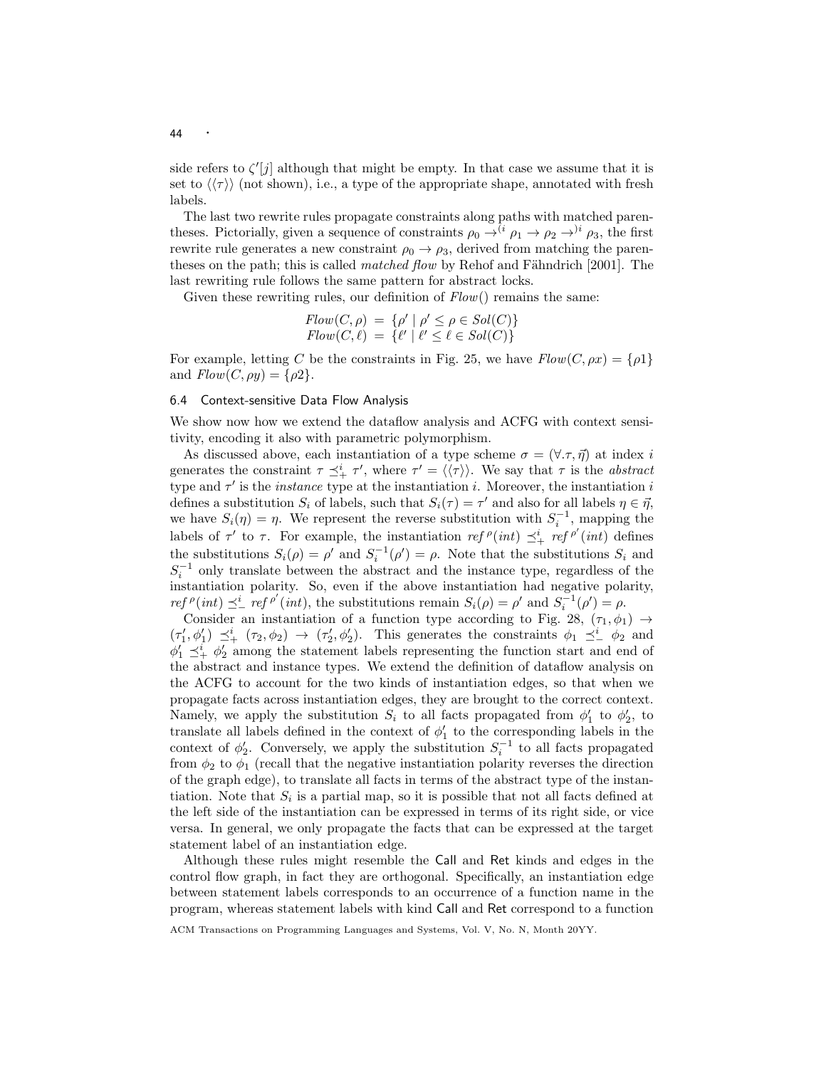side refers to  $\zeta'[j]$  although that might be empty. In that case we assume that it is set to  $\langle \langle \tau \rangle \rangle$  (not shown), i.e., a type of the appropriate shape, annotated with fresh labels.

The last two rewrite rules propagate constraints along paths with matched parentheses. Pictorially, given a sequence of constraints  $\rho_0 \rightarrow^{(i} \rho_1 \rightarrow \rho_2 \rightarrow^{i} \rho_3$ , the first rewrite rule generates a new constraint  $\rho_0 \rightarrow \rho_3$ , derived from matching the parentheses on the path; this is called *matched flow* by Rehof and Fähndrich [2001]. The last rewriting rule follows the same pattern for abstract locks.

Given these rewriting rules, our definition of  $Flow()$  remains the same:

$$
Flow(C, \rho) = \{ \rho' \mid \rho' \le \rho \in Sol(C) \}
$$
  
Flow(C, \ell) = \{ \ell' \mid \ell' \le \ell \in Sol(C) \}

For example, letting C be the constraints in Fig. 25, we have  $Flow(C, \rho x) = \{\rho 1\}$ and  $Flow(C, \rho y) = {\rho 2}.$ 

# 6.4 Context-sensitive Data Flow Analysis

We show now how we extend the dataflow analysis and ACFG with context sensitivity, encoding it also with parametric polymorphism.

As discussed above, each instantiation of a type scheme  $\sigma = (\forall \tau, \vec{\eta})$  at index i generates the constraint  $\tau \preceq^i_+ \tau'$ , where  $\tau' = \langle \langle \tau \rangle \rangle$ . We say that  $\tau$  is the abstract type and  $\tau'$  is the *instance* type at the instantiation i. Moreover, the instantiation i defines a substitution  $S_i$  of labels, such that  $S_i(\tau) = \tau'$  and also for all labels  $\eta \in \vec{\eta}$ , we have  $S_i(\eta) = \eta$ . We represent the reverse substitution with  $S_i^{-1}$ , mapping the labels of  $\tau'$  to  $\tau$ . For example, the instantiation ref  $^{\rho}(int) \preceq^i_+$  ref  $^{\rho'}(int)$  defines the substitutions  $S_i(\rho) = \rho'$  and  $S_i^{-1}(\rho') = \rho$ . Note that the substitutions  $S_i$  and  $S_i^{-1}$  only translate between the abstract and the instance type, regardless of the instantiation polarity. So, even if the above instantiation had negative polarity,  $ref^{\rho}(int) \preceq^i_{-} ref^{\rho'}(int)$ , the substitutions remain  $S_i(\rho) = \rho'$  and  $S_i^{-1}(\rho') = \rho$ .

Consider an instantiation of a function type according to Fig. 28,  $(\tau_1, \phi_1) \rightarrow$  $(\tau'_1, \phi'_1) \preceq^i_{+} (\tau_2, \phi_2) \rightarrow (\tau'_2, \phi'_2)$ . This generates the constraints  $\phi_1 \preceq^i_{-} \phi_2$  and  $\phi'_1 \preceq^i_+ \phi'_2$  among the statement labels representing the function start and end of the abstract and instance types. We extend the definition of dataflow analysis on the ACFG to account for the two kinds of instantiation edges, so that when we propagate facts across instantiation edges, they are brought to the correct context. Namely, we apply the substitution  $S_i$  to all facts propagated from  $\phi'_1$  to  $\phi'_2$ , to translate all labels defined in the context of  $\phi'_1$  to the corresponding labels in the context of  $\phi'_2$ . Conversely, we apply the substitution  $S_i^{-1}$  to all facts propagated from  $\phi_2$  to  $\phi_1$  (recall that the negative instantiation polarity reverses the direction of the graph edge), to translate all facts in terms of the abstract type of the instantiation. Note that  $S_i$  is a partial map, so it is possible that not all facts defined at the left side of the instantiation can be expressed in terms of its right side, or vice versa. In general, we only propagate the facts that can be expressed at the target statement label of an instantiation edge.

Although these rules might resemble the Call and Ret kinds and edges in the control flow graph, in fact they are orthogonal. Specifically, an instantiation edge between statement labels corresponds to an occurrence of a function name in the program, whereas statement labels with kind Call and Ret correspond to a function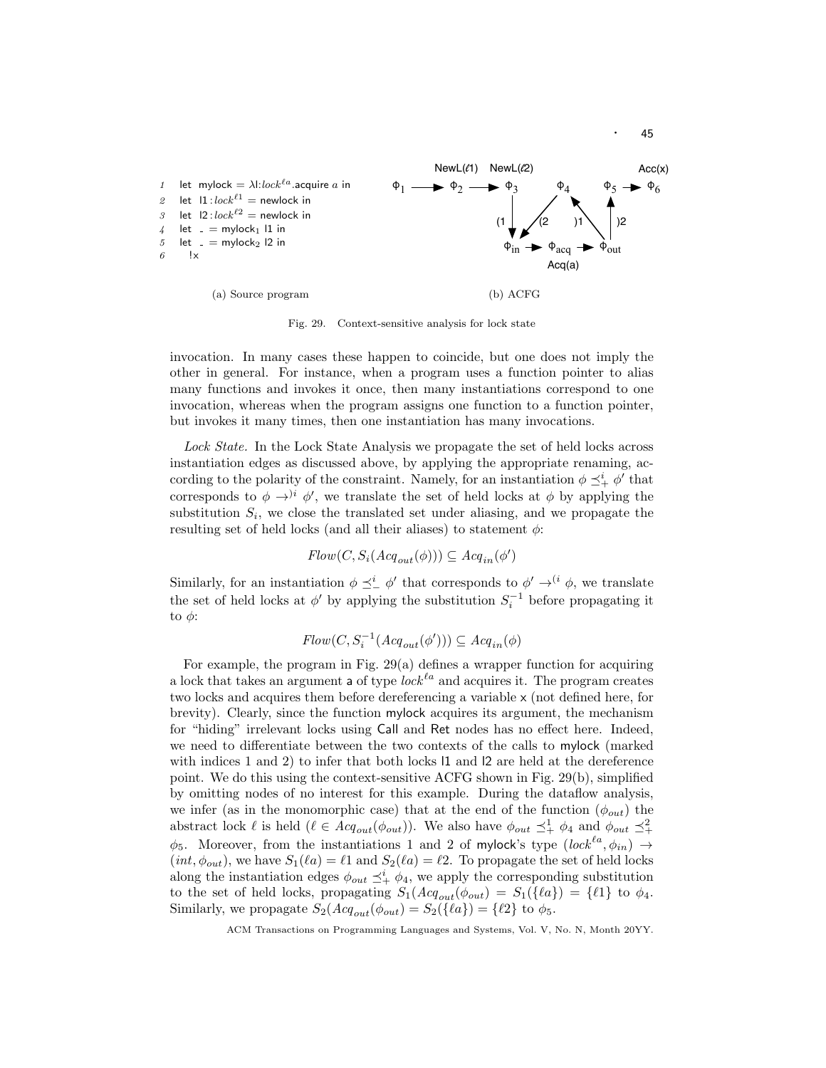

Fig. 29. Context-sensitive analysis for lock state

invocation. In many cases these happen to coincide, but one does not imply the other in general. For instance, when a program uses a function pointer to alias many functions and invokes it once, then many instantiations correspond to one invocation, whereas when the program assigns one function to a function pointer, but invokes it many times, then one instantiation has many invocations.

Lock State. In the Lock State Analysis we propagate the set of held locks across instantiation edges as discussed above, by applying the appropriate renaming, according to the polarity of the constraint. Namely, for an instantiation  $\phi \preceq^i_+ \phi'$  that corresponds to  $\phi \rightarrow$ <sup>)*i*</sup>  $\phi'$ , we translate the set of held locks at  $\phi$  by applying the substitution  $S_i$ , we close the translated set under aliasing, and we propagate the resulting set of held locks (and all their aliases) to statement  $\phi$ :

$$
Flow(C,S_i(Acq_{out}(\phi)))\subseteq Acq_{in}(\phi')
$$

Similarly, for an instantiation  $\phi \preceq^i_{-} \phi'$  that corresponds to  $\phi' \rightarrow^{(i} \phi$ , we translate the set of held locks at  $\phi'$  by applying the substitution  $S_i^{-1}$  before propagating it to  $\phi$ :

$$
Flow(C,S_i^{-1}(Acq_{out}(\phi')))\subseteq Acq_{in}(\phi)
$$

For example, the program in Fig. 29(a) defines a wrapper function for acquiring a lock that takes an argument a of type  $lock<sup>la</sup>$  and acquires it. The program creates two locks and acquires them before dereferencing a variable x (not defined here, for brevity). Clearly, since the function mylock acquires its argument, the mechanism for "hiding" irrelevant locks using Call and Ret nodes has no effect here. Indeed, we need to differentiate between the two contexts of the calls to mylock (marked with indices 1 and 2) to infer that both locks l1 and l2 are held at the dereference point. We do this using the context-sensitive ACFG shown in Fig. 29(b), simplified by omitting nodes of no interest for this example. During the dataflow analysis, we infer (as in the monomorphic case) that at the end of the function  $(\phi_{out})$  the abstract lock  $\ell$  is held  $(\ell \in \text{Acq}_{out}(\phi_{out}))$ . We also have  $\phi_{out} \preceq^1_+ \phi_4$  and  $\phi_{out} \preceq^2_+$  $\phi_5$ . Moreover, from the instantiations 1 and 2 of mylock's type  $(lock^{la}, \phi_{in}) \rightarrow$  $(int, \phi_{out})$ , we have  $S_1(\ell a) = \ell 1$  and  $S_2(\ell a) = \ell 2$ . To propagate the set of held locks along the instantiation edges  $\phi_{out} \preceq^i_+ \phi_4$ , we apply the corresponding substitution to the set of held locks, propagating  $S_1(Acq_{out}(\phi_{out}) = S_1({\lbrace \ell a \rbrace}) = {\lbrace \ell 1 \rbrace}$  to  $\phi_4$ . Similarly, we propagate  $S_2(Acq_{out}(\phi_{out}) = S_2({\lbrace \ell a \rbrace}) = {\lbrace \ell 2 \rbrace}$  to  $\phi_5$ .

ACM Transactions on Programming Languages and Systems, Vol. V, No. N, Month 20YY.

· <sup>45</sup>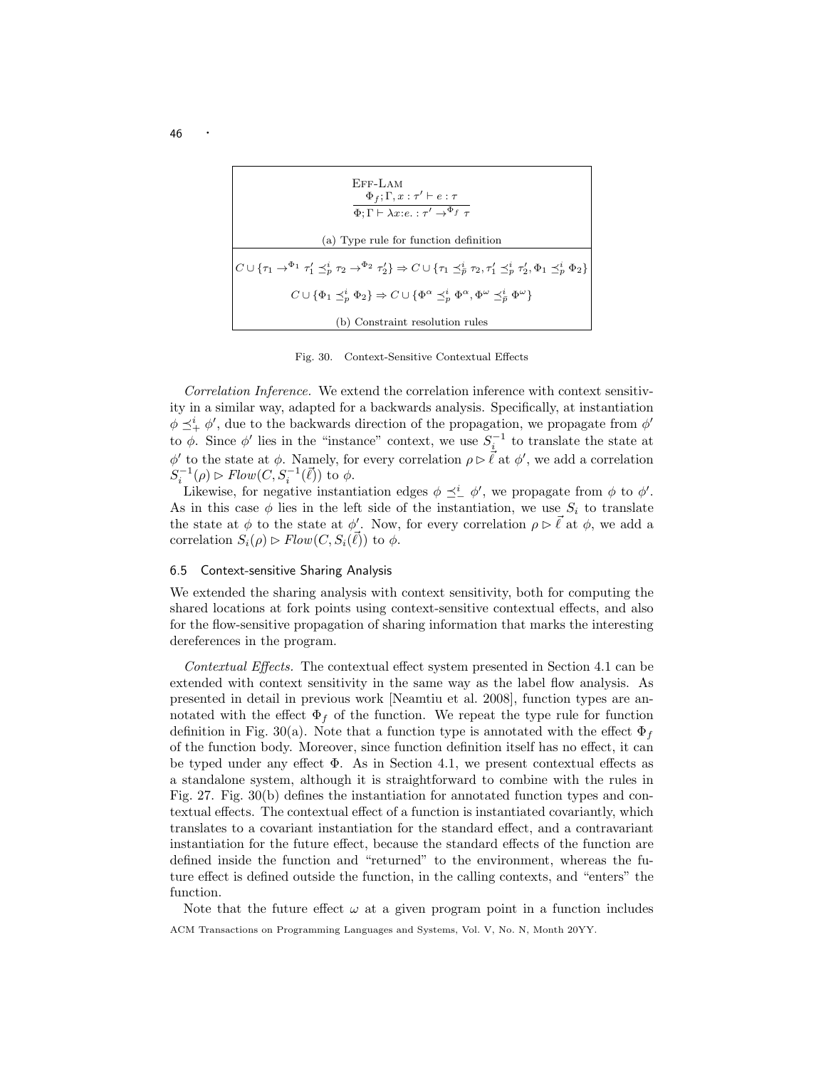| $EFF-LAM$<br>$\Phi_f$ ; $\Gamma$ , $x$ : $\tau' \vdash e : \tau$<br>$\Phi$ : $\Gamma \vdash \lambda x$ : $e$ . : $\tau' \rightarrow^{\Phi_{f}} \tau$                   |  |  |  |  |  |
|------------------------------------------------------------------------------------------------------------------------------------------------------------------------|--|--|--|--|--|
| (a) Type rule for function definition                                                                                                                                  |  |  |  |  |  |
| $C\cup\{\tau_1\to^{\Phi_1}\tau_1'\preceq_p^i\tau_2\to^{\Phi_2}\tau_2'\}\Rightarrow C\cup\{\tau_1\preceq_p^i\tau_2,\tau_1'\preceq_p^i\tau_2',\Phi_1\preceq_p^i\Phi_2\}$ |  |  |  |  |  |
| $C \cup \{ \Phi_1 \preceq^i_n \Phi_2 \} \Rightarrow C \cup \{ \Phi^\alpha \preceq^i_n \Phi^\alpha, \Phi^\omega \preceq^i_{\overline{\rho}} \Phi^\omega \}$             |  |  |  |  |  |
| (b) Constraint resolution rules                                                                                                                                        |  |  |  |  |  |

Fig. 30. Context-Sensitive Contextual Effects

Correlation Inference. We extend the correlation inference with context sensitivity in a similar way, adapted for a backwards analysis. Specifically, at instantiation  $\phi \preceq^i_+ \phi'$ , due to the backwards direction of the propagation, we propagate from  $\phi'$ to  $\phi$ . Since  $\phi'$  lies in the "instance" context, we use  $S_i^{-1}$  to translate the state at  $\phi'$  to the state at φ. Namely, for every correlation  $\rho \triangleright \vec{\ell}$  at  $\phi'$ , we add a correlation  $S_i^{-1}(\rho) \rhd Flow(C, S_i^{-1}(\vec{\ell}))$  to  $\phi$ .

Likewise, for negative instantiation edges  $\phi \preceq^i_{-} \phi'$ , we propagate from  $\phi$  to  $\phi'$ . As in this case  $\phi$  lies in the left side of the instantiation, we use  $S_i$  to translate the state at  $\phi$  to the state at  $\phi'$ . Now, for every correlation  $\rho \triangleright \vec{\ell}$  at  $\phi$ , we add a correlation  $S_i(\rho) \triangleright Flow(C, S_i(\vec{\ell}))$  to  $\phi$ .

## 6.5 Context-sensitive Sharing Analysis

We extended the sharing analysis with context sensitivity, both for computing the shared locations at fork points using context-sensitive contextual effects, and also for the flow-sensitive propagation of sharing information that marks the interesting dereferences in the program.

Contextual Effects. The contextual effect system presented in Section 4.1 can be extended with context sensitivity in the same way as the label flow analysis. As presented in detail in previous work [Neamtiu et al. 2008], function types are annotated with the effect  $\Phi_f$  of the function. We repeat the type rule for function definition in Fig. 30(a). Note that a function type is annotated with the effect  $\Phi_f$ of the function body. Moreover, since function definition itself has no effect, it can be typed under any effect  $\Phi$ . As in Section 4.1, we present contextual effects as a standalone system, although it is straightforward to combine with the rules in Fig. 27. Fig. 30(b) defines the instantiation for annotated function types and contextual effects. The contextual effect of a function is instantiated covariantly, which translates to a covariant instantiation for the standard effect, and a contravariant instantiation for the future effect, because the standard effects of the function are defined inside the function and "returned" to the environment, whereas the future effect is defined outside the function, in the calling contexts, and "enters" the function.

Note that the future effect  $\omega$  at a given program point in a function includes ACM Transactions on Programming Languages and Systems, Vol. V, No. N, Month 20YY.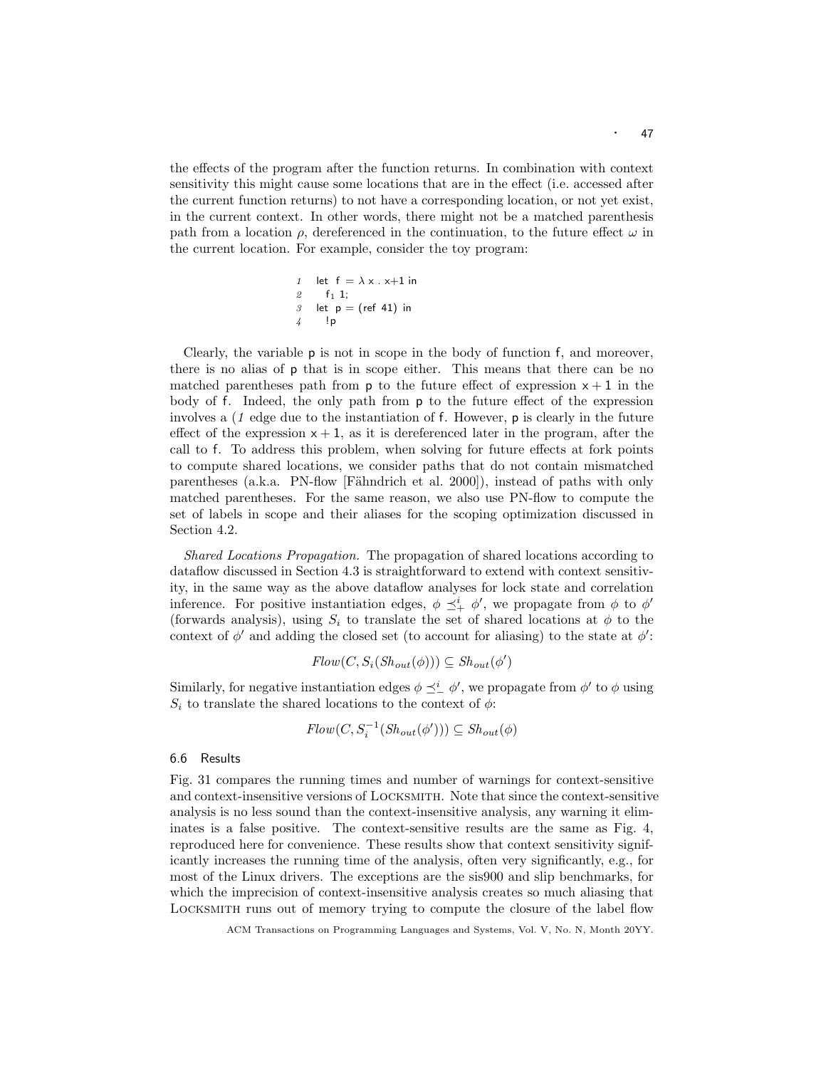the effects of the program after the function returns. In combination with context sensitivity this might cause some locations that are in the effect (i.e. accessed after the current function returns) to not have a corresponding location, or not yet exist, in the current context. In other words, there might not be a matched parenthesis path from a location  $\rho$ , dereferenced in the continuation, to the future effect  $\omega$  in the current location. For example, consider the toy program:

1 let 
$$
f = \lambda \times . \times +1
$$
 in  
\n2 f<sub>1</sub> 1;  
\n3 let  $p = (ref 41)$  in  
\n4 lp

Clearly, the variable  $p$  is not in scope in the body of function  $f$ , and moreover, there is no alias of p that is in scope either. This means that there can be no matched parentheses path from  $p$  to the future effect of expression  $x + 1$  in the body of f. Indeed, the only path from p to the future effect of the expression involves a  $(1 - 1)$  edge due to the instantiation of f. However,  $\mathbf{p}$  is clearly in the future effect of the expression  $x + 1$ , as it is dereferenced later in the program, after the call to f. To address this problem, when solving for future effects at fork points to compute shared locations, we consider paths that do not contain mismatched parentheses (a.k.a. PN-flow [Fähndrich et al. 2000]), instead of paths with only matched parentheses. For the same reason, we also use PN-flow to compute the set of labels in scope and their aliases for the scoping optimization discussed in Section 4.2.

Shared Locations Propagation. The propagation of shared locations according to dataflow discussed in Section 4.3 is straightforward to extend with context sensitivity, in the same way as the above dataflow analyses for lock state and correlation inference. For positive instantiation edges,  $\phi \preceq^i_+ \phi'$ , we propagate from  $\phi$  to  $\phi'$ (forwards analysis), using  $S_i$  to translate the set of shared locations at  $\phi$  to the context of  $\phi'$  and adding the closed set (to account for aliasing) to the state at  $\phi'$ :

$$
Flow(C, S_i(Sh_{out}(\phi))) \subseteq Sh_{out}(\phi')
$$

Similarly, for negative instantiation edges  $\phi \preceq^i_{-} \phi'$ , we propagate from  $\phi'$  to  $\phi$  using  $S_i$  to translate the shared locations to the context of  $\phi$ :

$$
Flow(C, S_i^{-1}(Sh_{out}(\phi'))) \subseteq Sh_{out}(\phi)
$$

# 6.6 Results

Fig. 31 compares the running times and number of warnings for context-sensitive and context-insensitive versions of Locksmith. Note that since the context-sensitive analysis is no less sound than the context-insensitive analysis, any warning it eliminates is a false positive. The context-sensitive results are the same as Fig. 4, reproduced here for convenience. These results show that context sensitivity significantly increases the running time of the analysis, often very significantly, e.g., for most of the Linux drivers. The exceptions are the sis900 and slip benchmarks, for which the imprecision of context-insensitive analysis creates so much aliasing that Locksmith runs out of memory trying to compute the closure of the label flow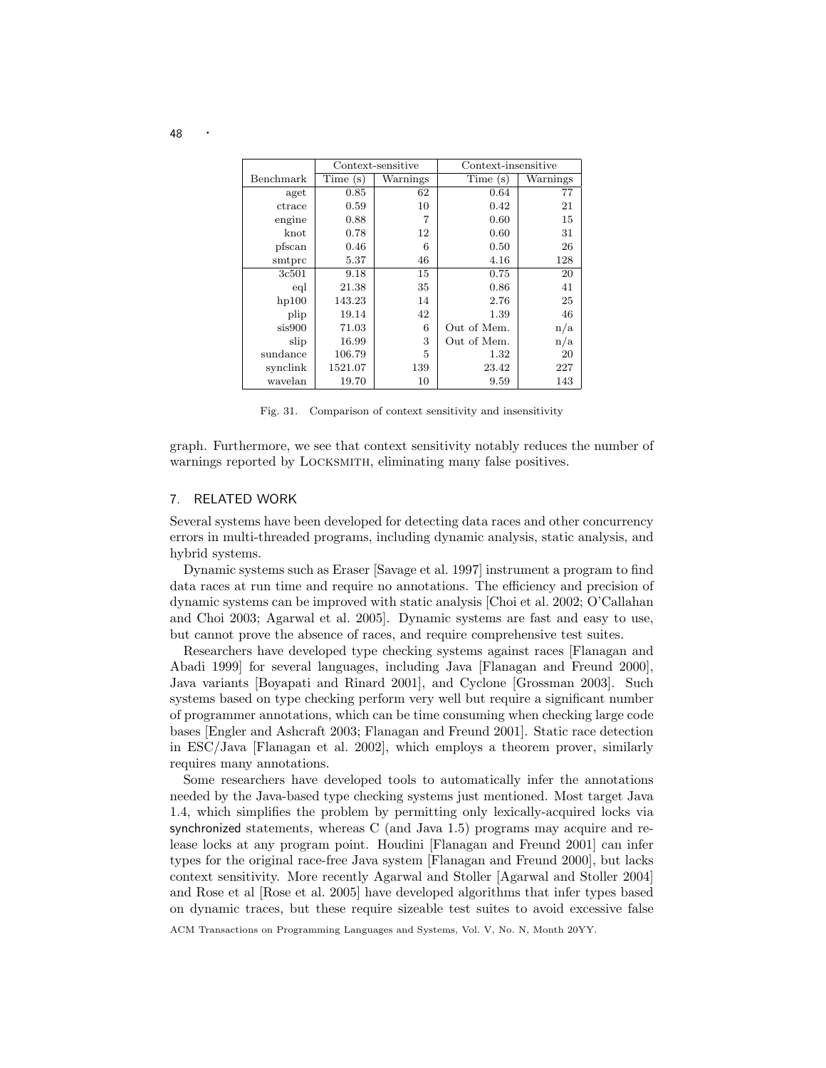|           |         | Context-sensitive | Context-insensitive |          |  |
|-----------|---------|-------------------|---------------------|----------|--|
| Benchmark | Time(s) | Warnings          | Time(s)             | Warnings |  |
| aget      | 0.85    | 62                | 0.64                | 77       |  |
| ctrace    | 0.59    | 10                | 0.42                | 21       |  |
| engine    | 0.88    |                   | 0.60                | 15       |  |
| knot      | 0.78    | 12                | 0.60                | 31       |  |
| pfscan    | 0.46    | 6                 | 0.50                | 26       |  |
| smtprc    | 5.37    | 46                | 4.16                | 128      |  |
| 3c501     | 9.18    | 15                | 0.75                | 20       |  |
| eql       | 21.38   | 35                | 0.86                | 41       |  |
| hp100     | 143.23  | 14                | 2.76                | 25       |  |
| plip      | 19.14   | 42                | 1.39                | 46       |  |
| sis900    | 71.03   | 6                 | Out of Mem.         | n/a      |  |
| slip      | 16.99   | 3                 | Out of Mem.         | n/a      |  |
| sundance  | 106.79  | 5                 | 1.32                | 20       |  |
| synclink  | 1521.07 | 139               | 23.42               | 227      |  |
| wavelan   | 19.70   | 10                | 9.59                | 143      |  |

Fig. 31. Comparison of context sensitivity and insensitivity

graph. Furthermore, we see that context sensitivity notably reduces the number of warnings reported by Locksmith, eliminating many false positives.

# 7. RELATED WORK

Several systems have been developed for detecting data races and other concurrency errors in multi-threaded programs, including dynamic analysis, static analysis, and hybrid systems.

Dynamic systems such as Eraser [Savage et al. 1997] instrument a program to find data races at run time and require no annotations. The efficiency and precision of dynamic systems can be improved with static analysis [Choi et al. 2002; O'Callahan and Choi 2003; Agarwal et al. 2005]. Dynamic systems are fast and easy to use, but cannot prove the absence of races, and require comprehensive test suites.

Researchers have developed type checking systems against races [Flanagan and Abadi 1999] for several languages, including Java [Flanagan and Freund 2000], Java variants [Boyapati and Rinard 2001], and Cyclone [Grossman 2003]. Such systems based on type checking perform very well but require a significant number of programmer annotations, which can be time consuming when checking large code bases [Engler and Ashcraft 2003; Flanagan and Freund 2001]. Static race detection in ESC/Java [Flanagan et al. 2002], which employs a theorem prover, similarly requires many annotations.

Some researchers have developed tools to automatically infer the annotations needed by the Java-based type checking systems just mentioned. Most target Java 1.4, which simplifies the problem by permitting only lexically-acquired locks via synchronized statements, whereas C (and Java 1.5) programs may acquire and release locks at any program point. Houdini [Flanagan and Freund 2001] can infer types for the original race-free Java system [Flanagan and Freund 2000], but lacks context sensitivity. More recently Agarwal and Stoller [Agarwal and Stoller 2004] and Rose et al [Rose et al. 2005] have developed algorithms that infer types based on dynamic traces, but these require sizeable test suites to avoid excessive false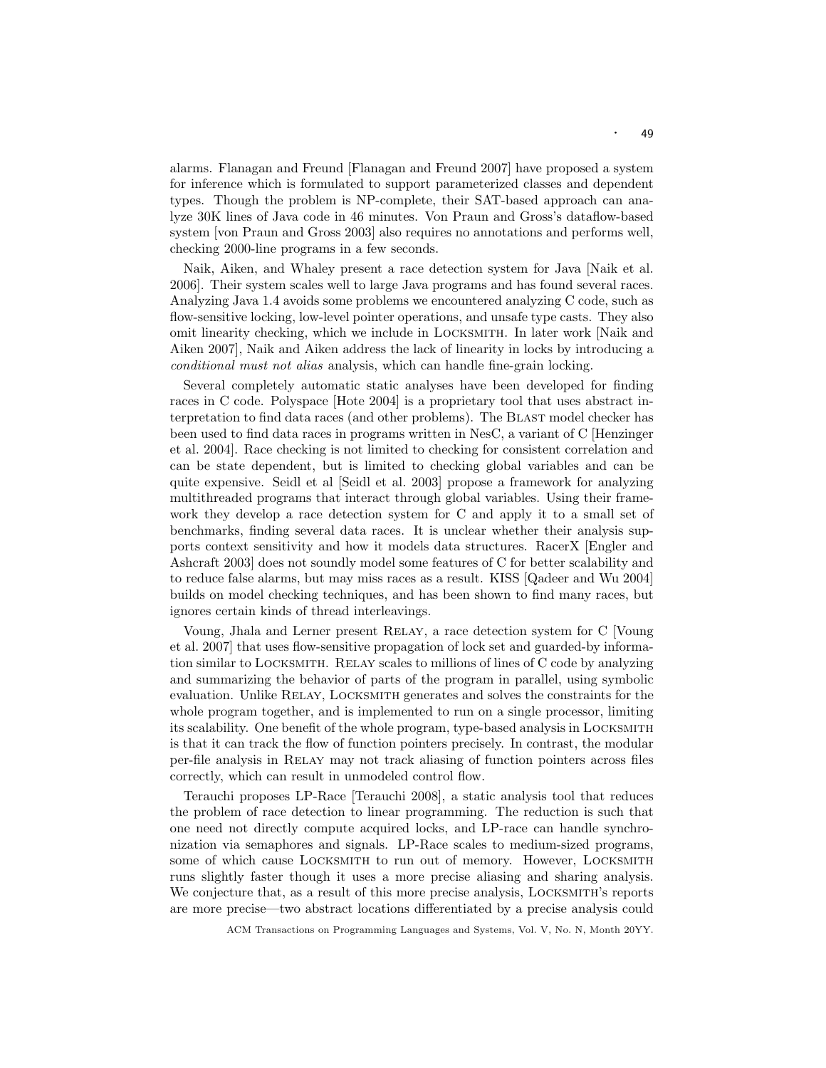alarms. Flanagan and Freund [Flanagan and Freund 2007] have proposed a system for inference which is formulated to support parameterized classes and dependent types. Though the problem is NP-complete, their SAT-based approach can analyze 30K lines of Java code in 46 minutes. Von Praun and Gross's dataflow-based system [von Praun and Gross 2003] also requires no annotations and performs well, checking 2000-line programs in a few seconds.

Naik, Aiken, and Whaley present a race detection system for Java [Naik et al. 2006]. Their system scales well to large Java programs and has found several races. Analyzing Java 1.4 avoids some problems we encountered analyzing C code, such as flow-sensitive locking, low-level pointer operations, and unsafe type casts. They also omit linearity checking, which we include in Locksmith. In later work [Naik and Aiken 2007], Naik and Aiken address the lack of linearity in locks by introducing a conditional must not alias analysis, which can handle fine-grain locking.

Several completely automatic static analyses have been developed for finding races in C code. Polyspace [Hote 2004] is a proprietary tool that uses abstract interpretation to find data races (and other problems). The Blast model checker has been used to find data races in programs written in NesC, a variant of C [Henzinger et al. 2004]. Race checking is not limited to checking for consistent correlation and can be state dependent, but is limited to checking global variables and can be quite expensive. Seidl et al [Seidl et al. 2003] propose a framework for analyzing multithreaded programs that interact through global variables. Using their framework they develop a race detection system for C and apply it to a small set of benchmarks, finding several data races. It is unclear whether their analysis supports context sensitivity and how it models data structures. RacerX [Engler and Ashcraft 2003] does not soundly model some features of C for better scalability and to reduce false alarms, but may miss races as a result. KISS [Qadeer and Wu 2004] builds on model checking techniques, and has been shown to find many races, but ignores certain kinds of thread interleavings.

Voung, Jhala and Lerner present Relay, a race detection system for C [Voung et al. 2007] that uses flow-sensitive propagation of lock set and guarded-by information similar to Locksmith. Relay scales to millions of lines of C code by analyzing and summarizing the behavior of parts of the program in parallel, using symbolic evaluation. Unlike Relay, Locksmith generates and solves the constraints for the whole program together, and is implemented to run on a single processor, limiting its scalability. One benefit of the whole program, type-based analysis in Locksmith is that it can track the flow of function pointers precisely. In contrast, the modular per-file analysis in Relay may not track aliasing of function pointers across files correctly, which can result in unmodeled control flow.

Terauchi proposes LP-Race [Terauchi 2008], a static analysis tool that reduces the problem of race detection to linear programming. The reduction is such that one need not directly compute acquired locks, and LP-race can handle synchronization via semaphores and signals. LP-Race scales to medium-sized programs, some of which cause LOCKSMITH to run out of memory. However, LOCKSMITH runs slightly faster though it uses a more precise aliasing and sharing analysis. We conjecture that, as a result of this more precise analysis, LOCKSMITH's reports are more precise—two abstract locations differentiated by a precise analysis could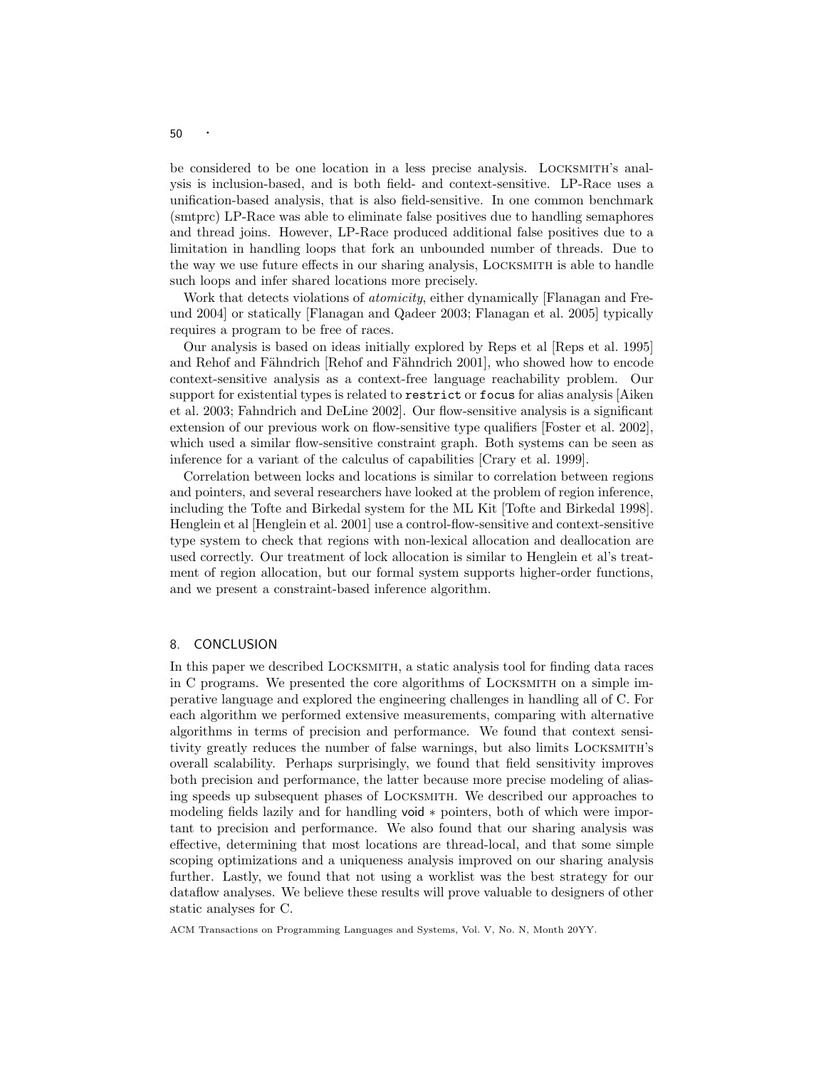be considered to be one location in a less precise analysis. Locksmith's analysis is inclusion-based, and is both field- and context-sensitive. LP-Race uses a unification-based analysis, that is also field-sensitive. In one common benchmark (smtprc) LP-Race was able to eliminate false positives due to handling semaphores and thread joins. However, LP-Race produced additional false positives due to a limitation in handling loops that fork an unbounded number of threads. Due to the way we use future effects in our sharing analysis, Locksmith is able to handle such loops and infer shared locations more precisely.

Work that detects violations of *atomicity*, either dynamically [Flanagan and Freund 2004] or statically [Flanagan and Qadeer 2003; Flanagan et al. 2005] typically requires a program to be free of races.

Our analysis is based on ideas initially explored by Reps et al [Reps et al. 1995] and Rehof and Fähndrich [Rehof and Fähndrich 2001], who showed how to encode context-sensitive analysis as a context-free language reachability problem. Our support for existential types is related to restrict or focus for alias analysis [Aiken et al. 2003; Fahndrich and DeLine 2002]. Our flow-sensitive analysis is a significant extension of our previous work on flow-sensitive type qualifiers [Foster et al. 2002], which used a similar flow-sensitive constraint graph. Both systems can be seen as inference for a variant of the calculus of capabilities [Crary et al. 1999].

Correlation between locks and locations is similar to correlation between regions and pointers, and several researchers have looked at the problem of region inference, including the Tofte and Birkedal system for the ML Kit [Tofte and Birkedal 1998]. Henglein et al [Henglein et al. 2001] use a control-flow-sensitive and context-sensitive type system to check that regions with non-lexical allocation and deallocation are used correctly. Our treatment of lock allocation is similar to Henglein et al's treatment of region allocation, but our formal system supports higher-order functions, and we present a constraint-based inference algorithm.

# 8. CONCLUSION

In this paper we described Locksmith, a static analysis tool for finding data races in C programs. We presented the core algorithms of Locksmith on a simple imperative language and explored the engineering challenges in handling all of C. For each algorithm we performed extensive measurements, comparing with alternative algorithms in terms of precision and performance. We found that context sensitivity greatly reduces the number of false warnings, but also limits Locksmith's overall scalability. Perhaps surprisingly, we found that field sensitivity improves both precision and performance, the latter because more precise modeling of aliasing speeds up subsequent phases of Locksmith. We described our approaches to modeling fields lazily and for handling void ∗ pointers, both of which were important to precision and performance. We also found that our sharing analysis was effective, determining that most locations are thread-local, and that some simple scoping optimizations and a uniqueness analysis improved on our sharing analysis further. Lastly, we found that not using a worklist was the best strategy for our dataflow analyses. We believe these results will prove valuable to designers of other static analyses for C.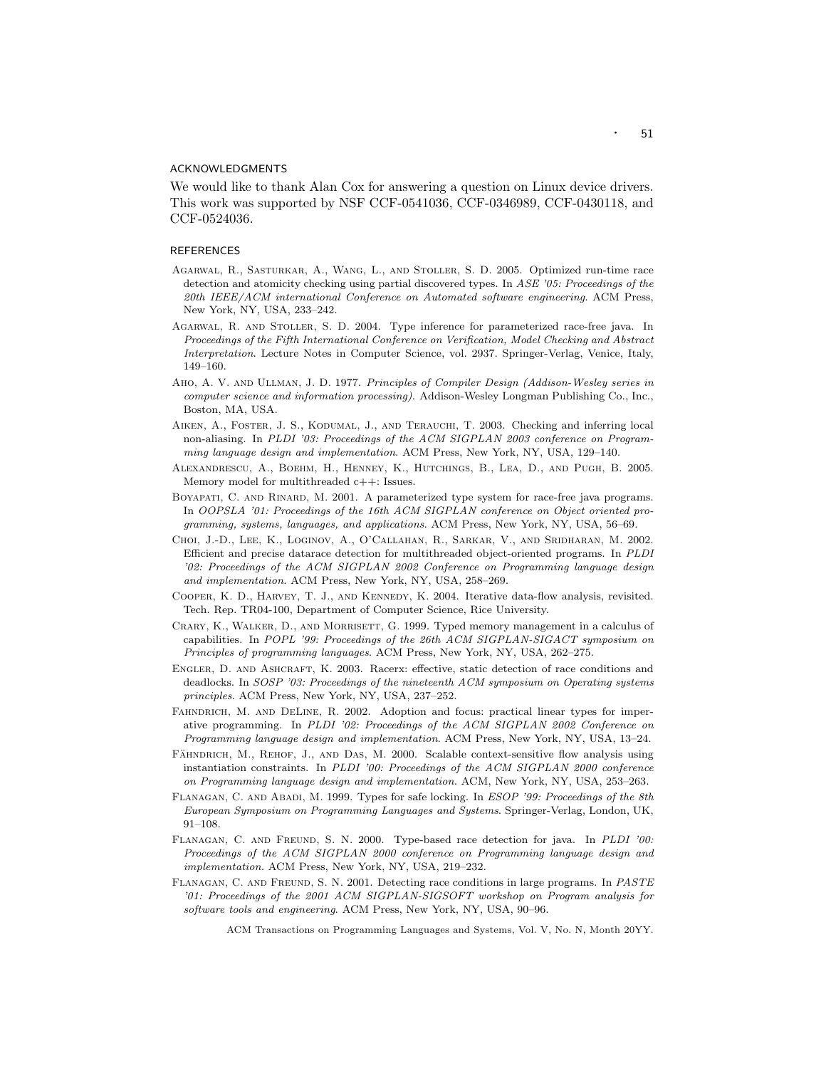#### ACKNOWLEDGMENTS

We would like to thank Alan Cox for answering a question on Linux device drivers. This work was supported by NSF CCF-0541036, CCF-0346989, CCF-0430118, and CCF-0524036.

#### **REFERENCES**

- Agarwal, R., Sasturkar, A., Wang, L., and Stoller, S. D. 2005. Optimized run-time race detection and atomicity checking using partial discovered types. In ASE '05: Proceedings of the 20th IEEE/ACM international Conference on Automated software engineering. ACM Press, New York, NY, USA, 233–242.
- Agarwal, R. and Stoller, S. D. 2004. Type inference for parameterized race-free java. In Proceedings of the Fifth International Conference on Verification, Model Checking and Abstract Interpretation. Lecture Notes in Computer Science, vol. 2937. Springer-Verlag, Venice, Italy, 149–160.
- Aho, A. V. and Ullman, J. D. 1977. Principles of Compiler Design (Addison-Wesley series in computer science and information processing). Addison-Wesley Longman Publishing Co., Inc., Boston, MA, USA.
- Aiken, A., Foster, J. S., Kodumal, J., and Terauchi, T. 2003. Checking and inferring local non-aliasing. In PLDI '03: Proceedings of the ACM SIGPLAN 2003 conference on Programming language design and implementation. ACM Press, New York, NY, USA, 129–140.
- Alexandrescu, A., Boehm, H., Henney, K., Hutchings, B., Lea, D., and Pugh, B. 2005. Memory model for multithreaded c++: Issues.
- Boyapati, C. and Rinard, M. 2001. A parameterized type system for race-free java programs. In OOPSLA '01: Proceedings of the 16th ACM SIGPLAN conference on Object oriented programming, systems, languages, and applications. ACM Press, New York, NY, USA, 56–69.
- Choi, J.-D., Lee, K., Loginov, A., O'Callahan, R., Sarkar, V., and Sridharan, M. 2002. Efficient and precise datarace detection for multithreaded object-oriented programs. In PLDI '02: Proceedings of the ACM SIGPLAN 2002 Conference on Programming language design and implementation. ACM Press, New York, NY, USA, 258–269.
- Cooper, K. D., Harvey, T. J., and Kennedy, K. 2004. Iterative data-flow analysis, revisited. Tech. Rep. TR04-100, Department of Computer Science, Rice University.
- Crary, K., Walker, D., and Morrisett, G. 1999. Typed memory management in a calculus of capabilities. In POPL '99: Proceedings of the 26th ACM SIGPLAN-SIGACT symposium on Principles of programming languages. ACM Press, New York, NY, USA, 262–275.
- Engler, D. and Ashcraft, K. 2003. Racerx: effective, static detection of race conditions and deadlocks. In SOSP '03: Proceedings of the nineteenth ACM symposium on Operating systems principles. ACM Press, New York, NY, USA, 237–252.
- FAHNDRICH, M. AND DELINE, R. 2002. Adoption and focus: practical linear types for imperative programming. In PLDI '02: Proceedings of the ACM SIGPLAN 2002 Conference on Programming language design and implementation. ACM Press, New York, NY, USA, 13–24.
- FÄHNDRICH, M., REHOF, J., AND DAS, M. 2000. Scalable context-sensitive flow analysis using instantiation constraints. In PLDI '00: Proceedings of the ACM SIGPLAN 2000 conference on Programming language design and implementation. ACM, New York, NY, USA, 253–263.
- FLANAGAN, C. AND ABADI, M. 1999. Types for safe locking. In ESOP '99: Proceedings of the 8th European Symposium on Programming Languages and Systems. Springer-Verlag, London, UK, 91–108.
- Flanagan, C. and Freund, S. N. 2000. Type-based race detection for java. In PLDI '00: Proceedings of the ACM SIGPLAN 2000 conference on Programming language design and implementation. ACM Press, New York, NY, USA, 219–232.
- Flanagan, C. and Freund, S. N. 2001. Detecting race conditions in large programs. In PASTE '01: Proceedings of the 2001 ACM SIGPLAN-SIGSOFT workshop on Program analysis for software tools and engineering. ACM Press, New York, NY, USA, 90–96.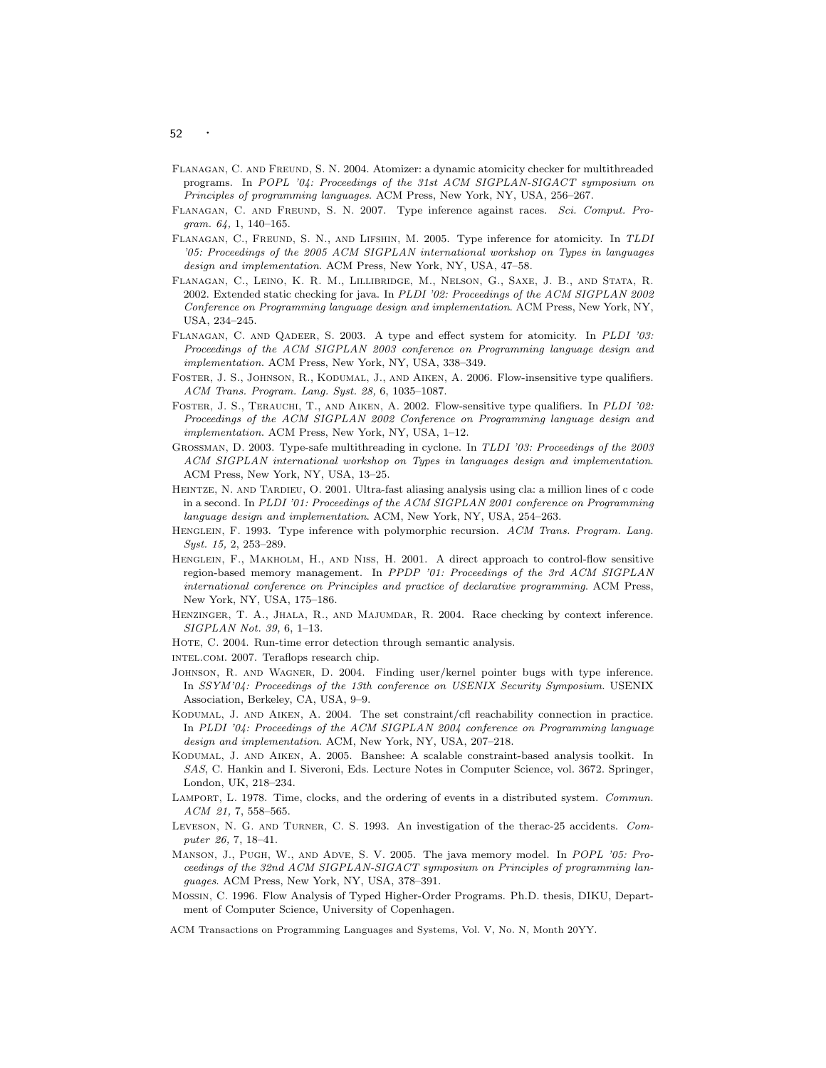- Flanagan, C. and Freund, S. N. 2004. Atomizer: a dynamic atomicity checker for multithreaded programs. In POPL '04: Proceedings of the 31st ACM SIGPLAN-SIGACT symposium on Principles of programming languages. ACM Press, New York, NY, USA, 256–267.
- Flanagan, C. and Freund, S. N. 2007. Type inference against races. Sci. Comput. Program. 64, 1, 140–165.
- Flanagan, C., Freund, S. N., and Lifshin, M. 2005. Type inference for atomicity. In TLDI '05: Proceedings of the 2005 ACM SIGPLAN international workshop on Types in languages design and implementation. ACM Press, New York, NY, USA, 47–58.
- Flanagan, C., Leino, K. R. M., Lillibridge, M., Nelson, G., Saxe, J. B., and Stata, R. 2002. Extended static checking for java. In PLDI '02: Proceedings of the ACM SIGPLAN 2002 Conference on Programming language design and implementation. ACM Press, New York, NY, USA, 234–245.
- Flanagan, C. and Qadeer, S. 2003. A type and effect system for atomicity. In PLDI '03: Proceedings of the ACM SIGPLAN 2003 conference on Programming language design and implementation. ACM Press, New York, NY, USA, 338–349.
- FOSTER, J. S., JOHNSON, R., KODUMAL, J., AND AIKEN, A. 2006. Flow-insensitive type qualifiers. ACM Trans. Program. Lang. Syst. 28, 6, 1035–1087.
- FOSTER, J. S., TERAUCHI, T., AND AIKEN, A. 2002. Flow-sensitive type qualifiers. In PLDI '02: Proceedings of the ACM SIGPLAN 2002 Conference on Programming language design and implementation. ACM Press, New York, NY, USA, 1–12.
- GROSSMAN, D. 2003. Type-safe multithreading in cyclone. In TLDI '03: Proceedings of the 2003 ACM SIGPLAN international workshop on Types in languages design and implementation. ACM Press, New York, NY, USA, 13–25.
- Heintze, N. and Tardieu, O. 2001. Ultra-fast aliasing analysis using cla: a million lines of c code in a second. In PLDI '01: Proceedings of the ACM SIGPLAN 2001 conference on Programming language design and implementation. ACM, New York, NY, USA, 254–263.
- HENGLEIN, F. 1993. Type inference with polymorphic recursion. ACM Trans. Program. Lang. Syst. 15, 2, 253–289.
- HENGLEIN, F., MAKHOLM, H., AND NISS, H. 2001. A direct approach to control-flow sensitive region-based memory management. In PPDP '01: Proceedings of the 3rd ACM SIGPLAN international conference on Principles and practice of declarative programming. ACM Press, New York, NY, USA, 175–186.
- Henzinger, T. A., Jhala, R., and Majumdar, R. 2004. Race checking by context inference. SIGPLAN Not. 39, 6, 1–13.
- HOTE, C. 2004. Run-time error detection through semantic analysis.
- intel.com. 2007. Teraflops research chip.
- JOHNSON, R. AND WAGNER, D. 2004. Finding user/kernel pointer bugs with type inference. In SSYM'04: Proceedings of the 13th conference on USENIX Security Symposium. USENIX Association, Berkeley, CA, USA, 9–9.
- Kodumal, J. and Aiken, A. 2004. The set constraint/cfl reachability connection in practice. In PLDI '04: Proceedings of the ACM SIGPLAN 2004 conference on Programming language design and implementation. ACM, New York, NY, USA, 207–218.
- Kodumal, J. and Aiken, A. 2005. Banshee: A scalable constraint-based analysis toolkit. In SAS, C. Hankin and I. Siveroni, Eds. Lecture Notes in Computer Science, vol. 3672. Springer, London, UK, 218–234.
- LAMPORT, L. 1978. Time, clocks, and the ordering of events in a distributed system. Commun. ACM 21, 7, 558–565.
- Leveson, N. G. and Turner, C. S. 1993. An investigation of the therac-25 accidents. Computer 26, 7, 18–41.
- Manson, J., Pugh, W., and Adve, S. V. 2005. The java memory model. In POPL '05: Proceedings of the 32nd ACM SIGPLAN-SIGACT symposium on Principles of programming languages. ACM Press, New York, NY, USA, 378–391.
- Mossin, C. 1996. Flow Analysis of Typed Higher-Order Programs. Ph.D. thesis, DIKU, Department of Computer Science, University of Copenhagen.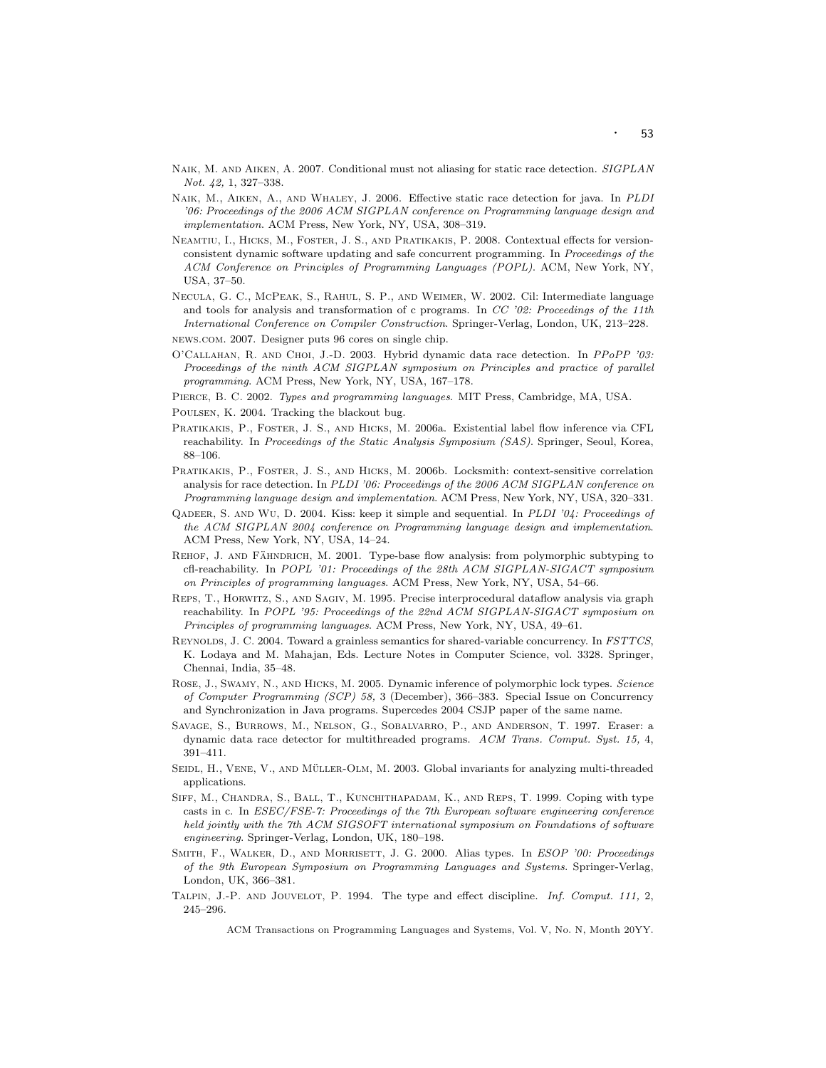- NAIK, M. AND AIKEN, A. 2007. Conditional must not aliasing for static race detection. SIGPLAN Not. 42, 1, 327–338.
- Naik, M., Aiken, A., and Whaley, J. 2006. Effective static race detection for java. In PLDI '06: Proceedings of the 2006 ACM SIGPLAN conference on Programming language design and implementation. ACM Press, New York, NY, USA, 308–319.
- Neamtiu, I., Hicks, M., Foster, J. S., and Pratikakis, P. 2008. Contextual effects for versionconsistent dynamic software updating and safe concurrent programming. In Proceedings of the ACM Conference on Principles of Programming Languages (POPL). ACM, New York, NY, USA, 37–50.
- Necula, G. C., McPeak, S., Rahul, S. P., and Weimer, W. 2002. Cil: Intermediate language and tools for analysis and transformation of c programs. In CC '02: Proceedings of the 11th International Conference on Compiler Construction. Springer-Verlag, London, UK, 213–228.
- news.com. 2007. Designer puts 96 cores on single chip.
- O'Callahan, R. and Choi, J.-D. 2003. Hybrid dynamic data race detection. In PPoPP '03: Proceedings of the ninth ACM SIGPLAN symposium on Principles and practice of parallel programming. ACM Press, New York, NY, USA, 167–178.
- Pierce, B. C. 2002. Types and programming languages. MIT Press, Cambridge, MA, USA.
- Poulsen, K. 2004. Tracking the blackout bug.
- Pratikakis, P., Foster, J. S., and Hicks, M. 2006a. Existential label flow inference via CFL reachability. In Proceedings of the Static Analysis Symposium (SAS). Springer, Seoul, Korea, 88–106.
- Pratikakis, P., Foster, J. S., and Hicks, M. 2006b. Locksmith: context-sensitive correlation analysis for race detection. In PLDI '06: Proceedings of the 2006 ACM SIGPLAN conference on Programming language design and implementation. ACM Press, New York, NY, USA, 320–331.
- Qadeer, S. and Wu, D. 2004. Kiss: keep it simple and sequential. In PLDI '04: Proceedings of the ACM SIGPLAN 2004 conference on Programming language design and implementation. ACM Press, New York, NY, USA, 14–24.
- REHOF, J. AND FAHNDRICH, M. 2001. Type-base flow analysis: from polymorphic subtyping to cfl-reachability. In POPL '01: Proceedings of the 28th ACM SIGPLAN-SIGACT symposium on Principles of programming languages. ACM Press, New York, NY, USA, 54–66.
- Reps, T., Horwitz, S., and Sagiv, M. 1995. Precise interprocedural dataflow analysis via graph reachability. In POPL '95: Proceedings of the 22nd ACM SIGPLAN-SIGACT symposium on Principles of programming languages. ACM Press, New York, NY, USA, 49–61.
- Reynolds, J. C. 2004. Toward a grainless semantics for shared-variable concurrency. In FSTTCS, K. Lodaya and M. Mahajan, Eds. Lecture Notes in Computer Science, vol. 3328. Springer, Chennai, India, 35–48.
- Rose, J., Swamy, N., and Hicks, M. 2005. Dynamic inference of polymorphic lock types. Science of Computer Programming (SCP) 58, 3 (December), 366–383. Special Issue on Concurrency and Synchronization in Java programs. Supercedes 2004 CSJP paper of the same name.
- Savage, S., Burrows, M., Nelson, G., Sobalvarro, P., and Anderson, T. 1997. Eraser: a dynamic data race detector for multithreaded programs. ACM Trans. Comput. Syst. 15, 4, 391–411.
- SEIDL, H., VENE, V., AND MÜLLER-OLM, M. 2003. Global invariants for analyzing multi-threaded applications.
- SIFF, M., CHANDRA, S., BALL, T., KUNCHITHAPADAM, K., AND REPS, T. 1999. Coping with type casts in c. In ESEC/FSE-7: Proceedings of the 7th European software engineering conference held jointly with the 7th ACM SIGSOFT international symposium on Foundations of software engineering. Springer-Verlag, London, UK, 180–198.
- SMITH, F., WALKER, D., AND MORRISETT, J. G. 2000. Alias types. In ESOP '00: Proceedings of the 9th European Symposium on Programming Languages and Systems. Springer-Verlag, London, UK, 366–381.
- Talpin, J.-P. and Jouvelot, P. 1994. The type and effect discipline. Inf. Comput. 111, 2, 245–296.